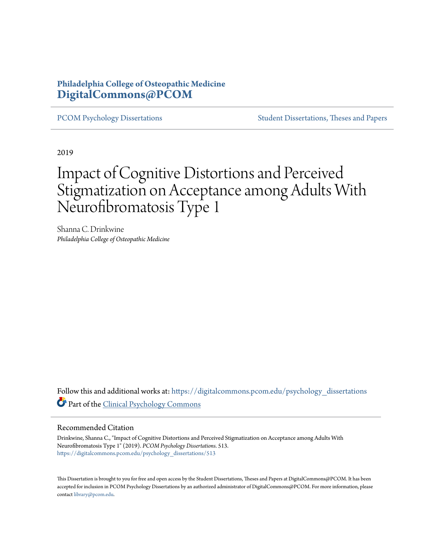## **Philadelphia College of Osteopathic Medicine [DigitalCommons@PCOM](https://digitalcommons.pcom.edu?utm_source=digitalcommons.pcom.edu%2Fpsychology_dissertations%2F513&utm_medium=PDF&utm_campaign=PDFCoverPages)**

[PCOM Psychology Dissertations](https://digitalcommons.pcom.edu/psychology_dissertations?utm_source=digitalcommons.pcom.edu%2Fpsychology_dissertations%2F513&utm_medium=PDF&utm_campaign=PDFCoverPages) [Student Dissertations, Theses and Papers](https://digitalcommons.pcom.edu/etds?utm_source=digitalcommons.pcom.edu%2Fpsychology_dissertations%2F513&utm_medium=PDF&utm_campaign=PDFCoverPages)

2019

# Impact of Cognitive Distortions and Perceived Stigmatization on Acceptance among Adults With Neurofibromatosis Type 1

Shanna C. Drinkwine *Philadelphia College of Osteopathic Medicine*

Follow this and additional works at: [https://digitalcommons.pcom.edu/psychology\\_dissertations](https://digitalcommons.pcom.edu/psychology_dissertations?utm_source=digitalcommons.pcom.edu%2Fpsychology_dissertations%2F513&utm_medium=PDF&utm_campaign=PDFCoverPages) Part of the [Clinical Psychology Commons](http://network.bepress.com/hgg/discipline/406?utm_source=digitalcommons.pcom.edu%2Fpsychology_dissertations%2F513&utm_medium=PDF&utm_campaign=PDFCoverPages)

#### Recommended Citation

Drinkwine, Shanna C., "Impact of Cognitive Distortions and Perceived Stigmatization on Acceptance among Adults With Neurofibromatosis Type 1" (2019). *PCOM Psychology Dissertations*. 513. [https://digitalcommons.pcom.edu/psychology\\_dissertations/513](https://digitalcommons.pcom.edu/psychology_dissertations/513?utm_source=digitalcommons.pcom.edu%2Fpsychology_dissertations%2F513&utm_medium=PDF&utm_campaign=PDFCoverPages)

This Dissertation is brought to you for free and open access by the Student Dissertations, Theses and Papers at DigitalCommons@PCOM. It has been accepted for inclusion in PCOM Psychology Dissertations by an authorized administrator of DigitalCommons@PCOM. For more information, please contact [library@pcom.edu.](mailto:library@pcom.edu)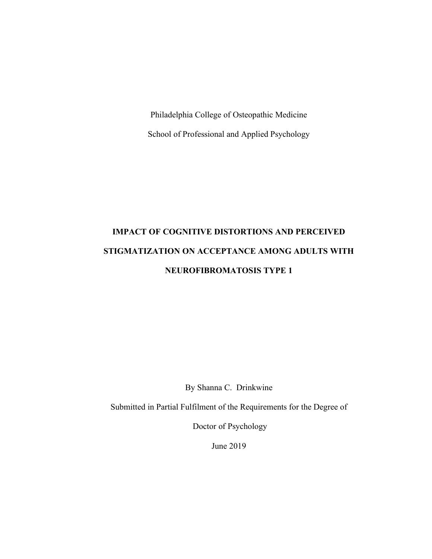Philadelphia College of Osteopathic Medicine School of Professional and Applied Psychology

# **IMPACT OF COGNITIVE DISTORTIONS AND PERCEIVED STIGMATIZATION ON ACCEPTANCE AMONG ADULTS WITH NEUROFIBROMATOSIS TYPE 1**

By Shanna C. Drinkwine

Submitted in Partial Fulfilment of the Requirements for the Degree of

Doctor of Psychology

June 2019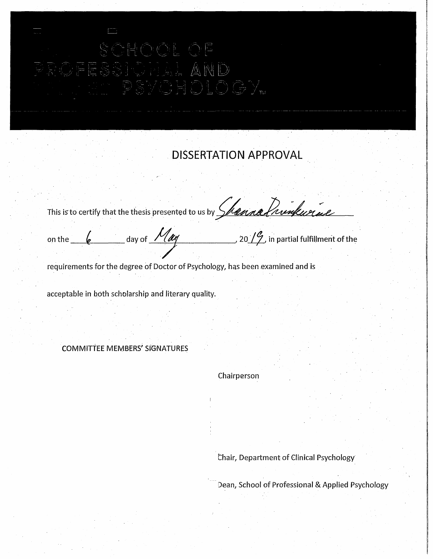# $\mathbb{A}$

# . **DISSERTATION APPROVAL**

. The contribution of the contribution of the contribution of  $\mathcal{E}_\mathbf{r}$ This is to certify that the thesis presented to us by *Shouna Prunkurial* 

on the  $\_~\ell ~\_$  day of  $~$  /  $/$   $\ell \ell \ell ~\_$   $~$  20  $/$   $\ell$  in partial fulfillment of the

requirements for the degree of Doctor of Psychology, has been examined and is

acceptable in both scholarship and literary quality.

COMMITTEE MEMBERS' SIGNATURES

Chairperson

Chair, Department of Clinical Psychology

Dean, School of Professional & Applied Psychology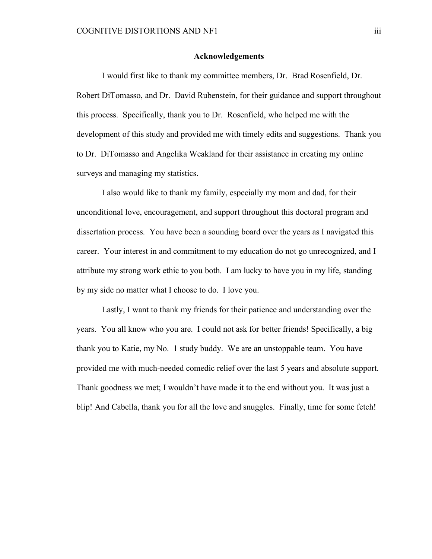#### **Acknowledgements**

I would first like to thank my committee members, Dr. Brad Rosenfield, Dr. Robert DiTomasso, and Dr. David Rubenstein, for their guidance and support throughout this process. Specifically, thank you to Dr. Rosenfield, who helped me with the development of this study and provided me with timely edits and suggestions. Thank you to Dr. DiTomasso and Angelika Weakland for their assistance in creating my online surveys and managing my statistics.

I also would like to thank my family, especially my mom and dad, for their unconditional love, encouragement, and support throughout this doctoral program and dissertation process. You have been a sounding board over the years as I navigated this career. Your interest in and commitment to my education do not go unrecognized, and I attribute my strong work ethic to you both. I am lucky to have you in my life, standing by my side no matter what I choose to do. I love you.

Lastly, I want to thank my friends for their patience and understanding over the years. You all know who you are. I could not ask for better friends! Specifically, a big thank you to Katie, my No. 1 study buddy. We are an unstoppable team. You have provided me with much-needed comedic relief over the last 5 years and absolute support. Thank goodness we met; I wouldn't have made it to the end without you. It was just a blip! And Cabella, thank you for all the love and snuggles. Finally, time for some fetch!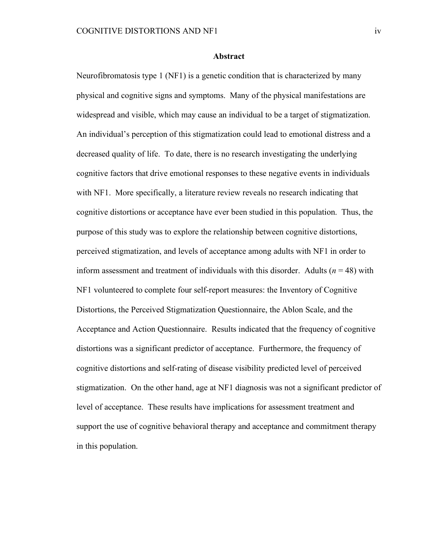#### **Abstract**

Neurofibromatosis type 1 (NF1) is a genetic condition that is characterized by many physical and cognitive signs and symptoms. Many of the physical manifestations are widespread and visible, which may cause an individual to be a target of stigmatization. An individual's perception of this stigmatization could lead to emotional distress and a decreased quality of life. To date, there is no research investigating the underlying cognitive factors that drive emotional responses to these negative events in individuals with NF1. More specifically, a literature review reveals no research indicating that cognitive distortions or acceptance have ever been studied in this population. Thus, the purpose of this study was to explore the relationship between cognitive distortions, perceived stigmatization, and levels of acceptance among adults with NF1 in order to inform assessment and treatment of individuals with this disorder. Adults  $(n = 48)$  with NF1 volunteered to complete four self-report measures: the Inventory of Cognitive Distortions, the Perceived Stigmatization Questionnaire, the Ablon Scale, and the Acceptance and Action Questionnaire. Results indicated that the frequency of cognitive distortions was a significant predictor of acceptance. Furthermore, the frequency of cognitive distortions and self-rating of disease visibility predicted level of perceived stigmatization. On the other hand, age at NF1 diagnosis was not a significant predictor of level of acceptance. These results have implications for assessment treatment and support the use of cognitive behavioral therapy and acceptance and commitment therapy in this population.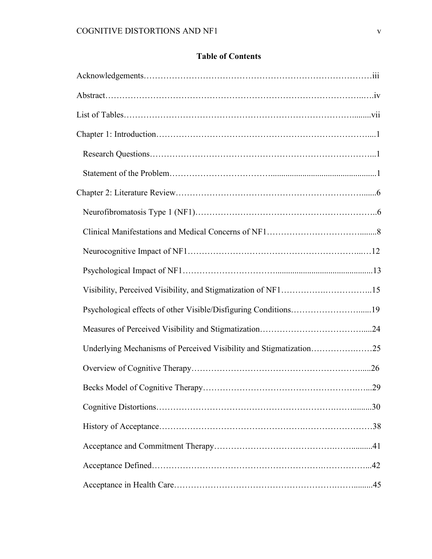### **Table of Contents**

| Psychological effects of other Visible/Disfiguring Conditions19    |  |
|--------------------------------------------------------------------|--|
|                                                                    |  |
| Underlying Mechanisms of Perceived Visibility and Stigmatization25 |  |
|                                                                    |  |
|                                                                    |  |
|                                                                    |  |
|                                                                    |  |
|                                                                    |  |
|                                                                    |  |
|                                                                    |  |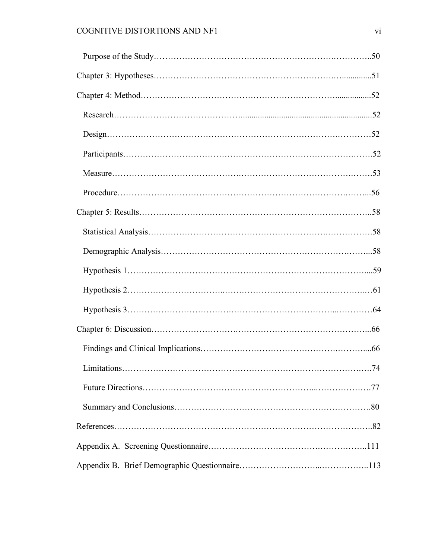| $Design. \dots 52$ |  |
|--------------------|--|
|                    |  |
|                    |  |
|                    |  |
|                    |  |
|                    |  |
|                    |  |
|                    |  |
|                    |  |
|                    |  |
|                    |  |
|                    |  |
|                    |  |
|                    |  |
|                    |  |
|                    |  |
|                    |  |
|                    |  |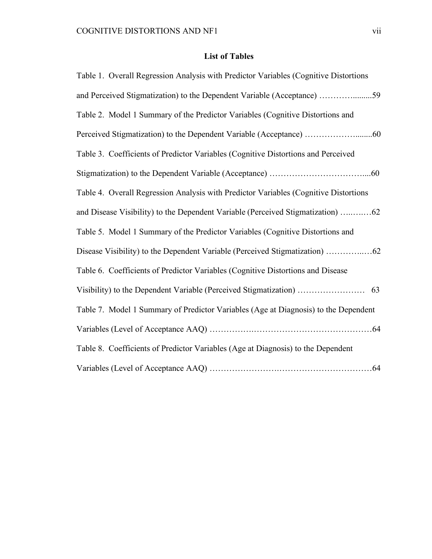## **List of Tables**

| Table 1. Overall Regression Analysis with Predictor Variables (Cognitive Distortions |
|--------------------------------------------------------------------------------------|
| and Perceived Stigmatization) to the Dependent Variable (Acceptance) 59              |
| Table 2. Model 1 Summary of the Predictor Variables (Cognitive Distortions and       |
|                                                                                      |
| Table 3. Coefficients of Predictor Variables (Cognitive Distortions and Perceived    |
|                                                                                      |
| Table 4. Overall Regression Analysis with Predictor Variables (Cognitive Distortions |
|                                                                                      |
| Table 5. Model 1 Summary of the Predictor Variables (Cognitive Distortions and       |
|                                                                                      |
| Table 6. Coefficients of Predictor Variables (Cognitive Distortions and Disease      |
|                                                                                      |
| Table 7. Model 1 Summary of Predictor Variables (Age at Diagnosis) to the Dependent  |
|                                                                                      |
| Table 8. Coefficients of Predictor Variables (Age at Diagnosis) to the Dependent     |
|                                                                                      |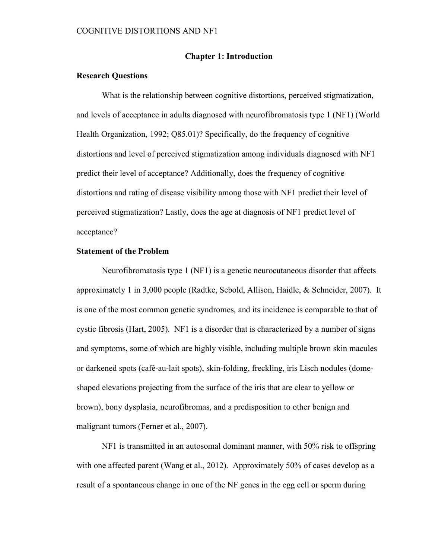#### **Chapter 1: Introduction**

#### **Research Questions**

What is the relationship between cognitive distortions, perceived stigmatization, and levels of acceptance in adults diagnosed with neurofibromatosis type 1 (NF1) (World Health Organization, 1992; Q85.01)? Specifically, do the frequency of cognitive distortions and level of perceived stigmatization among individuals diagnosed with NF1 predict their level of acceptance? Additionally, does the frequency of cognitive distortions and rating of disease visibility among those with NF1 predict their level of perceived stigmatization? Lastly, does the age at diagnosis of NF1 predict level of acceptance?

#### **Statement of the Problem**

Neurofibromatosis type 1 (NF1) is a genetic neurocutaneous disorder that affects approximately 1 in 3,000 people (Radtke, Sebold, Allison, Haidle, & Schneider, 2007). It is one of the most common genetic syndromes, and its incidence is comparable to that of cystic fibrosis (Hart, 2005). NF1 is a disorder that is characterized by a number of signs and symptoms, some of which are highly visible, including multiple brown skin macules or darkened spots (café-au-lait spots), skin-folding, freckling, iris Lisch nodules (domeshaped elevations projecting from the surface of the iris that are clear to yellow or brown), bony dysplasia, neurofibromas, and a predisposition to other benign and malignant tumors (Ferner et al., 2007).

NF1 is transmitted in an autosomal dominant manner, with 50% risk to offspring with one affected parent (Wang et al., 2012). Approximately 50% of cases develop as a result of a spontaneous change in one of the NF genes in the egg cell or sperm during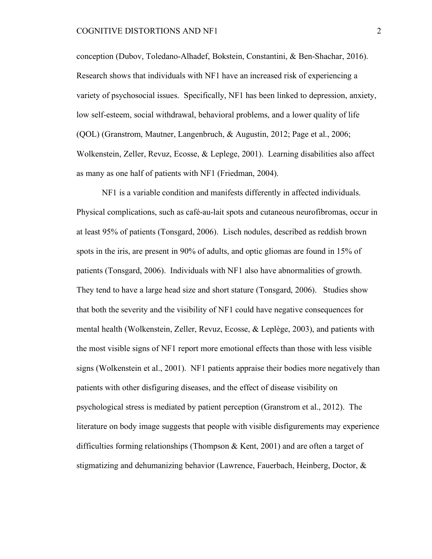conception (Dubov, Toledano-Alhadef, Bokstein, Constantini, & Ben-Shachar, 2016). Research shows that individuals with NF1 have an increased risk of experiencing a variety of psychosocial issues. Specifically, NF1 has been linked to depression, anxiety, low self-esteem, social withdrawal, behavioral problems, and a lower quality of life (QOL) (Granstrom, Mautner, Langenbruch, & Augustin, 2012; Page et al., 2006; Wolkenstein, Zeller, Revuz, Ecosse, & Leplege, 2001). Learning disabilities also affect as many as one half of patients with NF1 (Friedman, 2004).

NF1 is a variable condition and manifests differently in affected individuals. Physical complications, such as café-au-lait spots and cutaneous neurofibromas, occur in at least 95% of patients (Tonsgard, 2006). Lisch nodules, described as reddish brown spots in the iris, are present in 90% of adults, and optic gliomas are found in 15% of patients (Tonsgard, 2006). Individuals with NF1 also have abnormalities of growth. They tend to have a large head size and short stature (Tonsgard, 2006). Studies show that both the severity and the visibility of NF1 could have negative consequences for mental health (Wolkenstein, Zeller, Revuz, Ecosse, & Leplège, 2003), and patients with the most visible signs of NF1 report more emotional effects than those with less visible signs (Wolkenstein et al., 2001). NF1 patients appraise their bodies more negatively than patients with other disfiguring diseases, and the effect of disease visibility on psychological stress is mediated by patient perception (Granstrom et al., 2012). The literature on body image suggests that people with visible disfigurements may experience difficulties forming relationships (Thompson & Kent, 2001) and are often a target of stigmatizing and dehumanizing behavior (Lawrence, Fauerbach, Heinberg, Doctor, &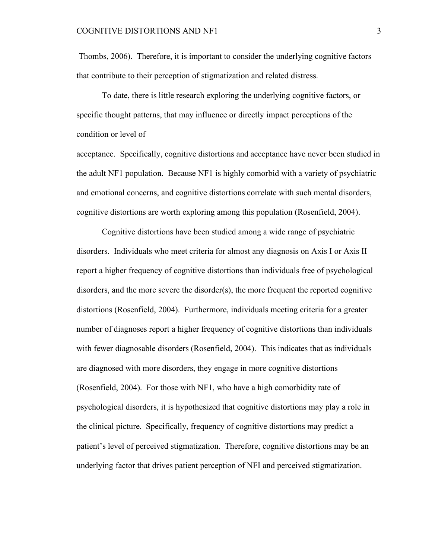Thombs, 2006). Therefore, it is important to consider the underlying cognitive factors that contribute to their perception of stigmatization and related distress.

To date, there is little research exploring the underlying cognitive factors, or specific thought patterns, that may influence or directly impact perceptions of the condition or level of

acceptance. Specifically, cognitive distortions and acceptance have never been studied in the adult NF1 population. Because NF1 is highly comorbid with a variety of psychiatric and emotional concerns, and cognitive distortions correlate with such mental disorders, cognitive distortions are worth exploring among this population (Rosenfield, 2004).

Cognitive distortions have been studied among a wide range of psychiatric disorders. Individuals who meet criteria for almost any diagnosis on Axis I or Axis II report a higher frequency of cognitive distortions than individuals free of psychological disorders, and the more severe the disorder(s), the more frequent the reported cognitive distortions (Rosenfield, 2004). Furthermore, individuals meeting criteria for a greater number of diagnoses report a higher frequency of cognitive distortions than individuals with fewer diagnosable disorders (Rosenfield, 2004). This indicates that as individuals are diagnosed with more disorders, they engage in more cognitive distortions (Rosenfield, 2004). For those with NF1, who have a high comorbidity rate of psychological disorders, it is hypothesized that cognitive distortions may play a role in the clinical picture. Specifically, frequency of cognitive distortions may predict a patient's level of perceived stigmatization. Therefore, cognitive distortions may be an underlying factor that drives patient perception of NFI and perceived stigmatization.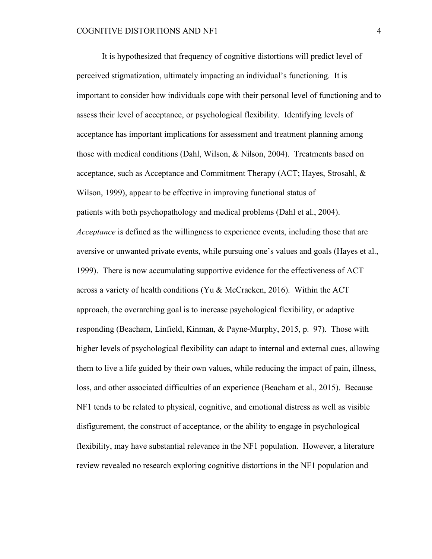It is hypothesized that frequency of cognitive distortions will predict level of perceived stigmatization, ultimately impacting an individual's functioning. It is important to consider how individuals cope with their personal level of functioning and to assess their level of acceptance, or psychological flexibility. Identifying levels of acceptance has important implications for assessment and treatment planning among those with medical conditions (Dahl, Wilson, & Nilson, 2004). Treatments based on acceptance, such as Acceptance and Commitment Therapy (ACT; Hayes, Strosahl, & Wilson, 1999), appear to be effective in improving functional status of patients with both psychopathology and medical problems (Dahl et al., 2004). *Acceptance* is defined as the willingness to experience events, including those that are aversive or unwanted private events, while pursuing one's values and goals (Hayes et al., 1999). There is now accumulating supportive evidence for the effectiveness of ACT across a variety of health conditions (Yu & McCracken, 2016). Within the ACT approach, the overarching goal is to increase psychological flexibility, or adaptive responding (Beacham, Linfield, Kinman, & Payne-Murphy, 2015, p. 97). Those with higher levels of psychological flexibility can adapt to internal and external cues, allowing them to live a life guided by their own values, while reducing the impact of pain, illness, loss, and other associated difficulties of an experience (Beacham et al., 2015). Because NF1 tends to be related to physical, cognitive, and emotional distress as well as visible disfigurement, the construct of acceptance, or the ability to engage in psychological flexibility, may have substantial relevance in the NF1 population. However, a literature review revealed no research exploring cognitive distortions in the NF1 population and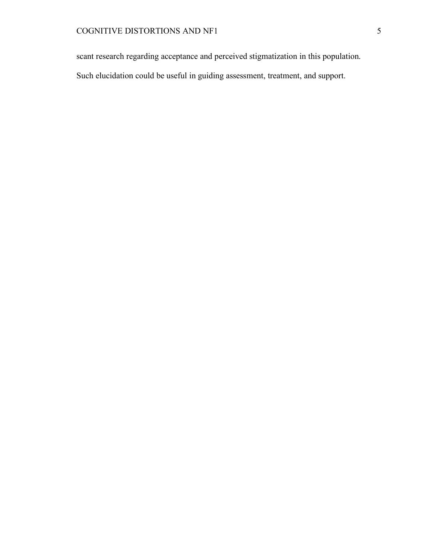scant research regarding acceptance and perceived stigmatization in this population.

Such elucidation could be useful in guiding assessment, treatment, and support.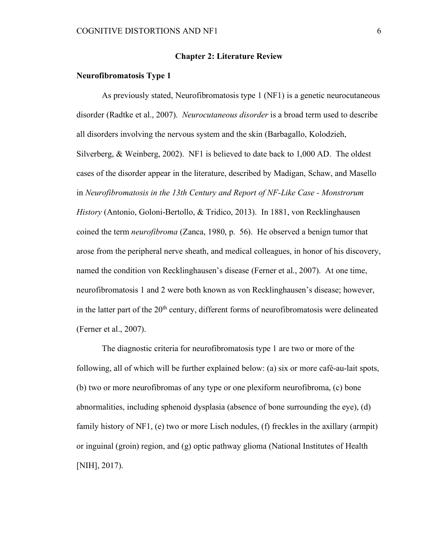#### **Chapter 2: Literature Review**

#### **Neurofibromatosis Type 1**

As previously stated, Neurofibromatosis type 1 (NF1) is a genetic neurocutaneous disorder (Radtke et al., 2007). *Neurocutaneous disorder* is a broad term used to describe all disorders involving the nervous system and the skin (Barbagallo, Kolodzieh, Silverberg, & Weinberg, 2002). NF1 is believed to date back to 1,000 AD. The oldest cases of the disorder appear in the literature, described by Madigan, Schaw, and Masello in *Neurofibromatosis in the 13th Century and Report of NF-Like Case - Monstrorum History* (Antonio, Goloni-Bertollo, & Tridico, 2013). In 1881, von Recklinghausen coined the term *neurofibroma* (Zanca, 1980, p. 56). He observed a benign tumor that arose from the peripheral nerve sheath, and medical colleagues, in honor of his discovery, named the condition von Recklinghausen's disease (Ferner et al., 2007). At one time, neurofibromatosis 1 and 2 were both known as von Recklinghausen's disease; however, in the latter part of the 20<sup>th</sup> century, different forms of neurofibromatosis were delineated (Ferner et al., 2007).

The diagnostic criteria for neurofibromatosis type 1 are two or more of the following, all of which will be further explained below: (a) six or more café-au-lait spots, (b) two or more neurofibromas of any type or one plexiform neurofibroma, (c) bone abnormalities, including sphenoid dysplasia (absence of bone surrounding the eye), (d) family history of NF1, (e) two or more Lisch nodules, (f) freckles in the axillary (armpit) or inguinal (groin) region, and (g) optic pathway glioma (National Institutes of Health [NIH], 2017).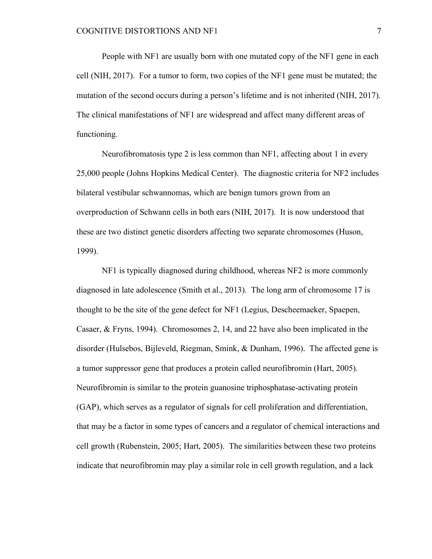People with NF1 are usually born with one mutated copy of the NF1 gene in each cell (NIH, 2017). For a tumor to form, two copies of the NF1 gene must be mutated; the mutation of the second occurs during a person's lifetime and is not inherited (NIH, 2017). The clinical manifestations of NF1 are widespread and affect many different areas of functioning.

Neurofibromatosis type 2 is less common than NF1, affecting about 1 in every 25,000 people (Johns Hopkins Medical Center). The diagnostic criteria for NF2 includes bilateral vestibular schwannomas, which are benign tumors grown from an overproduction of Schwann cells in both ears (NIH, 2017). It is now understood that these are two distinct genetic disorders affecting two separate chromosomes (Huson, 1999).

NF1 is typically diagnosed during childhood, whereas NF2 is more commonly diagnosed in late adolescence (Smith et al., 2013). The long arm of chromosome 17 is thought to be the site of the gene defect for NF1 (Legius, Descheemaeker, Spaepen, Casaer, & Fryns, 1994). Chromosomes 2, 14, and 22 have also been implicated in the disorder (Hulsebos, Bijleveld, Riegman, Smink, & Dunham, 1996). The affected gene is a tumor suppressor gene that produces a protein called neurofibromin (Hart, 2005). Neurofibromin is similar to the protein guanosine triphosphatase-activating protein (GAP), which serves as a regulator of signals for cell proliferation and differentiation, that may be a factor in some types of cancers and a regulator of chemical interactions and cell growth (Rubenstein, 2005; Hart, 2005). The similarities between these two proteins indicate that neurofibromin may play a similar role in cell growth regulation, and a lack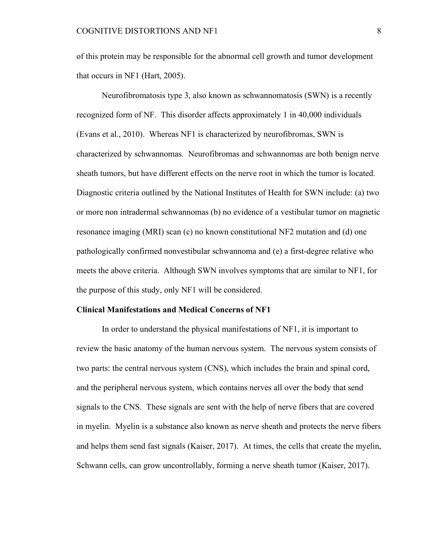of this protein may be responsible for the abnormal cell growth and tumor development that occurs in NF1 (Hart, 2005).

Neurofibromatosis type 3, also known as schwannomatosis (SWN) is a recently recognized form of NF. This disorder affects approximately 1 in 40,000 individuals (Evans et al., 2010). Whereas NF1 is characterized by neurofibromas, SWN is characterized by schwannomas. Neurofibromas and schwannomas are both benign nerve sheath tumors, but have different effects on the nerve root in which the tumor is located. Diagnostic criteria outlined by the National Institutes of Health for SWN include: (a) two or more non intradermal schwannomas (b) no evidence of a vestibular tumor on magnetic resonance imaging (MRI) scan (c) no known constitutional NF2 mutation and (d) one pathologically confirmed nonvestibular schwannoma and (e) a first-degree relative who meets the above criteria. Although SWN involves symptoms that are similar to NF1, for the purpose of this study, only NF1 will be considered.

#### **Clinical Manifestations and Medical Concerns of NF1**

In order to understand the physical manifestations of NF1, it is important to review the basic anatomy of the human nervous system. The nervous system consists of two parts: the central nervous system (CNS), which includes the brain and spinal cord, and the peripheral nervous system, which contains nerves all over the body that send signals to the CNS. These signals are sent with the help of nerve fibers that are covered in myelin. Myelin is a substance also known as nerve sheath and protects the nerve fibers and helps them send fast signals (Kaiser, 2017). At times, the cells that create the myelin, Schwann cells, can grow uncontrollably, forming a nerve sheath tumor (Kaiser, 2017).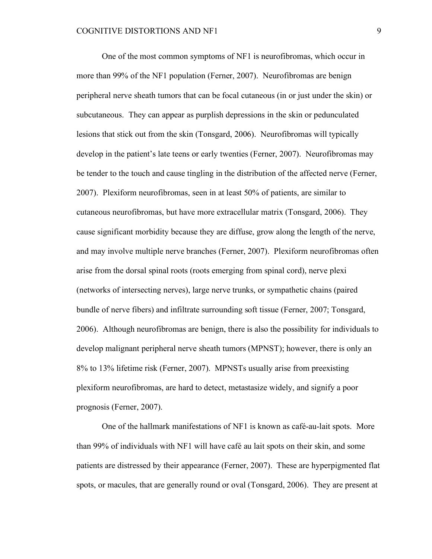One of the most common symptoms of NF1 is neurofibromas, which occur in more than 99% of the NF1 population (Ferner, 2007). Neurofibromas are benign peripheral nerve sheath tumors that can be focal cutaneous (in or just under the skin) or subcutaneous. They can appear as purplish depressions in the skin or pedunculated lesions that stick out from the skin (Tonsgard, 2006). Neurofibromas will typically develop in the patient's late teens or early twenties (Ferner, 2007). Neurofibromas may be tender to the touch and cause tingling in the distribution of the affected nerve (Ferner, 2007). Plexiform neurofibromas, seen in at least 50% of patients, are similar to cutaneous neurofibromas, but have more extracellular matrix (Tonsgard, 2006). They cause significant morbidity because they are diffuse, grow along the length of the nerve, and may involve multiple nerve branches (Ferner, 2007). Plexiform neurofibromas often arise from the dorsal spinal roots (roots emerging from spinal cord), nerve plexi (networks of intersecting nerves), large nerve trunks, or sympathetic chains (paired bundle of nerve fibers) and infiltrate surrounding soft tissue (Ferner, 2007; Tonsgard, 2006). Although neurofibromas are benign, there is also the possibility for individuals to develop malignant peripheral nerve sheath tumors (MPNST); however, there is only an 8% to 13% lifetime risk (Ferner, 2007). MPNSTs usually arise from preexisting plexiform neurofibromas, are hard to detect, metastasize widely, and signify a poor prognosis (Ferner, 2007).

One of the hallmark manifestations of NF1 is known as café-au-lait spots. More than 99% of individuals with NF1 will have café au lait spots on their skin, and some patients are distressed by their appearance (Ferner, 2007). These are hyperpigmented flat spots, or macules, that are generally round or oval (Tonsgard, 2006). They are present at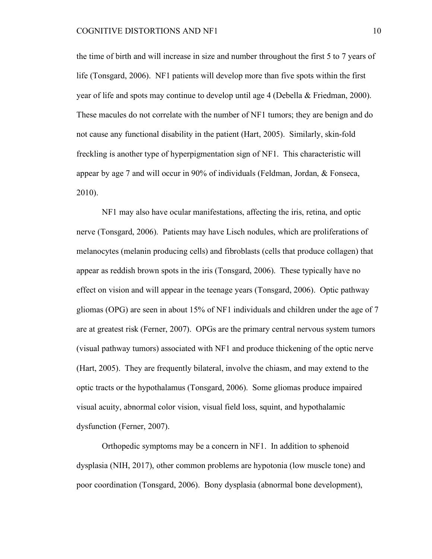the time of birth and will increase in size and number throughout the first 5 to 7 years of life (Tonsgard, 2006). NF1 patients will develop more than five spots within the first year of life and spots may continue to develop until age 4 (Debella & Friedman, 2000). These macules do not correlate with the number of NF1 tumors; they are benign and do not cause any functional disability in the patient (Hart, 2005). Similarly, skin-fold freckling is another type of hyperpigmentation sign of NF1. This characteristic will appear by age 7 and will occur in 90% of individuals (Feldman, Jordan, & Fonseca, 2010).

NF1 may also have ocular manifestations, affecting the iris, retina, and optic nerve (Tonsgard, 2006). Patients may have Lisch nodules, which are proliferations of melanocytes (melanin producing cells) and fibroblasts (cells that produce collagen) that appear as reddish brown spots in the iris (Tonsgard, 2006). These typically have no effect on vision and will appear in the teenage years (Tonsgard, 2006). Optic pathway gliomas (OPG) are seen in about 15% of NF1 individuals and children under the age of 7 are at greatest risk (Ferner, 2007). OPGs are the primary central nervous system tumors (visual pathway tumors) associated with NF1 and produce thickening of the optic nerve (Hart, 2005). They are frequently bilateral, involve the chiasm, and may extend to the optic tracts or the hypothalamus (Tonsgard, 2006). Some gliomas produce impaired visual acuity, abnormal color vision, visual field loss, squint, and hypothalamic dysfunction (Ferner, 2007).

Orthopedic symptoms may be a concern in NF1. In addition to sphenoid dysplasia (NIH, 2017), other common problems are hypotonia (low muscle tone) and poor coordination (Tonsgard, 2006). Bony dysplasia (abnormal bone development),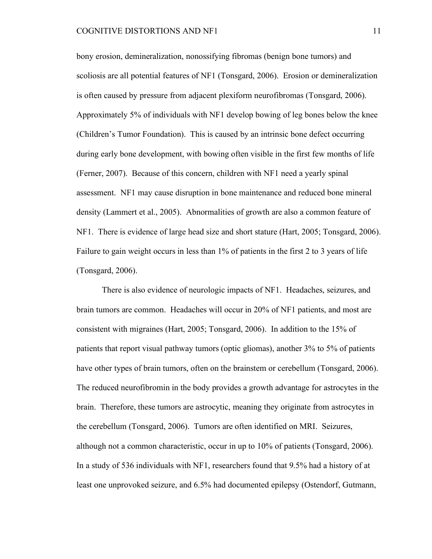bony erosion, demineralization, nonossifying fibromas (benign bone tumors) and scoliosis are all potential features of NF1 (Tonsgard, 2006). Erosion or demineralization is often caused by pressure from adjacent plexiform neurofibromas (Tonsgard, 2006). Approximately 5% of individuals with NF1 develop bowing of leg bones below the knee (Children's Tumor Foundation). This is caused by an intrinsic bone defect occurring during early bone development, with bowing often visible in the first few months of life (Ferner, 2007). Because of this concern, children with NF1 need a yearly spinal assessment. NF1 may cause disruption in bone maintenance and reduced bone mineral density (Lammert et al., 2005). Abnormalities of growth are also a common feature of NF1. There is evidence of large head size and short stature (Hart, 2005; Tonsgard, 2006). Failure to gain weight occurs in less than 1% of patients in the first 2 to 3 years of life (Tonsgard, 2006).

There is also evidence of neurologic impacts of NF1. Headaches, seizures, and brain tumors are common. Headaches will occur in 20% of NF1 patients, and most are consistent with migraines (Hart, 2005; Tonsgard, 2006). In addition to the 15% of patients that report visual pathway tumors (optic gliomas), another 3% to 5% of patients have other types of brain tumors, often on the brainstem or cerebellum (Tonsgard, 2006). The reduced neurofibromin in the body provides a growth advantage for astrocytes in the brain. Therefore, these tumors are astrocytic, meaning they originate from astrocytes in the cerebellum (Tonsgard, 2006). Tumors are often identified on MRI. Seizures, although not a common characteristic, occur in up to 10% of patients (Tonsgard, 2006). In a study of 536 individuals with NF1, researchers found that 9.5% had a history of at least one unprovoked seizure, and 6.5% had documented epilepsy (Ostendorf, Gutmann,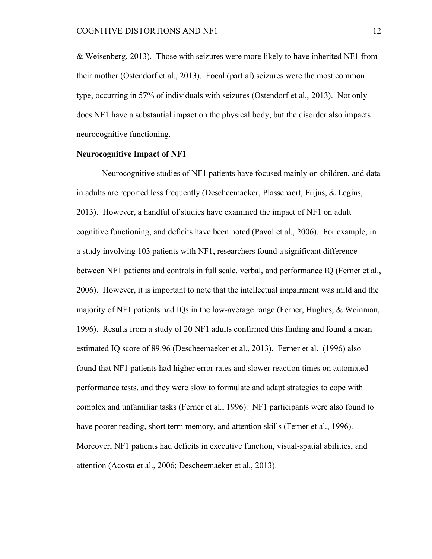& Weisenberg, 2013). Those with seizures were more likely to have inherited NF1 from their mother (Ostendorf et al., 2013). Focal (partial) seizures were the most common type, occurring in 57% of individuals with seizures (Ostendorf et al., 2013). Not only does NF1 have a substantial impact on the physical body, but the disorder also impacts neurocognitive functioning.

#### **Neurocognitive Impact of NF1**

Neurocognitive studies of NF1 patients have focused mainly on children, and data in adults are reported less frequently (Descheemaeker, Plasschaert, Frijns, & Legius, 2013). However, a handful of studies have examined the impact of NF1 on adult cognitive functioning, and deficits have been noted (Pavol et al., 2006). For example, in a study involving 103 patients with NF1, researchers found a significant difference between NF1 patients and controls in full scale, verbal, and performance IQ (Ferner et al., 2006). However, it is important to note that the intellectual impairment was mild and the majority of NF1 patients had IQs in the low-average range (Ferner, Hughes, & Weinman, 1996). Results from a study of 20 NF1 adults confirmed this finding and found a mean estimated IQ score of 89.96 (Descheemaeker et al., 2013). Ferner et al. (1996) also found that NF1 patients had higher error rates and slower reaction times on automated performance tests, and they were slow to formulate and adapt strategies to cope with complex and unfamiliar tasks (Ferner et al., 1996). NF1 participants were also found to have poorer reading, short term memory, and attention skills (Ferner et al., 1996). Moreover, NF1 patients had deficits in executive function, visual-spatial abilities, and attention (Acosta et al., 2006; Descheemaeker et al., 2013).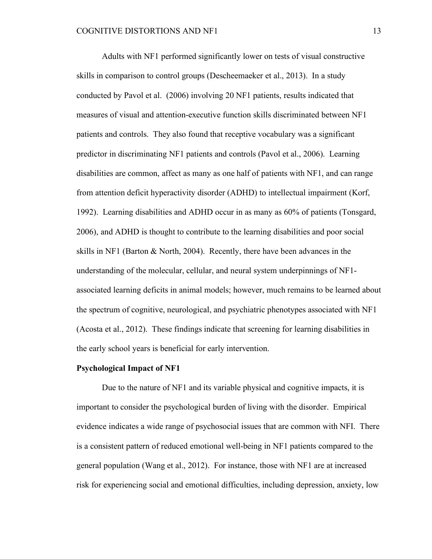Adults with NF1 performed significantly lower on tests of visual constructive skills in comparison to control groups (Descheemaeker et al., 2013). In a study conducted by Pavol et al. (2006) involving 20 NF1 patients, results indicated that measures of visual and attention-executive function skills discriminated between NF1 patients and controls. They also found that receptive vocabulary was a significant predictor in discriminating NF1 patients and controls (Pavol et al., 2006). Learning disabilities are common, affect as many as one half of patients with NF1, and can range from attention deficit hyperactivity disorder (ADHD) to intellectual impairment (Korf, 1992). Learning disabilities and ADHD occur in as many as 60% of patients (Tonsgard, 2006), and ADHD is thought to contribute to the learning disabilities and poor social skills in NF1 (Barton  $\&$  North, 2004). Recently, there have been advances in the understanding of the molecular, cellular, and neural system underpinnings of NF1 associated learning deficits in animal models; however, much remains to be learned about the spectrum of cognitive, neurological, and psychiatric phenotypes associated with NF1 (Acosta et al., 2012). These findings indicate that screening for learning disabilities in the early school years is beneficial for early intervention.

#### **Psychological Impact of NF1**

Due to the nature of NF1 and its variable physical and cognitive impacts, it is important to consider the psychological burden of living with the disorder. Empirical evidence indicates a wide range of psychosocial issues that are common with NFI. There is a consistent pattern of reduced emotional well-being in NF1 patients compared to the general population (Wang et al., 2012). For instance, those with NF1 are at increased risk for experiencing social and emotional difficulties, including depression, anxiety, low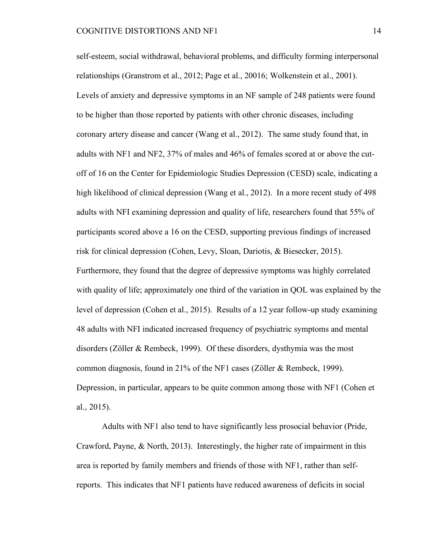self-esteem, social withdrawal, behavioral problems, and difficulty forming interpersonal relationships (Granstrom et al., 2012; Page et al., 20016; Wolkenstein et al., 2001). Levels of anxiety and depressive symptoms in an NF sample of 248 patients were found to be higher than those reported by patients with other chronic diseases, including coronary artery disease and cancer (Wang et al., 2012). The same study found that, in adults with NF1 and NF2, 37% of males and 46% of females scored at or above the cutoff of 16 on the Center for Epidemiologic Studies Depression (CESD) scale, indicating a high likelihood of clinical depression (Wang et al., 2012). In a more recent study of 498 adults with NFI examining depression and quality of life, researchers found that 55% of participants scored above a 16 on the CESD, supporting previous findings of increased risk for clinical depression (Cohen, Levy, Sloan, Dariotis, & Biesecker, 2015). Furthermore, they found that the degree of depressive symptoms was highly correlated with quality of life; approximately one third of the variation in QOL was explained by the level of depression (Cohen et al., 2015). Results of a 12 year follow-up study examining 48 adults with NFI indicated increased frequency of psychiatric symptoms and mental disorders (Zöller & Rembeck, 1999). Of these disorders, dysthymia was the most common diagnosis, found in 21% of the NF1 cases (Zöller & Rembeck, 1999). Depression, in particular, appears to be quite common among those with NF1 (Cohen et al., 2015).

Adults with NF1 also tend to have significantly less prosocial behavior (Pride, Crawford, Payne, & North, 2013). Interestingly, the higher rate of impairment in this area is reported by family members and friends of those with NF1, rather than selfreports. This indicates that NF1 patients have reduced awareness of deficits in social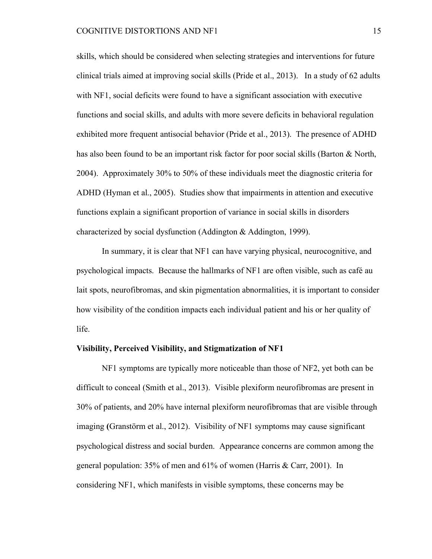skills, which should be considered when selecting strategies and interventions for future clinical trials aimed at improving social skills (Pride et al., 2013). In a study of 62 adults with NF1, social deficits were found to have a significant association with executive functions and social skills, and adults with more severe deficits in behavioral regulation exhibited more frequent antisocial behavior (Pride et al., 2013). The presence of ADHD has also been found to be an important risk factor for poor social skills (Barton & North, 2004). Approximately 30% to 50% of these individuals meet the diagnostic criteria for ADHD (Hyman et al., 2005). Studies show that impairments in attention and executive functions explain a significant proportion of variance in social skills in disorders characterized by social dysfunction (Addington & Addington, 1999).

In summary, it is clear that NF1 can have varying physical, neurocognitive, and psychological impacts. Because the hallmarks of NF1 are often visible, such as café au lait spots, neurofibromas, and skin pigmentation abnormalities, it is important to consider how visibility of the condition impacts each individual patient and his or her quality of life.

#### **Visibility, Perceived Visibility, and Stigmatization of NF1**

NF1 symptoms are typically more noticeable than those of NF2, yet both can be difficult to conceal (Smith et al., 2013). Visible plexiform neurofibromas are present in 30% of patients, and 20% have internal plexiform neurofibromas that are visible through imaging **(**Granstörm et al., 2012). Visibility of NF1 symptoms may cause significant psychological distress and social burden. Appearance concerns are common among the general population: 35% of men and 61% of women (Harris & Carr, 2001). In considering NF1, which manifests in visible symptoms, these concerns may be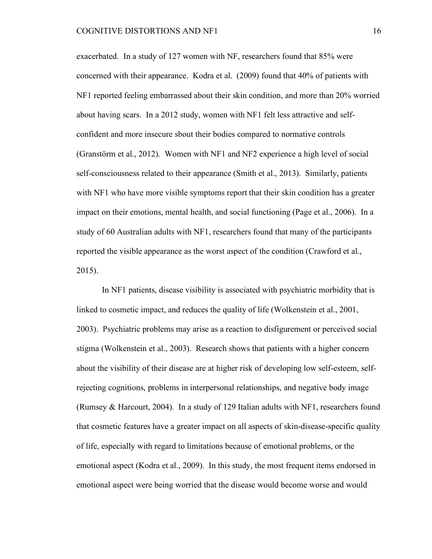exacerbated. In a study of 127 women with NF, researchers found that 85% were concerned with their appearance. Kodra et al. (2009) found that 40% of patients with NF1 reported feeling embarrassed about their skin condition, and more than 20% worried about having scars. In a 2012 study, women with NF1 felt less attractive and selfconfident and more insecure sbout their bodies compared to normative controls (Granstörm et al., 2012). Women with NF1 and NF2 experience a high level of social self-consciousness related to their appearance (Smith et al., 2013). Similarly, patients with NF1 who have more visible symptoms report that their skin condition has a greater impact on their emotions, mental health, and social functioning (Page et al., 2006). In a study of 60 Australian adults with NF1, researchers found that many of the participants reported the visible appearance as the worst aspect of the condition (Crawford et al., 2015).

In NF1 patients, disease visibility is associated with psychiatric morbidity that is linked to cosmetic impact, and reduces the quality of life (Wolkenstein et al., 2001, 2003). Psychiatric problems may arise as a reaction to disfigurement or perceived social stigma (Wolkenstein et al., 2003). Research shows that patients with a higher concern about the visibility of their disease are at higher risk of developing low self-esteem, selfrejecting cognitions, problems in interpersonal relationships, and negative body image (Rumsey & Harcourt, 2004). In a study of 129 Italian adults with NF1, researchers found that cosmetic features have a greater impact on all aspects of skin-disease-specific quality of life, especially with regard to limitations because of emotional problems, or the emotional aspect (Kodra et al., 2009). In this study, the most frequent items endorsed in emotional aspect were being worried that the disease would become worse and would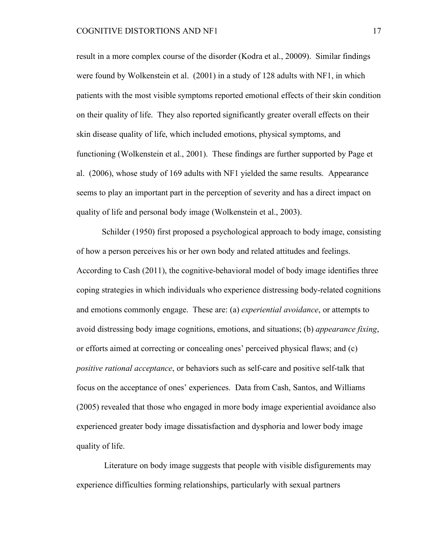result in a more complex course of the disorder (Kodra et al., 20009). Similar findings were found by Wolkenstein et al. (2001) in a study of 128 adults with NF1, in which patients with the most visible symptoms reported emotional effects of their skin condition on their quality of life. They also reported significantly greater overall effects on their skin disease quality of life, which included emotions, physical symptoms, and functioning (Wolkenstein et al., 2001). These findings are further supported by Page et al. (2006), whose study of 169 adults with NF1 yielded the same results. Appearance seems to play an important part in the perception of severity and has a direct impact on quality of life and personal body image (Wolkenstein et al., 2003).

Schilder (1950) first proposed a psychological approach to body image, consisting of how a person perceives his or her own body and related attitudes and feelings. According to Cash (2011), the cognitive-behavioral model of body image identifies three coping strategies in which individuals who experience distressing body-related cognitions and emotions commonly engage. These are: (a) *experiential avoidance*, or attempts to avoid distressing body image cognitions, emotions, and situations; (b) *appearance fixing*, or efforts aimed at correcting or concealing ones' perceived physical flaws; and (c) *positive rational acceptance*, or behaviors such as self-care and positive self-talk that focus on the acceptance of ones' experiences. Data from Cash, Santos, and Williams (2005) revealed that those who engaged in more body image experiential avoidance also experienced greater body image dissatisfaction and dysphoria and lower body image quality of life.

Literature on body image suggests that people with visible disfigurements may experience difficulties forming relationships, particularly with sexual partners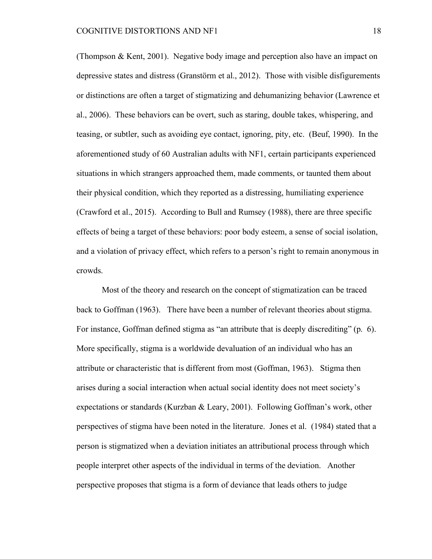(Thompson & Kent, 2001). Negative body image and perception also have an impact on depressive states and distress (Granstörm et al., 2012). Those with visible disfigurements or distinctions are often a target of stigmatizing and dehumanizing behavior (Lawrence et al., 2006). These behaviors can be overt, such as staring, double takes, whispering, and teasing, or subtler, such as avoiding eye contact, ignoring, pity, etc. (Beuf, 1990). In the aforementioned study of 60 Australian adults with NF1, certain participants experienced situations in which strangers approached them, made comments, or taunted them about their physical condition, which they reported as a distressing, humiliating experience (Crawford et al., 2015). According to Bull and Rumsey (1988), there are three specific effects of being a target of these behaviors: poor body esteem, a sense of social isolation, and a violation of privacy effect, which refers to a person's right to remain anonymous in crowds.

Most of the theory and research on the concept of stigmatization can be traced back to Goffman (1963). There have been a number of relevant theories about stigma. For instance, Goffman defined stigma as "an attribute that is deeply discrediting" (p. 6). More specifically, stigma is a worldwide devaluation of an individual who has an attribute or characteristic that is different from most (Goffman, 1963). Stigma then arises during a social interaction when actual social identity does not meet society's expectations or standards (Kurzban & Leary, 2001). Following Goffman's work, other perspectives of stigma have been noted in the literature. Jones et al. (1984) stated that a person is stigmatized when a deviation initiates an attributional process through which people interpret other aspects of the individual in terms of the deviation. Another perspective proposes that stigma is a form of deviance that leads others to judge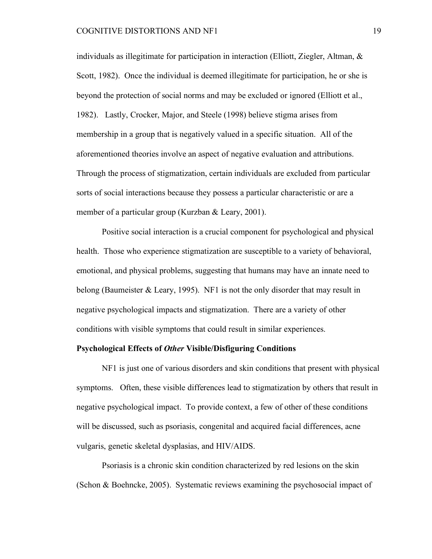individuals as illegitimate for participation in interaction (Elliott, Ziegler, Altman, & Scott, 1982). Once the individual is deemed illegitimate for participation, he or she is beyond the protection of social norms and may be excluded or ignored (Elliott et al., 1982). Lastly, Crocker, Major, and Steele (1998) believe stigma arises from membership in a group that is negatively valued in a specific situation. All of the aforementioned theories involve an aspect of negative evaluation and attributions. Through the process of stigmatization, certain individuals are excluded from particular sorts of social interactions because they possess a particular characteristic or are a member of a particular group (Kurzban & Leary, 2001).

Positive social interaction is a crucial component for psychological and physical health. Those who experience stigmatization are susceptible to a variety of behavioral, emotional, and physical problems, suggesting that humans may have an innate need to belong (Baumeister & Leary, 1995). NF1 is not the only disorder that may result in negative psychological impacts and stigmatization. There are a variety of other conditions with visible symptoms that could result in similar experiences.

#### **Psychological Effects of** *Other* **Visible/Disfiguring Conditions**

NF1 is just one of various disorders and skin conditions that present with physical symptoms. Often, these visible differences lead to stigmatization by others that result in negative psychological impact. To provide context, a few of other of these conditions will be discussed, such as psoriasis, congenital and acquired facial differences, acne vulgaris, genetic skeletal dysplasias, and HIV/AIDS.

Psoriasis is a chronic skin condition characterized by red lesions on the skin (Schon & Boehncke, 2005). Systematic reviews examining the psychosocial impact of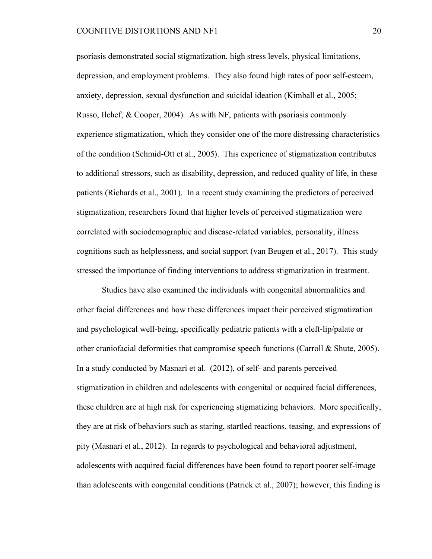psoriasis demonstrated social stigmatization, high stress levels, physical limitations, depression, and employment problems. They also found high rates of poor self-esteem, anxiety, depression, sexual dysfunction and suicidal ideation (Kimball et al., 2005; Russo, Ilchef, & Cooper, 2004). As with NF, patients with psoriasis commonly experience stigmatization, which they consider one of the more distressing characteristics of the condition (Schmid-Ott et al., 2005). This experience of stigmatization contributes to additional stressors, such as disability, depression, and reduced quality of life, in these patients (Richards et al., 2001). In a recent study examining the predictors of perceived stigmatization, researchers found that higher levels of perceived stigmatization were correlated with sociodemographic and disease-related variables, personality, illness cognitions such as helplessness, and social support (van Beugen et al., 2017). This study stressed the importance of finding interventions to address stigmatization in treatment.

Studies have also examined the individuals with congenital abnormalities and other facial differences and how these differences impact their perceived stigmatization and psychological well-being, specifically pediatric patients with a cleft-lip/palate or other craniofacial deformities that compromise speech functions (Carroll  $\&$  Shute, 2005). In a study conducted by Masnari et al. (2012), of self- and parents perceived stigmatization in children and adolescents with congenital or acquired facial differences, these children are at high risk for experiencing stigmatizing behaviors. More specifically, they are at risk of behaviors such as staring, startled reactions, teasing, and expressions of pity (Masnari et al., 2012). In regards to psychological and behavioral adjustment, adolescents with acquired facial differences have been found to report poorer self-image than adolescents with congenital conditions (Patrick et al., 2007); however, this finding is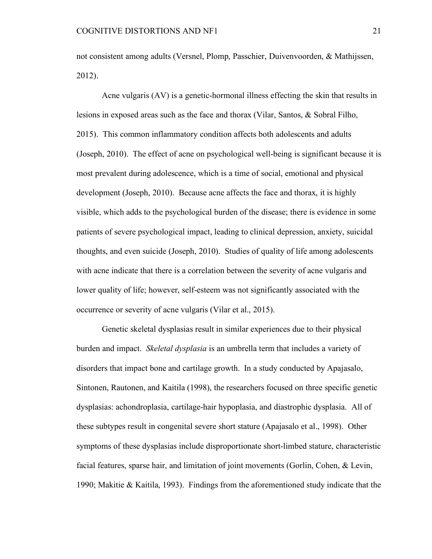not consistent among adults (Versnel, Plomp, Passchier, Duivenvoorden, & Mathijssen, 2012).

Acne vulgaris (AV) is a genetic-hormonal illness effecting the skin that results in lesions in exposed areas such as the face and thorax (Vilar, Santos, & Sobral Filho, 2015). This common inflammatory condition affects both adolescents and adults (Joseph, 2010). The effect of acne on psychological well-being is significant because it is most prevalent during adolescence, which is a time of social, emotional and physical development (Joseph, 2010). Because acne affects the face and thorax, it is highly visible, which adds to the psychological burden of the disease; there is evidence in some patients of severe psychological impact, leading to clinical depression, anxiety, suicidal thoughts, and even suicide (Joseph, 2010). Studies of quality of life among adolescents with acne indicate that there is a correlation between the severity of acne vulgaris and lower quality of life; however, self-esteem was not significantly associated with the occurrence or severity of acne vulgaris (Vilar et al., 2015).

Genetic skeletal dysplasias result in similar experiences due to their physical burden and impact. *Skeletal dysplasia* is an umbrella term that includes a variety of disorders that impact bone and cartilage growth. In a study conducted by Apajasalo, Sintonen, Rautonen, and Kaitila (1998), the researchers focused on three specific genetic dysplasias: achondroplasia, cartilage-hair hypoplasia, and diastrophic dysplasia. All of these subtypes result in congenital severe short stature (Apajasalo et al., 1998). Other symptoms of these dysplasias include disproportionate short-limbed stature, characteristic facial features, sparse hair, and limitation of joint movements (Gorlin, Cohen, & Levin, 1990; Makitie & Kaitila, 1993). Findings from the aforementioned study indicate that the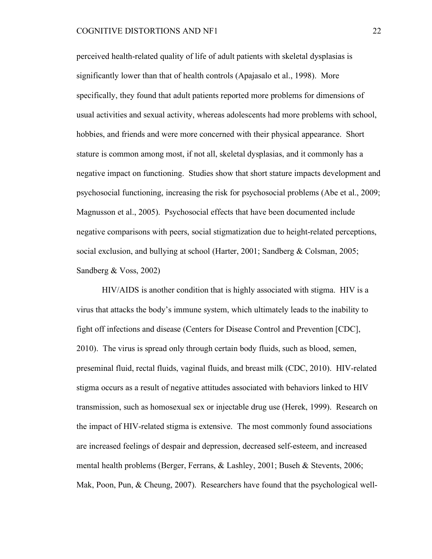perceived health-related quality of life of adult patients with skeletal dysplasias is significantly lower than that of health controls (Apajasalo et al., 1998). More specifically, they found that adult patients reported more problems for dimensions of usual activities and sexual activity, whereas adolescents had more problems with school, hobbies, and friends and were more concerned with their physical appearance. Short stature is common among most, if not all, skeletal dysplasias, and it commonly has a negative impact on functioning. Studies show that short stature impacts development and psychosocial functioning, increasing the risk for psychosocial problems (Abe et al., 2009; Magnusson et al., 2005). Psychosocial effects that have been documented include negative comparisons with peers, social stigmatization due to height-related perceptions, social exclusion, and bullying at school (Harter, 2001; Sandberg & Colsman, 2005; Sandberg & Voss, 2002)

HIV/AIDS is another condition that is highly associated with stigma. HIV is a virus that attacks the body's immune system, which ultimately leads to the inability to fight off infections and disease (Centers for Disease Control and Prevention [CDC], 2010). The virus is spread only through certain body fluids, such as blood, semen, preseminal fluid, rectal fluids, vaginal fluids, and breast milk (CDC, 2010). HIV-related stigma occurs as a result of negative attitudes associated with behaviors linked to HIV transmission, such as homosexual sex or injectable drug use (Herek, 1999). Research on the impact of HIV-related stigma is extensive. The most commonly found associations are increased feelings of despair and depression, decreased self-esteem, and increased mental health problems (Berger, Ferrans, & Lashley, 2001; Buseh & Stevents, 2006; Mak, Poon, Pun, & Cheung, 2007). Researchers have found that the psychological well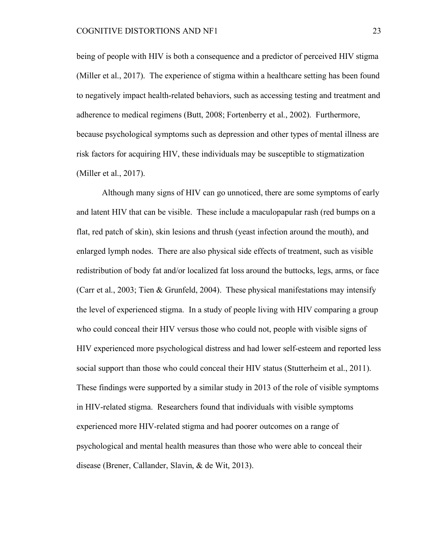being of people with HIV is both a consequence and a predictor of perceived HIV stigma (Miller et al., 2017). The experience of stigma within a healthcare setting has been found to negatively impact health-related behaviors, such as accessing testing and treatment and adherence to medical regimens (Butt, 2008; Fortenberry et al., 2002). Furthermore, because psychological symptoms such as depression and other types of mental illness are risk factors for acquiring HIV, these individuals may be susceptible to stigmatization (Miller et al., 2017).

Although many signs of HIV can go unnoticed, there are some symptoms of early and latent HIV that can be visible. These include a maculopapular rash (red bumps on a flat, red patch of skin), skin lesions and thrush (yeast infection around the mouth), and enlarged lymph nodes. There are also physical side effects of treatment, such as visible redistribution of body fat and/or localized fat loss around the buttocks, legs, arms, or face (Carr et al., 2003; Tien & Grunfeld, 2004). These physical manifestations may intensify the level of experienced stigma. In a study of people living with HIV comparing a group who could conceal their HIV versus those who could not, people with visible signs of HIV experienced more psychological distress and had lower self-esteem and reported less social support than those who could conceal their HIV status (Stutterheim et al., 2011). These findings were supported by a similar study in 2013 of the role of visible symptoms in HIV-related stigma. Researchers found that individuals with visible symptoms experienced more HIV-related stigma and had poorer outcomes on a range of psychological and mental health measures than those who were able to conceal their disease (Brener, Callander, Slavin, & de Wit, 2013).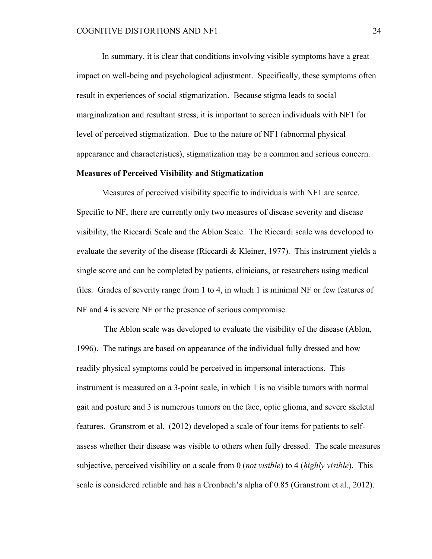In summary, it is clear that conditions involving visible symptoms have a great impact on well-being and psychological adjustment. Specifically, these symptoms often result in experiences of social stigmatization. Because stigma leads to social marginalization and resultant stress, it is important to screen individuals with NF1 for level of perceived stigmatization. Due to the nature of NF1 (abnormal physical appearance and characteristics), stigmatization may be a common and serious concern.

#### **Measures of Perceived Visibility and Stigmatization**

Measures of perceived visibility specific to individuals with NF1 are scarce. Specific to NF, there are currently only two measures of disease severity and disease visibility, the Riccardi Scale and the Ablon Scale. The Riccardi scale was developed to evaluate the severity of the disease (Riccardi & Kleiner, 1977). This instrument yields a single score and can be completed by patients, clinicians, or researchers using medical files. Grades of severity range from 1 to 4, in which 1 is minimal NF or few features of NF and 4 is severe NF or the presence of serious compromise.

The Ablon scale was developed to evaluate the visibility of the disease (Ablon, 1996). The ratings are based on appearance of the individual fully dressed and how readily physical symptoms could be perceived in impersonal interactions. This instrument is measured on a 3-point scale, in which 1 is no visible tumors with normal gait and posture and 3 is numerous tumors on the face, optic glioma, and severe skeletal features. Granstrom et al. (2012) developed a scale of four items for patients to selfassess whether their disease was visible to others when fully dressed. The scale measures subjective, perceived visibility on a scale from 0 (*not visible*) to 4 (*highly visible*). This scale is considered reliable and has a Cronbach's alpha of 0.85 (Granstrom et al., 2012).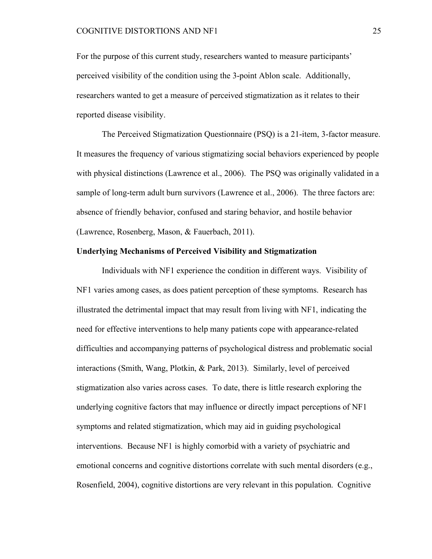For the purpose of this current study, researchers wanted to measure participants' perceived visibility of the condition using the 3-point Ablon scale. Additionally, researchers wanted to get a measure of perceived stigmatization as it relates to their reported disease visibility.

The Perceived Stigmatization Questionnaire (PSQ) is a 21-item, 3-factor measure. It measures the frequency of various stigmatizing social behaviors experienced by people with physical distinctions (Lawrence et al., 2006). The PSQ was originally validated in a sample of long-term adult burn survivors (Lawrence et al., 2006). The three factors are: absence of friendly behavior, confused and staring behavior, and hostile behavior (Lawrence, Rosenberg, Mason, & Fauerbach, 2011).

#### **Underlying Mechanisms of Perceived Visibility and Stigmatization**

Individuals with NF1 experience the condition in different ways. Visibility of NF1 varies among cases, as does patient perception of these symptoms. Research has illustrated the detrimental impact that may result from living with NF1, indicating the need for effective interventions to help many patients cope with appearance-related difficulties and accompanying patterns of psychological distress and problematic social interactions (Smith, Wang, Plotkin, & Park, 2013). Similarly, level of perceived stigmatization also varies across cases. To date, there is little research exploring the underlying cognitive factors that may influence or directly impact perceptions of NF1 symptoms and related stigmatization, which may aid in guiding psychological interventions. Because NF1 is highly comorbid with a variety of psychiatric and emotional concerns and cognitive distortions correlate with such mental disorders (e.g., Rosenfield, 2004), cognitive distortions are very relevant in this population. Cognitive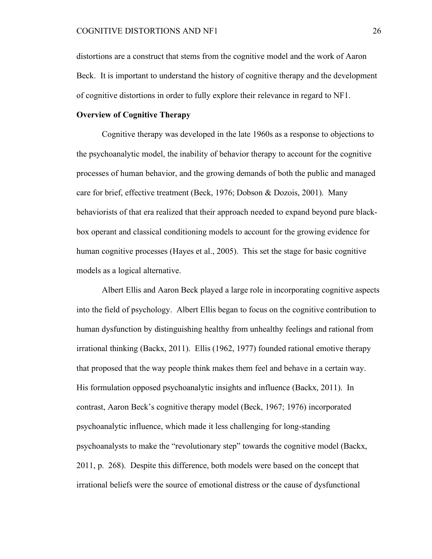distortions are a construct that stems from the cognitive model and the work of Aaron Beck. It is important to understand the history of cognitive therapy and the development of cognitive distortions in order to fully explore their relevance in regard to NF1.

#### **Overview of Cognitive Therapy**

Cognitive therapy was developed in the late 1960s as a response to objections to the psychoanalytic model, the inability of behavior therapy to account for the cognitive processes of human behavior, and the growing demands of both the public and managed care for brief, effective treatment (Beck, 1976; Dobson & Dozois, 2001). Many behaviorists of that era realized that their approach needed to expand beyond pure blackbox operant and classical conditioning models to account for the growing evidence for human cognitive processes (Hayes et al., 2005). This set the stage for basic cognitive models as a logical alternative.

Albert Ellis and Aaron Beck played a large role in incorporating cognitive aspects into the field of psychology. Albert Ellis began to focus on the cognitive contribution to human dysfunction by distinguishing healthy from unhealthy feelings and rational from irrational thinking (Backx, 2011). Ellis (1962, 1977) founded rational emotive therapy that proposed that the way people think makes them feel and behave in a certain way. His formulation opposed psychoanalytic insights and influence (Backx, 2011). In contrast, Aaron Beck's cognitive therapy model (Beck, 1967; 1976) incorporated psychoanalytic influence, which made it less challenging for long-standing psychoanalysts to make the "revolutionary step" towards the cognitive model (Backx, 2011, p. 268). Despite this difference, both models were based on the concept that irrational beliefs were the source of emotional distress or the cause of dysfunctional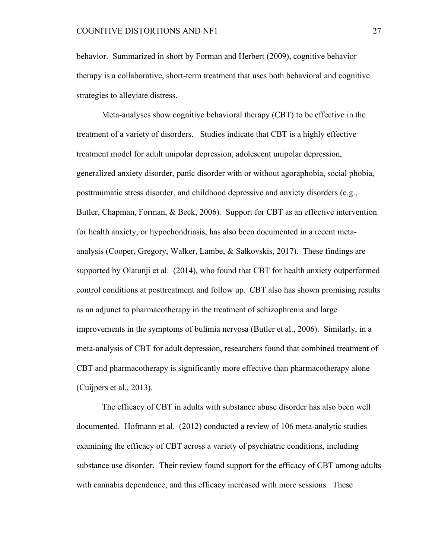behavior. Summarized in short by Forman and Herbert (2009), cognitive behavior therapy is a collaborative, short-term treatment that uses both behavioral and cognitive strategies to alleviate distress.

Meta-analyses show cognitive behavioral therapy (CBT) to be effective in the treatment of a variety of disorders. Studies indicate that CBT is a highly effective treatment model for adult unipolar depression, adolescent unipolar depression, generalized anxiety disorder, panic disorder with or without agoraphobia, social phobia, posttraumatic stress disorder, and childhood depressive and anxiety disorders (e.g., Butler, Chapman, Forman, & Beck, 2006). Support for CBT as an effective intervention for health anxiety, or hypochondriasis, has also been documented in a recent metaanalysis (Cooper, Gregory, Walker, Lambe, & Salkovskis, 2017). These findings are supported by Olatunji et al. (2014), who found that CBT for health anxiety outperformed control conditions at posttreatment and follow up. CBT also has shown promising results as an adjunct to pharmacotherapy in the treatment of schizophrenia and large improvements in the symptoms of bulimia nervosa (Butler et al., 2006). Similarly, in a meta-analysis of CBT for adult depression, researchers found that combined treatment of CBT and pharmacotherapy is significantly more effective than pharmacotherapy alone (Cuijpers et al., 2013).

The efficacy of CBT in adults with substance abuse disorder has also been well documented. Hofmann et al. (2012) conducted a review of 106 meta-analytic studies examining the efficacy of CBT across a variety of psychiatric conditions, including substance use disorder. Their review found support for the efficacy of CBT among adults with cannabis dependence, and this efficacy increased with more sessions. These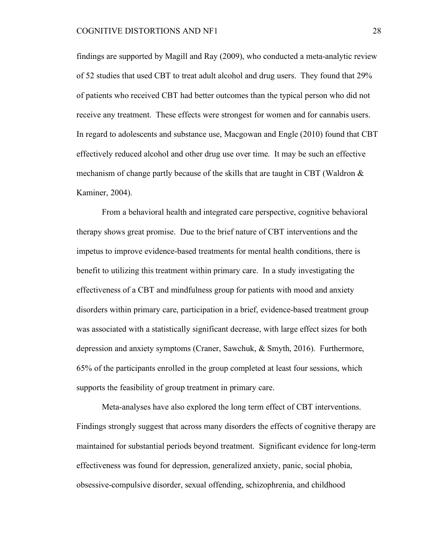findings are supported by Magill and Ray (2009), who conducted a meta-analytic review of 52 studies that used CBT to treat adult alcohol and drug users. They found that 29% of patients who received CBT had better outcomes than the typical person who did not receive any treatment. These effects were strongest for women and for cannabis users. In regard to adolescents and substance use, Macgowan and Engle (2010) found that CBT effectively reduced alcohol and other drug use over time. It may be such an effective mechanism of change partly because of the skills that are taught in CBT (Waldron  $\&$ Kaminer, 2004).

From a behavioral health and integrated care perspective, cognitive behavioral therapy shows great promise. Due to the brief nature of CBT interventions and the impetus to improve evidence-based treatments for mental health conditions, there is benefit to utilizing this treatment within primary care. In a study investigating the effectiveness of a CBT and mindfulness group for patients with mood and anxiety disorders within primary care, participation in a brief, evidence-based treatment group was associated with a statistically significant decrease, with large effect sizes for both depression and anxiety symptoms (Craner, Sawchuk, & Smyth, 2016). Furthermore, 65% of the participants enrolled in the group completed at least four sessions, which supports the feasibility of group treatment in primary care.

Meta-analyses have also explored the long term effect of CBT interventions. Findings strongly suggest that across many disorders the effects of cognitive therapy are maintained for substantial periods beyond treatment. Significant evidence for long-term effectiveness was found for depression, generalized anxiety, panic, social phobia, obsessive-compulsive disorder, sexual offending, schizophrenia, and childhood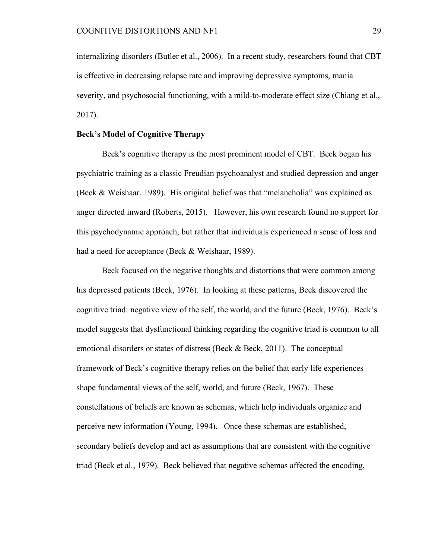internalizing disorders (Butler et al., 2006). In a recent study, researchers found that CBT is effective in decreasing relapse rate and improving depressive symptoms, mania severity, and psychosocial functioning, with a mild-to-moderate effect size (Chiang et al., 2017).

### **Beck's Model of Cognitive Therapy**

Beck's cognitive therapy is the most prominent model of CBT. Beck began his psychiatric training as a classic Freudian psychoanalyst and studied depression and anger (Beck & Weishaar, 1989). His original belief was that "melancholia" was explained as anger directed inward (Roberts, 2015). However, his own research found no support for this psychodynamic approach, but rather that individuals experienced a sense of loss and had a need for acceptance (Beck & Weishaar, 1989).

Beck focused on the negative thoughts and distortions that were common among his depressed patients (Beck, 1976). In looking at these patterns, Beck discovered the cognitive triad: negative view of the self, the world, and the future (Beck, 1976). Beck's model suggests that dysfunctional thinking regarding the cognitive triad is common to all emotional disorders or states of distress (Beck & Beck, 2011). The conceptual framework of Beck's cognitive therapy relies on the belief that early life experiences shape fundamental views of the self, world, and future (Beck, 1967). These constellations of beliefs are known as schemas, which help individuals organize and perceive new information (Young, 1994). Once these schemas are established, secondary beliefs develop and act as assumptions that are consistent with the cognitive triad (Beck et al., 1979). Beck believed that negative schemas affected the encoding,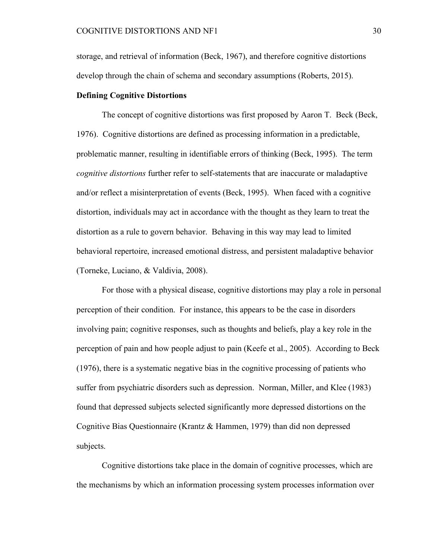storage, and retrieval of information (Beck, 1967), and therefore cognitive distortions develop through the chain of schema and secondary assumptions (Roberts, 2015).

### **Defining Cognitive Distortions**

The concept of cognitive distortions was first proposed by Aaron T. Beck (Beck, 1976). Cognitive distortions are defined as processing information in a predictable, problematic manner, resulting in identifiable errors of thinking (Beck, 1995). The term *cognitive distortions* further refer to self-statements that are inaccurate or maladaptive and/or reflect a misinterpretation of events (Beck, 1995). When faced with a cognitive distortion, individuals may act in accordance with the thought as they learn to treat the distortion as a rule to govern behavior. Behaving in this way may lead to limited behavioral repertoire, increased emotional distress, and persistent maladaptive behavior (Torneke, Luciano, & Valdivia, 2008).

For those with a physical disease, cognitive distortions may play a role in personal perception of their condition. For instance, this appears to be the case in disorders involving pain; cognitive responses, such as thoughts and beliefs, play a key role in the perception of pain and how people adjust to pain (Keefe et al., 2005). According to Beck (1976), there is a systematic negative bias in the cognitive processing of patients who suffer from psychiatric disorders such as depression. Norman, Miller, and Klee (1983) found that depressed subjects selected significantly more depressed distortions on the Cognitive Bias Questionnaire (Krantz & Hammen, 1979) than did non depressed subjects.

Cognitive distortions take place in the domain of cognitive processes, which are the mechanisms by which an information processing system processes information over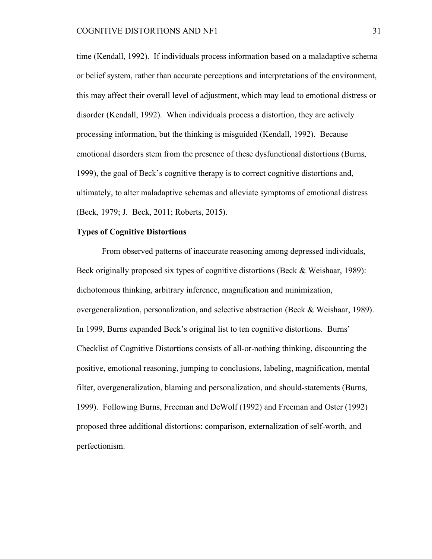time (Kendall, 1992). If individuals process information based on a maladaptive schema or belief system, rather than accurate perceptions and interpretations of the environment, this may affect their overall level of adjustment, which may lead to emotional distress or disorder (Kendall, 1992). When individuals process a distortion, they are actively processing information, but the thinking is misguided (Kendall, 1992). Because emotional disorders stem from the presence of these dysfunctional distortions (Burns, 1999), the goal of Beck's cognitive therapy is to correct cognitive distortions and, ultimately, to alter maladaptive schemas and alleviate symptoms of emotional distress (Beck, 1979; J. Beck, 2011; Roberts, 2015).

# **Types of Cognitive Distortions**

From observed patterns of inaccurate reasoning among depressed individuals, Beck originally proposed six types of cognitive distortions (Beck & Weishaar, 1989): dichotomous thinking, arbitrary inference, magnification and minimization, overgeneralization, personalization, and selective abstraction (Beck & Weishaar, 1989). In 1999, Burns expanded Beck's original list to ten cognitive distortions. Burns' Checklist of Cognitive Distortions consists of all-or-nothing thinking, discounting the positive, emotional reasoning, jumping to conclusions, labeling, magnification, mental filter, overgeneralization, blaming and personalization, and should-statements (Burns, 1999). Following Burns, Freeman and DeWolf (1992) and Freeman and Oster (1992) proposed three additional distortions: comparison, externalization of self-worth, and perfectionism.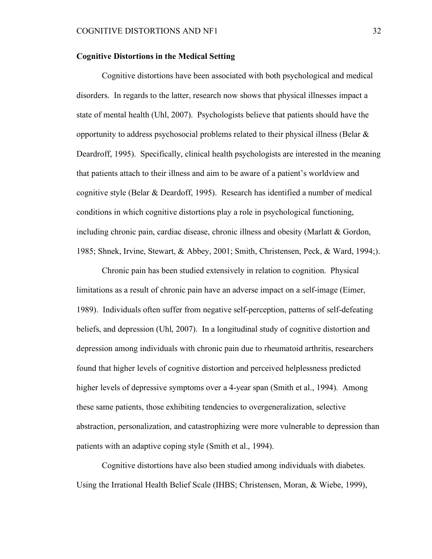# **Cognitive Distortions in the Medical Setting**

Cognitive distortions have been associated with both psychological and medical disorders. In regards to the latter, research now shows that physical illnesses impact a state of mental health (Uhl, 2007). Psychologists believe that patients should have the opportunity to address psychosocial problems related to their physical illness (Belar  $\&$ Deardroff, 1995). Specifically, clinical health psychologists are interested in the meaning that patients attach to their illness and aim to be aware of a patient's worldview and cognitive style (Belar & Deardoff, 1995). Research has identified a number of medical conditions in which cognitive distortions play a role in psychological functioning, including chronic pain, cardiac disease, chronic illness and obesity (Marlatt & Gordon, 1985; Shnek, Irvine, Stewart, & Abbey, 2001; Smith, Christensen, Peck, & Ward, 1994;).

Chronic pain has been studied extensively in relation to cognition. Physical limitations as a result of chronic pain have an adverse impact on a self-image (Eimer, 1989). Individuals often suffer from negative self-perception, patterns of self-defeating beliefs, and depression (Uhl, 2007). In a longitudinal study of cognitive distortion and depression among individuals with chronic pain due to rheumatoid arthritis, researchers found that higher levels of cognitive distortion and perceived helplessness predicted higher levels of depressive symptoms over a 4-year span (Smith et al., 1994). Among these same patients, those exhibiting tendencies to overgeneralization, selective abstraction, personalization, and catastrophizing were more vulnerable to depression than patients with an adaptive coping style (Smith et al., 1994).

Cognitive distortions have also been studied among individuals with diabetes. Using the Irrational Health Belief Scale (IHBS; Christensen, Moran, & Wiebe, 1999),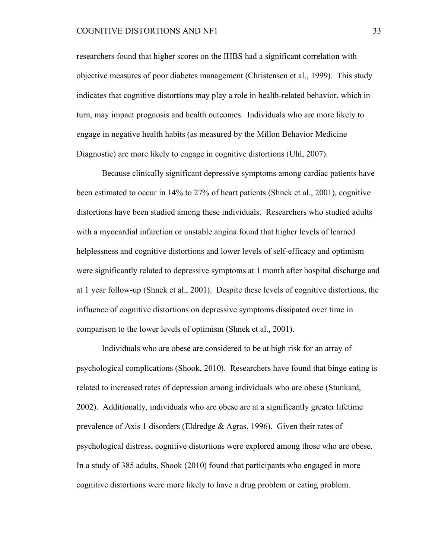researchers found that higher scores on the IHBS had a significant correlation with objective measures of poor diabetes management (Christensen et al., 1999). This study indicates that cognitive distortions may play a role in health-related behavior, which in turn, may impact prognosis and health outcomes. Individuals who are more likely to engage in negative health habits (as measured by the Millon Behavior Medicine Diagnostic) are more likely to engage in cognitive distortions (Uhl, 2007).

Because clinically significant depressive symptoms among cardiac patients have been estimated to occur in 14% to 27% of heart patients (Shnek et al., 2001), cognitive distortions have been studied among these individuals. Researchers who studied adults with a myocardial infarction or unstable angina found that higher levels of learned helplessness and cognitive distortions and lower levels of self-efficacy and optimism were significantly related to depressive symptoms at 1 month after hospital discharge and at 1 year follow-up (Shnek et al., 2001). Despite these levels of cognitive distortions, the influence of cognitive distortions on depressive symptoms dissipated over time in comparison to the lower levels of optimism (Shnek et al., 2001).

Individuals who are obese are considered to be at high risk for an array of psychological complications (Shook, 2010). Researchers have found that binge eating is related to increased rates of depression among individuals who are obese (Stunkard, 2002). Additionally, individuals who are obese are at a significantly greater lifetime prevalence of Axis 1 disorders (Eldredge & Agras, 1996). Given their rates of psychological distress, cognitive distortions were explored among those who are obese. In a study of 385 adults, Shook (2010) found that participants who engaged in more cognitive distortions were more likely to have a drug problem or eating problem.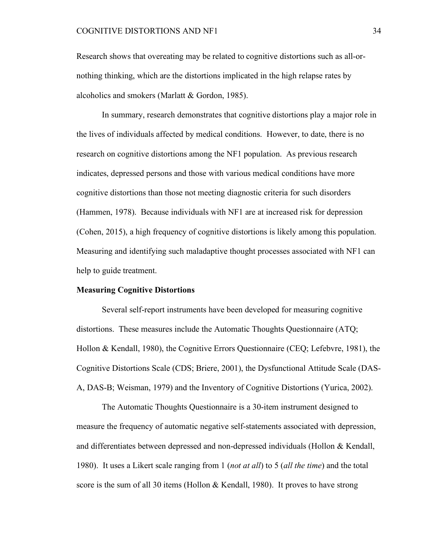Research shows that overeating may be related to cognitive distortions such as all-ornothing thinking, which are the distortions implicated in the high relapse rates by alcoholics and smokers (Marlatt & Gordon, 1985).

In summary, research demonstrates that cognitive distortions play a major role in the lives of individuals affected by medical conditions. However, to date, there is no research on cognitive distortions among the NF1 population. As previous research indicates, depressed persons and those with various medical conditions have more cognitive distortions than those not meeting diagnostic criteria for such disorders (Hammen, 1978). Because individuals with NF1 are at increased risk for depression (Cohen, 2015), a high frequency of cognitive distortions is likely among this population. Measuring and identifying such maladaptive thought processes associated with NF1 can help to guide treatment.

#### **Measuring Cognitive Distortions**

Several self-report instruments have been developed for measuring cognitive distortions. These measures include the Automatic Thoughts Questionnaire (ATQ; Hollon & Kendall, 1980), the Cognitive Errors Questionnaire (CEQ; Lefebvre, 1981), the Cognitive Distortions Scale (CDS; Briere, 2001), the Dysfunctional Attitude Scale (DAS-A, DAS-B; Weisman, 1979) and the Inventory of Cognitive Distortions (Yurica, 2002).

The Automatic Thoughts Questionnaire is a 30-item instrument designed to measure the frequency of automatic negative self-statements associated with depression, and differentiates between depressed and non-depressed individuals (Hollon & Kendall, 1980). It uses a Likert scale ranging from 1 (*not at all*) to 5 (*all the time*) and the total score is the sum of all 30 items (Hollon & Kendall, 1980). It proves to have strong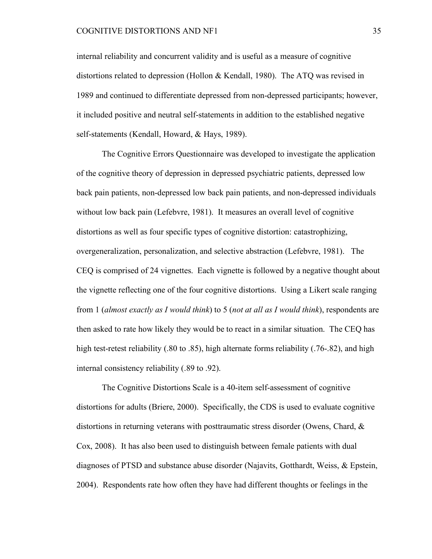internal reliability and concurrent validity and is useful as a measure of cognitive distortions related to depression (Hollon & Kendall, 1980). The ATQ was revised in 1989 and continued to differentiate depressed from non-depressed participants; however, it included positive and neutral self-statements in addition to the established negative self-statements (Kendall, Howard, & Hays, 1989).

The Cognitive Errors Questionnaire was developed to investigate the application of the cognitive theory of depression in depressed psychiatric patients, depressed low back pain patients, non-depressed low back pain patients, and non-depressed individuals without low back pain (Lefebvre, 1981). It measures an overall level of cognitive distortions as well as four specific types of cognitive distortion: catastrophizing, overgeneralization, personalization, and selective abstraction (Lefebvre, 1981). The CEQ is comprised of 24 vignettes. Each vignette is followed by a negative thought about the vignette reflecting one of the four cognitive distortions. Using a Likert scale ranging from 1 (*almost exactly as I would think*) to 5 (*not at all as I would think*), respondents are then asked to rate how likely they would be to react in a similar situation. The CEQ has high test-retest reliability (.80 to .85), high alternate forms reliability (.76-.82), and high internal consistency reliability (.89 to .92).

The Cognitive Distortions Scale is a 40-item self-assessment of cognitive distortions for adults (Briere, 2000). Specifically, the CDS is used to evaluate cognitive distortions in returning veterans with posttraumatic stress disorder (Owens, Chard, & Cox, 2008). It has also been used to distinguish between female patients with dual diagnoses of PTSD and substance abuse disorder (Najavits, Gotthardt, Weiss, & Epstein, 2004). Respondents rate how often they have had different thoughts or feelings in the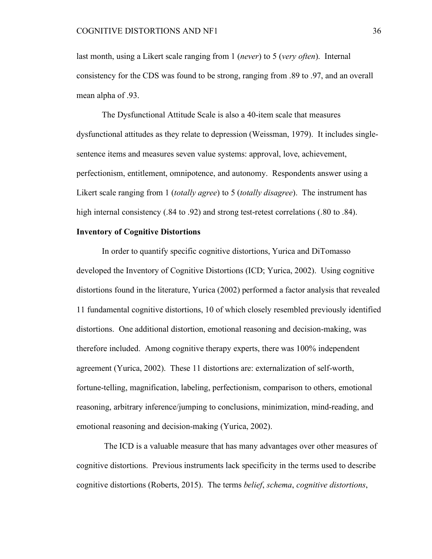last month, using a Likert scale ranging from 1 (*never*) to 5 (*very often*). Internal consistency for the CDS was found to be strong, ranging from .89 to .97, and an overall mean alpha of .93.

The Dysfunctional Attitude Scale is also a 40-item scale that measures dysfunctional attitudes as they relate to depression (Weissman, 1979). It includes singlesentence items and measures seven value systems: approval, love, achievement, perfectionism, entitlement, omnipotence, and autonomy. Respondents answer using a Likert scale ranging from 1 (*totally agree*) to 5 (*totally disagree*). The instrument has high internal consistency (.84 to .92) and strong test-retest correlations (.80 to .84).

# **Inventory of Cognitive Distortions**

In order to quantify specific cognitive distortions, Yurica and DiTomasso developed the Inventory of Cognitive Distortions (ICD; Yurica, 2002). Using cognitive distortions found in the literature, Yurica (2002) performed a factor analysis that revealed 11 fundamental cognitive distortions, 10 of which closely resembled previously identified distortions. One additional distortion, emotional reasoning and decision-making, was therefore included. Among cognitive therapy experts, there was 100% independent agreement (Yurica, 2002). These 11 distortions are: externalization of self-worth, fortune-telling, magnification, labeling, perfectionism, comparison to others, emotional reasoning, arbitrary inference/jumping to conclusions, minimization, mind-reading, and emotional reasoning and decision-making (Yurica, 2002).

The ICD is a valuable measure that has many advantages over other measures of cognitive distortions. Previous instruments lack specificity in the terms used to describe cognitive distortions (Roberts, 2015). The terms *belief*, *schema*, *cognitive distortions*,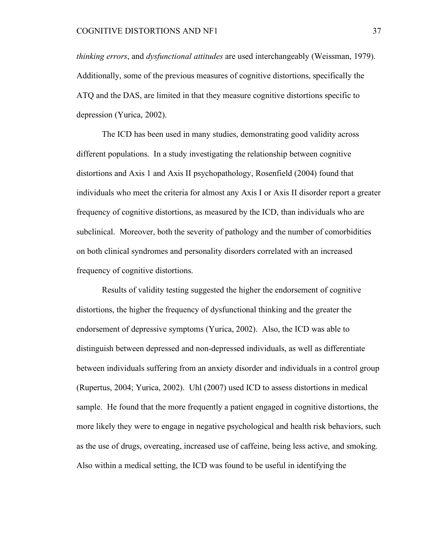*thinking errors*, and *dysfunctional attitudes* are used interchangeably (Weissman, 1979). Additionally, some of the previous measures of cognitive distortions, specifically the ATQ and the DAS, are limited in that they measure cognitive distortions specific to depression (Yurica, 2002).

The ICD has been used in many studies, demonstrating good validity across different populations. In a study investigating the relationship between cognitive distortions and Axis 1 and Axis II psychopathology, Rosenfield (2004) found that individuals who meet the criteria for almost any Axis I or Axis II disorder report a greater frequency of cognitive distortions, as measured by the ICD, than individuals who are subclinical. Moreover, both the severity of pathology and the number of comorbidities on both clinical syndromes and personality disorders correlated with an increased frequency of cognitive distortions.

Results of validity testing suggested the higher the endorsement of cognitive distortions, the higher the frequency of dysfunctional thinking and the greater the endorsement of depressive symptoms (Yurica, 2002). Also, the ICD was able to distinguish between depressed and non-depressed individuals, as well as differentiate between individuals suffering from an anxiety disorder and individuals in a control group (Rupertus, 2004; Yurica, 2002). Uhl (2007) used ICD to assess distortions in medical sample. He found that the more frequently a patient engaged in cognitive distortions, the more likely they were to engage in negative psychological and health risk behaviors, such as the use of drugs, overeating, increased use of caffeine, being less active, and smoking. Also within a medical setting, the ICD was found to be useful in identifying the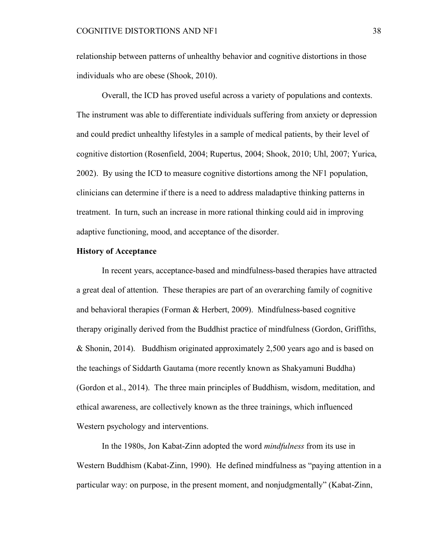relationship between patterns of unhealthy behavior and cognitive distortions in those individuals who are obese (Shook, 2010).

Overall, the ICD has proved useful across a variety of populations and contexts. The instrument was able to differentiate individuals suffering from anxiety or depression and could predict unhealthy lifestyles in a sample of medical patients, by their level of cognitive distortion (Rosenfield, 2004; Rupertus, 2004; Shook, 2010; Uhl, 2007; Yurica, 2002). By using the ICD to measure cognitive distortions among the NF1 population, clinicians can determine if there is a need to address maladaptive thinking patterns in treatment. In turn, such an increase in more rational thinking could aid in improving adaptive functioning, mood, and acceptance of the disorder.

# **History of Acceptance**

In recent years, acceptance-based and mindfulness-based therapies have attracted a great deal of attention. These therapies are part of an overarching family of cognitive and behavioral therapies (Forman & Herbert, 2009). Mindfulness-based cognitive therapy originally derived from the Buddhist practice of mindfulness (Gordon, Griffiths, & Shonin, 2014). Buddhism originated approximately 2,500 years ago and is based on the teachings of Siddarth Gautama (more recently known as Shakyamuni Buddha) (Gordon et al., 2014). The three main principles of Buddhism, wisdom, meditation, and ethical awareness, are collectively known as the three trainings, which influenced Western psychology and interventions.

In the 1980s, Jon Kabat-Zinn adopted the word *mindfulness* from its use in Western Buddhism (Kabat-Zinn, 1990). He defined mindfulness as "paying attention in a particular way: on purpose, in the present moment, and nonjudgmentally" (Kabat-Zinn,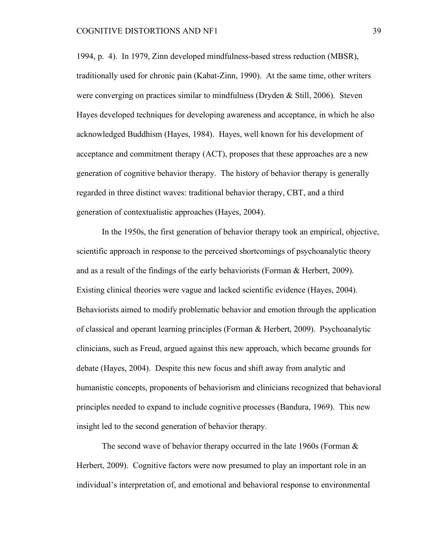1994, p. 4). In 1979, Zinn developed mindfulness-based stress reduction (MBSR), traditionally used for chronic pain (Kabat-Zinn, 1990). At the same time, other writers were converging on practices similar to mindfulness (Dryden & Still, 2006). Steven Hayes developed techniques for developing awareness and acceptance, in which he also acknowledged Buddhism (Hayes, 1984). Hayes, well known for his development of acceptance and commitment therapy (ACT), proposes that these approaches are a new generation of cognitive behavior therapy. The history of behavior therapy is generally regarded in three distinct waves: traditional behavior therapy, CBT, and a third generation of contextualistic approaches (Hayes, 2004).

In the 1950s, the first generation of behavior therapy took an empirical, objective, scientific approach in response to the perceived shortcomings of psychoanalytic theory and as a result of the findings of the early behaviorists (Forman & Herbert, 2009). Existing clinical theories were vague and lacked scientific evidence (Hayes, 2004). Behaviorists aimed to modify problematic behavior and emotion through the application of classical and operant learning principles (Forman & Herbert, 2009). Psychoanalytic clinicians, such as Freud, argued against this new approach, which became grounds for debate (Hayes, 2004). Despite this new focus and shift away from analytic and humanistic concepts, proponents of behaviorism and clinicians recognized that behavioral principles needed to expand to include cognitive processes (Bandura, 1969). This new insight led to the second generation of behavior therapy.

The second wave of behavior therapy occurred in the late 1960s (Forman  $\&$ Herbert, 2009). Cognitive factors were now presumed to play an important role in an individual's interpretation of, and emotional and behavioral response to environmental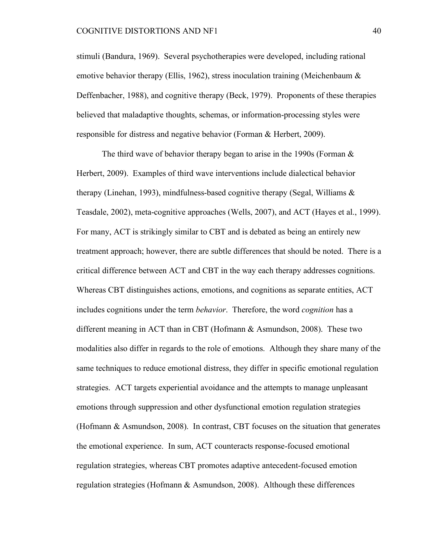stimuli (Bandura, 1969). Several psychotherapies were developed, including rational emotive behavior therapy (Ellis, 1962), stress inoculation training (Meichenbaum & Deffenbacher, 1988), and cognitive therapy (Beck, 1979). Proponents of these therapies believed that maladaptive thoughts, schemas, or information-processing styles were responsible for distress and negative behavior (Forman & Herbert, 2009).

The third wave of behavior therapy began to arise in the 1990s (Forman & Herbert, 2009). Examples of third wave interventions include dialectical behavior therapy (Linehan, 1993), mindfulness-based cognitive therapy (Segal, Williams & Teasdale, 2002), meta-cognitive approaches (Wells, 2007), and ACT (Hayes et al., 1999). For many, ACT is strikingly similar to CBT and is debated as being an entirely new treatment approach; however, there are subtle differences that should be noted. There is a critical difference between ACT and CBT in the way each therapy addresses cognitions. Whereas CBT distinguishes actions, emotions, and cognitions as separate entities, ACT includes cognitions under the term *behavior*. Therefore, the word *cognition* has a different meaning in ACT than in CBT (Hofmann & Asmundson, 2008). These two modalities also differ in regards to the role of emotions. Although they share many of the same techniques to reduce emotional distress, they differ in specific emotional regulation strategies. ACT targets experiential avoidance and the attempts to manage unpleasant emotions through suppression and other dysfunctional emotion regulation strategies (Hofmann & Asmundson, 2008). In contrast, CBT focuses on the situation that generates the emotional experience. In sum, ACT counteracts response-focused emotional regulation strategies, whereas CBT promotes adaptive antecedent-focused emotion regulation strategies (Hofmann & Asmundson, 2008). Although these differences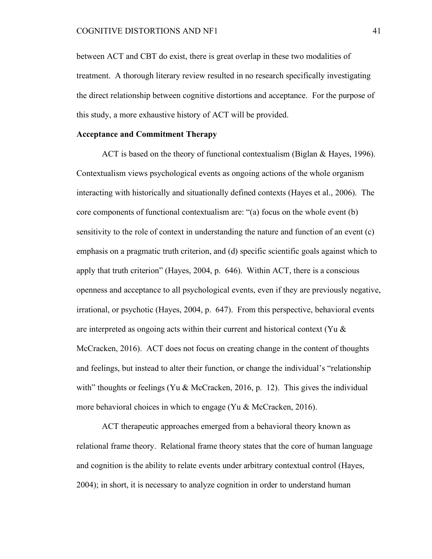between ACT and CBT do exist, there is great overlap in these two modalities of treatment. A thorough literary review resulted in no research specifically investigating the direct relationship between cognitive distortions and acceptance. For the purpose of this study, a more exhaustive history of ACT will be provided.

# **Acceptance and Commitment Therapy**

ACT is based on the theory of functional contextualism (Biglan & Hayes, 1996). Contextualism views psychological events as ongoing actions of the whole organism interacting with historically and situationally defined contexts (Hayes et al., 2006). The core components of functional contextualism are: "(a) focus on the whole event (b) sensitivity to the role of context in understanding the nature and function of an event (c) emphasis on a pragmatic truth criterion, and (d) specific scientific goals against which to apply that truth criterion" (Hayes, 2004, p. 646). Within ACT, there is a conscious openness and acceptance to all psychological events, even if they are previously negative, irrational, or psychotic (Hayes, 2004, p. 647). From this perspective, behavioral events are interpreted as ongoing acts within their current and historical context (Yu  $\&$ McCracken, 2016). ACT does not focus on creating change in the content of thoughts and feelings, but instead to alter their function, or change the individual's "relationship with" thoughts or feelings (Yu & McCracken, 2016, p. 12). This gives the individual more behavioral choices in which to engage (Yu & McCracken, 2016).

ACT therapeutic approaches emerged from a behavioral theory known as relational frame theory. Relational frame theory states that the core of human language and cognition is the ability to relate events under arbitrary contextual control (Hayes, 2004); in short, it is necessary to analyze cognition in order to understand human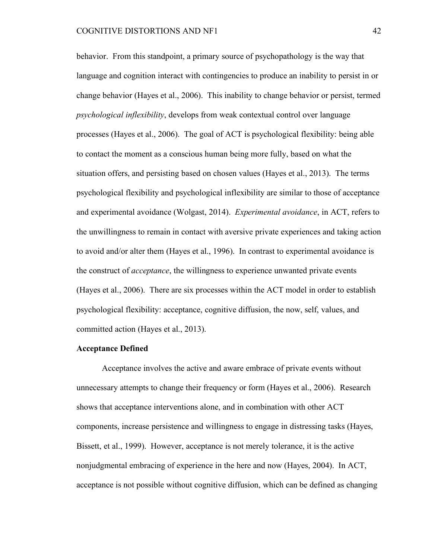behavior. From this standpoint, a primary source of psychopathology is the way that language and cognition interact with contingencies to produce an inability to persist in or change behavior (Hayes et al., 2006). This inability to change behavior or persist, termed *psychological inflexibility*, develops from weak contextual control over language processes (Hayes et al., 2006). The goal of ACT is psychological flexibility: being able to contact the moment as a conscious human being more fully, based on what the situation offers, and persisting based on chosen values (Hayes et al., 2013). The terms psychological flexibility and psychological inflexibility are similar to those of acceptance and experimental avoidance (Wolgast, 2014). *Experimental avoidance*, in ACT, refers to the unwillingness to remain in contact with aversive private experiences and taking action to avoid and/or alter them (Hayes et al., 1996). In contrast to experimental avoidance is the construct of *acceptance*, the willingness to experience unwanted private events (Hayes et al., 2006). There are six processes within the ACT model in order to establish psychological flexibility: acceptance, cognitive diffusion, the now, self, values, and committed action (Hayes et al., 2013).

#### **Acceptance Defined**

Acceptance involves the active and aware embrace of private events without unnecessary attempts to change their frequency or form (Hayes et al., 2006). Research shows that acceptance interventions alone, and in combination with other ACT components, increase persistence and willingness to engage in distressing tasks (Hayes, Bissett, et al., 1999). However, acceptance is not merely tolerance, it is the active nonjudgmental embracing of experience in the here and now (Hayes, 2004). In ACT, acceptance is not possible without cognitive diffusion, which can be defined as changing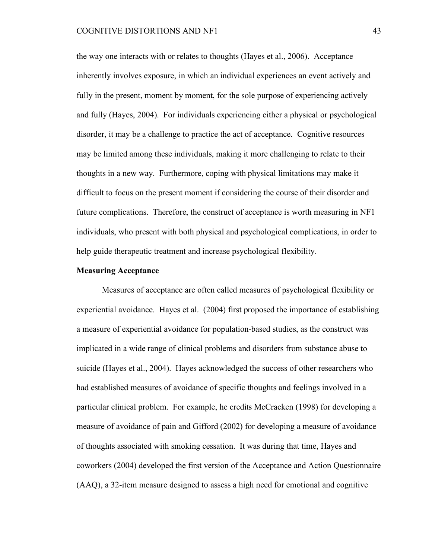the way one interacts with or relates to thoughts (Hayes et al., 2006). Acceptance inherently involves exposure, in which an individual experiences an event actively and fully in the present, moment by moment, for the sole purpose of experiencing actively and fully (Hayes, 2004). For individuals experiencing either a physical or psychological disorder, it may be a challenge to practice the act of acceptance. Cognitive resources may be limited among these individuals, making it more challenging to relate to their thoughts in a new way. Furthermore, coping with physical limitations may make it difficult to focus on the present moment if considering the course of their disorder and future complications. Therefore, the construct of acceptance is worth measuring in NF1 individuals, who present with both physical and psychological complications, in order to help guide therapeutic treatment and increase psychological flexibility.

#### **Measuring Acceptance**

Measures of acceptance are often called measures of psychological flexibility or experiential avoidance. Hayes et al. (2004) first proposed the importance of establishing a measure of experiential avoidance for population-based studies, as the construct was implicated in a wide range of clinical problems and disorders from substance abuse to suicide (Hayes et al., 2004). Hayes acknowledged the success of other researchers who had established measures of avoidance of specific thoughts and feelings involved in a particular clinical problem. For example, he credits McCracken (1998) for developing a measure of avoidance of pain and Gifford (2002) for developing a measure of avoidance of thoughts associated with smoking cessation. It was during that time, Hayes and coworkers (2004) developed the first version of the Acceptance and Action Questionnaire (AAQ), a 32-item measure designed to assess a high need for emotional and cognitive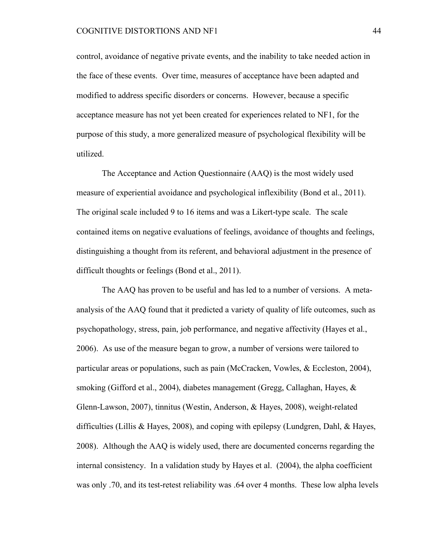### COGNITIVE DISTORTIONS AND NF1 44

control, avoidance of negative private events, and the inability to take needed action in the face of these events. Over time, measures of acceptance have been adapted and modified to address specific disorders or concerns. However, because a specific acceptance measure has not yet been created for experiences related to NF1, for the purpose of this study, a more generalized measure of psychological flexibility will be utilized.

The Acceptance and Action Questionnaire (AAQ) is the most widely used measure of experiential avoidance and psychological inflexibility (Bond et al., 2011). The original scale included 9 to 16 items and was a Likert-type scale. The scale contained items on negative evaluations of feelings, avoidance of thoughts and feelings, distinguishing a thought from its referent, and behavioral adjustment in the presence of difficult thoughts or feelings (Bond et al., 2011).

The AAQ has proven to be useful and has led to a number of versions. A metaanalysis of the AAQ found that it predicted a variety of quality of life outcomes, such as psychopathology, stress, pain, job performance, and negative affectivity (Hayes et al., 2006). As use of the measure began to grow, a number of versions were tailored to particular areas or populations, such as pain (McCracken, Vowles, & Eccleston, 2004), smoking (Gifford et al., 2004), diabetes management (Gregg, Callaghan, Hayes, & Glenn-Lawson, 2007), tinnitus (Westin, Anderson, & Hayes, 2008), weight-related difficulties (Lillis & Hayes, 2008), and coping with epilepsy (Lundgren, Dahl, & Hayes, 2008). Although the AAQ is widely used, there are documented concerns regarding the internal consistency. In a validation study by Hayes et al. (2004), the alpha coefficient was only .70, and its test-retest reliability was .64 over 4 months. These low alpha levels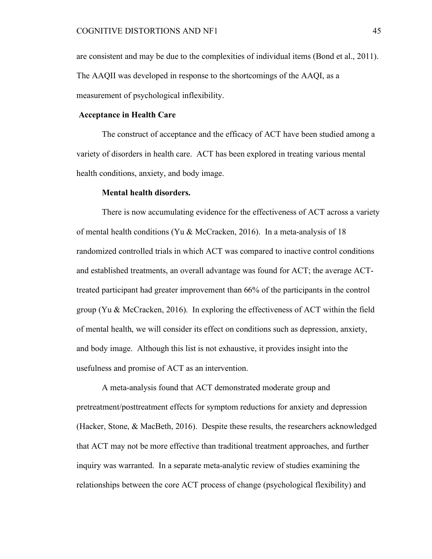are consistent and may be due to the complexities of individual items (Bond et al., 2011). The AAQII was developed in response to the shortcomings of the AAQI, as a measurement of psychological inflexibility.

# **Acceptance in Health Care**

The construct of acceptance and the efficacy of ACT have been studied among a variety of disorders in health care. ACT has been explored in treating various mental health conditions, anxiety, and body image.

#### **Mental health disorders.**

There is now accumulating evidence for the effectiveness of ACT across a variety of mental health conditions (Yu & McCracken, 2016). In a meta-analysis of 18 randomized controlled trials in which ACT was compared to inactive control conditions and established treatments, an overall advantage was found for ACT; the average ACTtreated participant had greater improvement than 66% of the participants in the control group (Yu & McCracken, 2016). In exploring the effectiveness of ACT within the field of mental health, we will consider its effect on conditions such as depression, anxiety, and body image. Although this list is not exhaustive, it provides insight into the usefulness and promise of ACT as an intervention.

A meta-analysis found that ACT demonstrated moderate group and pretreatment/posttreatment effects for symptom reductions for anxiety and depression (Hacker, Stone, & MacBeth, 2016). Despite these results, the researchers acknowledged that ACT may not be more effective than traditional treatment approaches, and further inquiry was warranted. In a separate meta-analytic review of studies examining the relationships between the core ACT process of change (psychological flexibility) and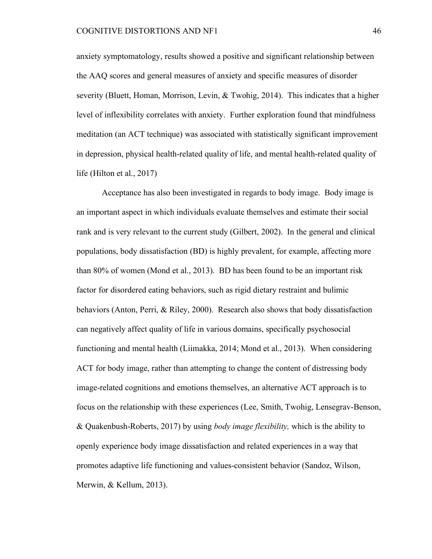anxiety symptomatology, results showed a positive and significant relationship between the AAQ scores and general measures of anxiety and specific measures of disorder severity (Bluett, Homan, Morrison, Levin, & Twohig, 2014). This indicates that a higher level of inflexibility correlates with anxiety. Further exploration found that mindfulness meditation (an ACT technique) was associated with statistically significant improvement in depression, physical health-related quality of life, and mental health-related quality of life (Hilton et al., 2017)

Acceptance has also been investigated in regards to body image. Body image is an important aspect in which individuals evaluate themselves and estimate their social rank and is very relevant to the current study (Gilbert, 2002). In the general and clinical populations, body dissatisfaction (BD) is highly prevalent, for example, affecting more than 80% of women (Mond et al., 2013). BD has been found to be an important risk factor for disordered eating behaviors, such as rigid dietary restraint and bulimic behaviors (Anton, Perri, & Riley, 2000). Research also shows that body dissatisfaction can negatively affect quality of life in various domains, specifically psychosocial functioning and mental health (Liimakka, 2014; Mond et al., 2013). When considering ACT for body image, rather than attempting to change the content of distressing body image-related cognitions and emotions themselves, an alternative ACT approach is to focus on the relationship with these experiences (Lee, Smith, Twohig, Lensegrav-Benson, & Quakenbush-Roberts, 2017) by using *body image flexibility,* which is the ability to openly experience body image dissatisfaction and related experiences in a way that promotes adaptive life functioning and values-consistent behavior (Sandoz, Wilson, Merwin, & Kellum, 2013).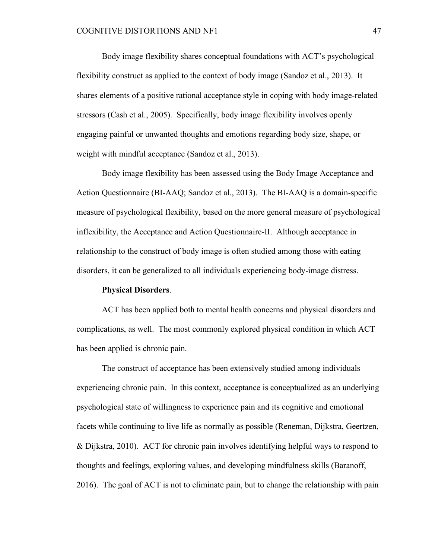Body image flexibility shares conceptual foundations with ACT's psychological flexibility construct as applied to the context of body image (Sandoz et al., 2013). It shares elements of a positive rational acceptance style in coping with body image-related stressors (Cash et al., 2005). Specifically, body image flexibility involves openly engaging painful or unwanted thoughts and emotions regarding body size, shape, or weight with mindful acceptance (Sandoz et al., 2013).

Body image flexibility has been assessed using the Body Image Acceptance and Action Questionnaire (BI-AAQ; Sandoz et al., 2013). The BI-AAQ is a domain-specific measure of psychological flexibility, based on the more general measure of psychological inflexibility, the Acceptance and Action Questionnaire-II. Although acceptance in relationship to the construct of body image is often studied among those with eating disorders, it can be generalized to all individuals experiencing body-image distress.

#### **Physical Disorders**.

ACT has been applied both to mental health concerns and physical disorders and complications, as well. The most commonly explored physical condition in which ACT has been applied is chronic pain.

The construct of acceptance has been extensively studied among individuals experiencing chronic pain. In this context, acceptance is conceptualized as an underlying psychological state of willingness to experience pain and its cognitive and emotional facets while continuing to live life as normally as possible (Reneman, Dijkstra, Geertzen, & Dijkstra, 2010). ACT for chronic pain involves identifying helpful ways to respond to thoughts and feelings, exploring values, and developing mindfulness skills (Baranoff, 2016). The goal of ACT is not to eliminate pain, but to change the relationship with pain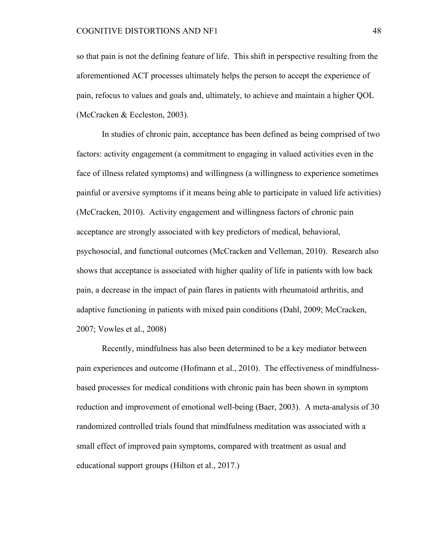so that pain is not the defining feature of life. This shift in perspective resulting from the aforementioned ACT processes ultimately helps the person to accept the experience of pain, refocus to values and goals and, ultimately, to achieve and maintain a higher QOL (McCracken & Eccleston, 2003).

In studies of chronic pain, acceptance has been defined as being comprised of two factors: activity engagement (a commitment to engaging in valued activities even in the face of illness related symptoms) and willingness (a willingness to experience sometimes painful or aversive symptoms if it means being able to participate in valued life activities) (McCracken, 2010). Activity engagement and willingness factors of chronic pain acceptance are strongly associated with key predictors of medical, behavioral, psychosocial, and functional outcomes (McCracken and Velleman, 2010). Research also shows that acceptance is associated with higher quality of life in patients with low back pain, a decrease in the impact of pain flares in patients with rheumatoid arthritis, and adaptive functioning in patients with mixed pain conditions (Dahl, 2009; McCracken, 2007; Vowles et al., 2008)

Recently, mindfulness has also been determined to be a key mediator between pain experiences and outcome (Hofmann et al., 2010). The effectiveness of mindfulnessbased processes for medical conditions with chronic pain has been shown in symptom reduction and improvement of emotional well-being (Baer, 2003). A meta-analysis of 30 randomized controlled trials found that mindfulness meditation was associated with a small effect of improved pain symptoms, compared with treatment as usual and educational support groups (Hilton et al., 2017.)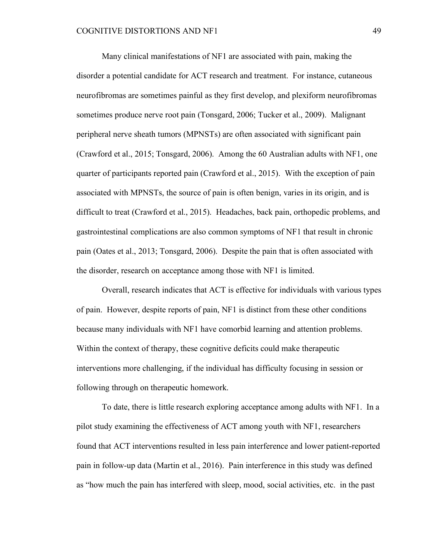Many clinical manifestations of NF1 are associated with pain, making the disorder a potential candidate for ACT research and treatment. For instance, cutaneous neurofibromas are sometimes painful as they first develop, and plexiform neurofibromas sometimes produce nerve root pain (Tonsgard, 2006; Tucker et al., 2009). Malignant peripheral nerve sheath tumors (MPNSTs) are often associated with significant pain (Crawford et al., 2015; Tonsgard, 2006). Among the 60 Australian adults with NF1, one quarter of participants reported pain (Crawford et al., 2015). With the exception of pain associated with MPNSTs, the source of pain is often benign, varies in its origin, and is difficult to treat (Crawford et al., 2015). Headaches, back pain, orthopedic problems, and gastrointestinal complications are also common symptoms of NF1 that result in chronic pain (Oates et al., 2013; Tonsgard, 2006). Despite the pain that is often associated with the disorder, research on acceptance among those with NF1 is limited.

Overall, research indicates that ACT is effective for individuals with various types of pain. However, despite reports of pain, NF1 is distinct from these other conditions because many individuals with NF1 have comorbid learning and attention problems. Within the context of therapy, these cognitive deficits could make therapeutic interventions more challenging, if the individual has difficulty focusing in session or following through on therapeutic homework.

To date, there is little research exploring acceptance among adults with NF1. In a pilot study examining the effectiveness of ACT among youth with NF1, researchers found that ACT interventions resulted in less pain interference and lower patient-reported pain in follow-up data (Martin et al., 2016). Pain interference in this study was defined as "how much the pain has interfered with sleep, mood, social activities, etc. in the past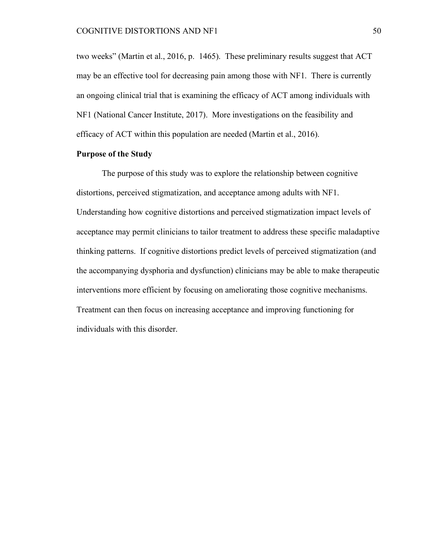two weeks" (Martin et al., 2016, p. 1465). These preliminary results suggest that ACT may be an effective tool for decreasing pain among those with NF1. There is currently an ongoing clinical trial that is examining the efficacy of ACT among individuals with NF1 (National Cancer Institute, 2017). More investigations on the feasibility and efficacy of ACT within this population are needed (Martin et al., 2016).

### **Purpose of the Study**

The purpose of this study was to explore the relationship between cognitive distortions, perceived stigmatization, and acceptance among adults with NF1. Understanding how cognitive distortions and perceived stigmatization impact levels of acceptance may permit clinicians to tailor treatment to address these specific maladaptive thinking patterns. If cognitive distortions predict levels of perceived stigmatization (and the accompanying dysphoria and dysfunction) clinicians may be able to make therapeutic interventions more efficient by focusing on ameliorating those cognitive mechanisms. Treatment can then focus on increasing acceptance and improving functioning for individuals with this disorder.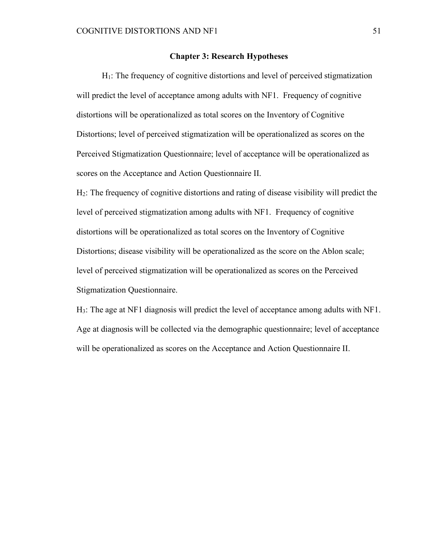### **Chapter 3: Research Hypotheses**

 $H<sub>1</sub>$ : The frequency of cognitive distortions and level of perceived stigmatization will predict the level of acceptance among adults with NF1. Frequency of cognitive distortions will be operationalized as total scores on the Inventory of Cognitive Distortions; level of perceived stigmatization will be operationalized as scores on the Perceived Stigmatization Questionnaire; level of acceptance will be operationalized as scores on the Acceptance and Action Questionnaire II.

H2: The frequency of cognitive distortions and rating of disease visibility will predict the level of perceived stigmatization among adults with NF1. Frequency of cognitive distortions will be operationalized as total scores on the Inventory of Cognitive Distortions; disease visibility will be operationalized as the score on the Ablon scale; level of perceived stigmatization will be operationalized as scores on the Perceived Stigmatization Questionnaire.

H3: The age at NF1 diagnosis will predict the level of acceptance among adults with NF1. Age at diagnosis will be collected via the demographic questionnaire; level of acceptance will be operationalized as scores on the Acceptance and Action Questionnaire II.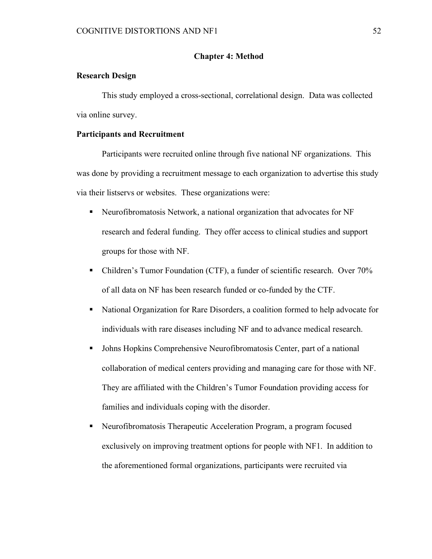# **Chapter 4: Method**

# **Research Design**

This study employed a cross-sectional, correlational design. Data was collected via online survey.

# **Participants and Recruitment**

Participants were recruited online through five national NF organizations. This was done by providing a recruitment message to each organization to advertise this study via their listservs or websites. These organizations were:

- Neurofibromatosis Network, a national organization that advocates for NF research and federal funding. They offer access to clinical studies and support groups for those with NF.
- Children's Tumor Foundation (CTF), a funder of scientific research. Over 70% of all data on NF has been research funded or co-funded by the CTF.
- National Organization for Rare Disorders, a coalition formed to help advocate for individuals with rare diseases including NF and to advance medical research.
- Johns Hopkins Comprehensive Neurofibromatosis Center, part of a national collaboration of medical centers providing and managing care for those with NF. They are affiliated with the Children's Tumor Foundation providing access for families and individuals coping with the disorder.
- Neurofibromatosis Therapeutic Acceleration Program, a program focused exclusively on improving treatment options for people with NF1. In addition to the aforementioned formal organizations, participants were recruited via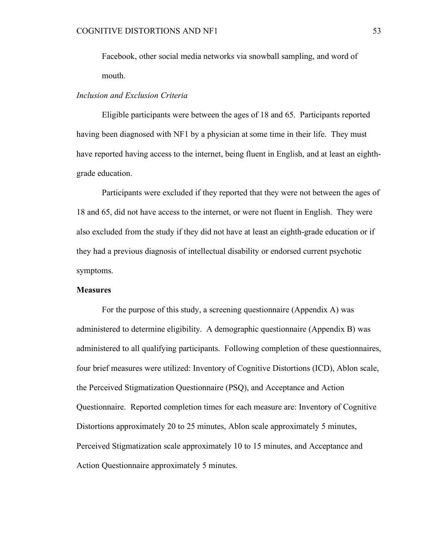Facebook, other social media networks via snowball sampling, and word of mouth.

# *Inclusion and Exclusion Criteria*

Eligible participants were between the ages of 18 and 65. Participants reported having been diagnosed with NF1 by a physician at some time in their life. They must have reported having access to the internet, being fluent in English, and at least an eighthgrade education.

Participants were excluded if they reported that they were not between the ages of 18 and 65, did not have access to the internet, or were not fluent in English. They were also excluded from the study if they did not have at least an eighth-grade education or if they had a previous diagnosis of intellectual disability or endorsed current psychotic symptoms.

#### **Measures**

For the purpose of this study, a screening questionnaire (Appendix A) was administered to determine eligibility. A demographic questionnaire (Appendix B) was administered to all qualifying participants. Following completion of these questionnaires, four brief measures were utilized: Inventory of Cognitive Distortions (ICD), Ablon scale, the Perceived Stigmatization Questionnaire (PSQ), and Acceptance and Action Questionnaire. Reported completion times for each measure are: Inventory of Cognitive Distortions approximately 20 to 25 minutes, Ablon scale approximately 5 minutes, Perceived Stigmatization scale approximately 10 to 15 minutes, and Acceptance and Action Questionnaire approximately 5 minutes.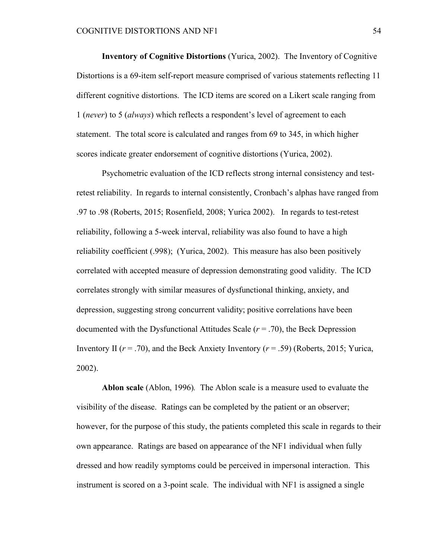**Inventory of Cognitive Distortions** (Yurica, 2002). The Inventory of Cognitive Distortions is a 69-item self-report measure comprised of various statements reflecting 11 different cognitive distortions. The ICD items are scored on a Likert scale ranging from 1 (*never*) to 5 (*always*) which reflects a respondent's level of agreement to each statement. The total score is calculated and ranges from 69 to 345, in which higher scores indicate greater endorsement of cognitive distortions (Yurica, 2002).

Psychometric evaluation of the ICD reflects strong internal consistency and testretest reliability. In regards to internal consistently, Cronbach's alphas have ranged from .97 to .98 (Roberts, 2015; Rosenfield, 2008; Yurica 2002). In regards to test-retest reliability, following a 5-week interval, reliability was also found to have a high reliability coefficient (.998); (Yurica, 2002). This measure has also been positively correlated with accepted measure of depression demonstrating good validity. The ICD correlates strongly with similar measures of dysfunctional thinking, anxiety, and depression, suggesting strong concurrent validity; positive correlations have been documented with the Dysfunctional Attitudes Scale  $(r = .70)$ , the Beck Depression Inventory II  $(r = .70)$ , and the Beck Anxiety Inventory  $(r = .59)$  (Roberts, 2015; Yurica, 2002).

**Ablon scale** (Ablon, 1996)*.* The Ablon scale is a measure used to evaluate the visibility of the disease. Ratings can be completed by the patient or an observer; however, for the purpose of this study, the patients completed this scale in regards to their own appearance. Ratings are based on appearance of the NF1 individual when fully dressed and how readily symptoms could be perceived in impersonal interaction. This instrument is scored on a 3-point scale. The individual with NF1 is assigned a single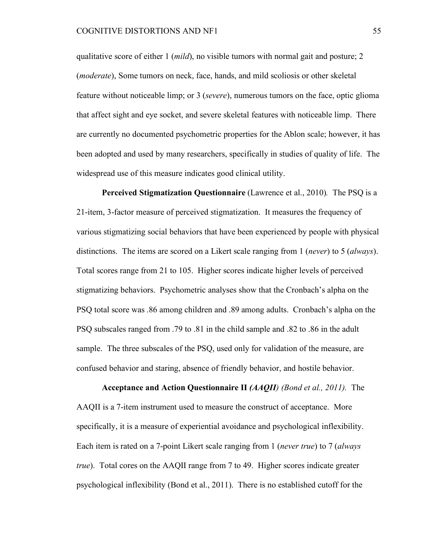qualitative score of either 1 (*mild*), no visible tumors with normal gait and posture; 2 (*moderate*), Some tumors on neck, face, hands, and mild scoliosis or other skeletal feature without noticeable limp; or 3 (*severe*), numerous tumors on the face, optic glioma that affect sight and eye socket, and severe skeletal features with noticeable limp. There are currently no documented psychometric properties for the Ablon scale; however, it has been adopted and used by many researchers, specifically in studies of quality of life. The widespread use of this measure indicates good clinical utility.

**Perceived Stigmatization Questionnaire** (Lawrence et al., 2010)*.* The PSQ is a 21-item, 3-factor measure of perceived stigmatization. It measures the frequency of various stigmatizing social behaviors that have been experienced by people with physical distinctions. The items are scored on a Likert scale ranging from 1 (*never*) to 5 (*always*). Total scores range from 21 to 105. Higher scores indicate higher levels of perceived stigmatizing behaviors. Psychometric analyses show that the Cronbach's alpha on the PSQ total score was .86 among children and .89 among adults. Cronbach's alpha on the PSQ subscales ranged from .79 to .81 in the child sample and .82 to .86 in the adult sample. The three subscales of the PSQ, used only for validation of the measure, are confused behavior and staring, absence of friendly behavior, and hostile behavior.

**Acceptance and Action Questionnaire II** *(AAQII) (Bond et al., 2011).* The AAQII is a 7-item instrument used to measure the construct of acceptance. More specifically, it is a measure of experiential avoidance and psychological inflexibility. Each item is rated on a 7-point Likert scale ranging from 1 (*never true*) to 7 (*always true*). Total cores on the AAQII range from 7 to 49. Higher scores indicate greater psychological inflexibility (Bond et al., 2011). There is no established cutoff for the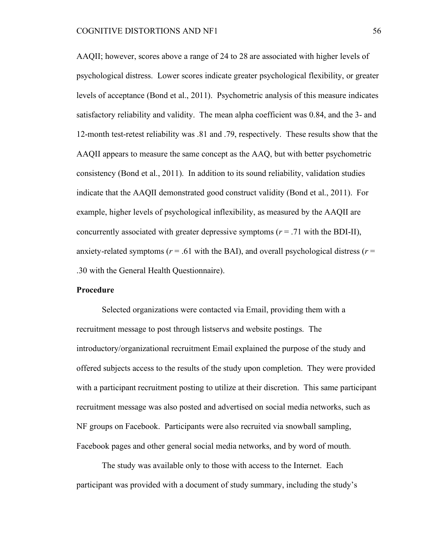AAQII; however, scores above a range of 24 to 28 are associated with higher levels of psychological distress. Lower scores indicate greater psychological flexibility, or greater levels of acceptance (Bond et al., 2011). Psychometric analysis of this measure indicates satisfactory reliability and validity. The mean alpha coefficient was 0.84, and the 3- and 12-month test-retest reliability was .81 and .79, respectively. These results show that the AAQII appears to measure the same concept as the AAQ, but with better psychometric consistency (Bond et al., 2011). In addition to its sound reliability, validation studies indicate that the AAQII demonstrated good construct validity (Bond et al., 2011). For example, higher levels of psychological inflexibility, as measured by the AAQII are concurrently associated with greater depressive symptoms  $(r = .71)$  with the BDI-II), anxiety-related symptoms ( $r = .61$  with the BAI), and overall psychological distress ( $r =$ .30 with the General Health Questionnaire).

#### **Procedure**

Selected organizations were contacted via Email, providing them with a recruitment message to post through listservs and website postings. The introductory/organizational recruitment Email explained the purpose of the study and offered subjects access to the results of the study upon completion. They were provided with a participant recruitment posting to utilize at their discretion. This same participant recruitment message was also posted and advertised on social media networks, such as NF groups on Facebook. Participants were also recruited via snowball sampling, Facebook pages and other general social media networks, and by word of mouth.

The study was available only to those with access to the Internet. Each participant was provided with a document of study summary, including the study's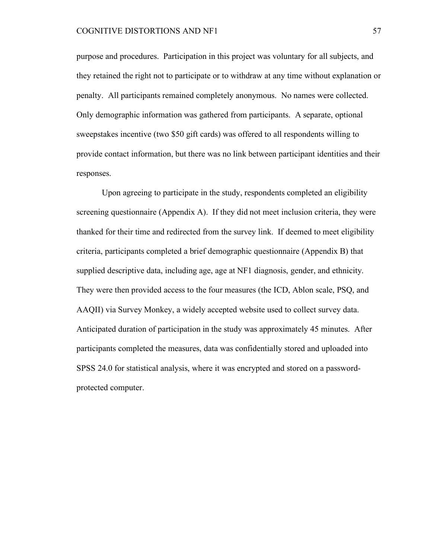purpose and procedures. Participation in this project was voluntary for all subjects, and they retained the right not to participate or to withdraw at any time without explanation or penalty. All participants remained completely anonymous. No names were collected. Only demographic information was gathered from participants. A separate, optional sweepstakes incentive (two \$50 gift cards) was offered to all respondents willing to provide contact information, but there was no link between participant identities and their responses.

Upon agreeing to participate in the study, respondents completed an eligibility screening questionnaire (Appendix A). If they did not meet inclusion criteria, they were thanked for their time and redirected from the survey link. If deemed to meet eligibility criteria, participants completed a brief demographic questionnaire (Appendix B) that supplied descriptive data, including age, age at NF1 diagnosis, gender, and ethnicity. They were then provided access to the four measures (the ICD, Ablon scale, PSQ, and AAQII) via Survey Monkey, a widely accepted website used to collect survey data. Anticipated duration of participation in the study was approximately 45 minutes. After participants completed the measures, data was confidentially stored and uploaded into SPSS 24.0 for statistical analysis, where it was encrypted and stored on a passwordprotected computer.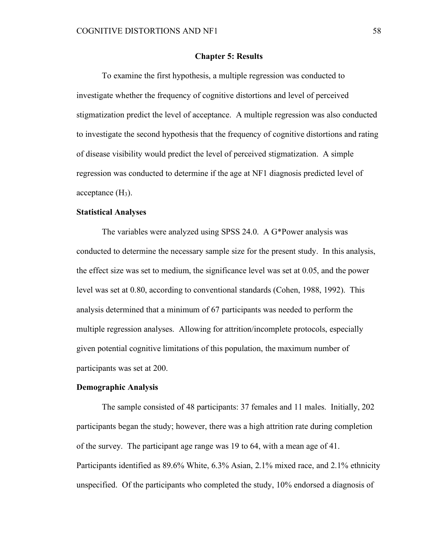#### **Chapter 5: Results**

To examine the first hypothesis, a multiple regression was conducted to investigate whether the frequency of cognitive distortions and level of perceived stigmatization predict the level of acceptance. A multiple regression was also conducted to investigate the second hypothesis that the frequency of cognitive distortions and rating of disease visibility would predict the level of perceived stigmatization. A simple regression was conducted to determine if the age at NF1 diagnosis predicted level of acceptance  $(H<sub>3</sub>)$ .

#### **Statistical Analyses**

The variables were analyzed using SPSS 24.0. A G\*Power analysis was conducted to determine the necessary sample size for the present study. In this analysis, the effect size was set to medium, the significance level was set at 0.05, and the power level was set at 0.80, according to conventional standards (Cohen, 1988, 1992). This analysis determined that a minimum of 67 participants was needed to perform the multiple regression analyses. Allowing for attrition/incomplete protocols, especially given potential cognitive limitations of this population, the maximum number of participants was set at 200.

#### **Demographic Analysis**

The sample consisted of 48 participants: 37 females and 11 males. Initially, 202 participants began the study; however, there was a high attrition rate during completion of the survey. The participant age range was 19 to 64, with a mean age of 41. Participants identified as 89.6% White, 6.3% Asian, 2.1% mixed race, and 2.1% ethnicity unspecified. Of the participants who completed the study, 10% endorsed a diagnosis of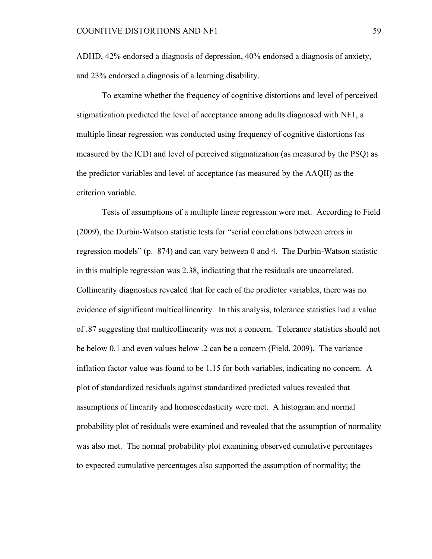ADHD, 42% endorsed a diagnosis of depression, 40% endorsed a diagnosis of anxiety, and 23% endorsed a diagnosis of a learning disability.

To examine whether the frequency of cognitive distortions and level of perceived stigmatization predicted the level of acceptance among adults diagnosed with NF1, a multiple linear regression was conducted using frequency of cognitive distortions (as measured by the ICD) and level of perceived stigmatization (as measured by the PSQ) as the predictor variables and level of acceptance (as measured by the AAQII) as the criterion variable.

Tests of assumptions of a multiple linear regression were met. According to Field (2009), the Durbin-Watson statistic tests for "serial correlations between errors in regression models" (p. 874) and can vary between 0 and 4. The Durbin-Watson statistic in this multiple regression was 2.38, indicating that the residuals are uncorrelated. Collinearity diagnostics revealed that for each of the predictor variables, there was no evidence of significant multicollinearity. In this analysis, tolerance statistics had a value of .87 suggesting that multicollinearity was not a concern. Tolerance statistics should not be below 0.1 and even values below .2 can be a concern (Field, 2009). The variance inflation factor value was found to be 1.15 for both variables, indicating no concern. A plot of standardized residuals against standardized predicted values revealed that assumptions of linearity and homoscedasticity were met. A histogram and normal probability plot of residuals were examined and revealed that the assumption of normality was also met. The normal probability plot examining observed cumulative percentages to expected cumulative percentages also supported the assumption of normality; the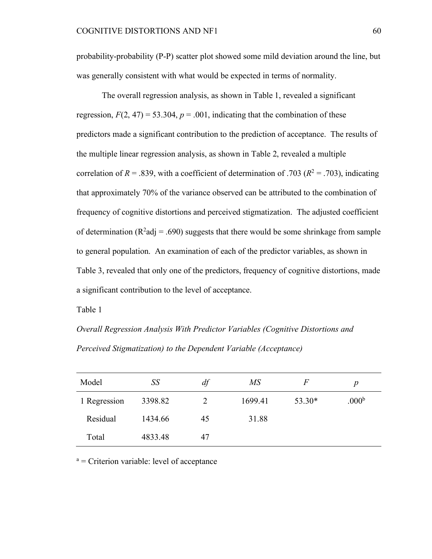probability-probability (P-P) scatter plot showed some mild deviation around the line, but was generally consistent with what would be expected in terms of normality.

The overall regression analysis, as shown in Table 1, revealed a significant regression,  $F(2, 47) = 53.304$ ,  $p = .001$ , indicating that the combination of these predictors made a significant contribution to the prediction of acceptance. The results of the multiple linear regression analysis, as shown in Table 2, revealed a multiple correlation of  $R = 0.839$ , with a coefficient of determination of .703 ( $R<sup>2</sup> = 0.703$ ), indicating that approximately 70% of the variance observed can be attributed to the combination of frequency of cognitive distortions and perceived stigmatization. The adjusted coefficient of determination ( $R^2$ adj = .690) suggests that there would be some shrinkage from sample to general population. An examination of each of the predictor variables, as shown in Table 3, revealed that only one of the predictors, frequency of cognitive distortions, made a significant contribution to the level of acceptance.

Table 1

*Overall Regression Analysis With Predictor Variables (Cognitive Distortions and Perceived Stigmatization) to the Dependent Variable (Acceptance)*

| Model        | SS      | df | $M\!S$  | $\,F$  | р                 |
|--------------|---------|----|---------|--------|-------------------|
| 1 Regression | 3398.82 |    | 1699.41 | 53.30* | .000 <sup>b</sup> |
| Residual     | 1434.66 | 45 | 31.88   |        |                   |
| Total        | 4833.48 | 47 |         |        |                   |

 $a =$  Criterion variable: level of acceptance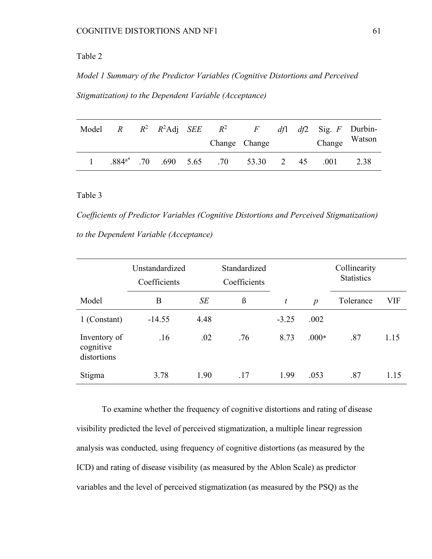# Table 2

*Model 1 Summary of the Predictor Variables (Cognitive Distortions and Perceived Stigmatization) to the Dependent Variable (Acceptance)*

| Model |  |  | R $R^2$ $R^2$ Adj $SEE$ $R^2$ $F$ |                                                 |  | $df1$ df2 Sig. F Durbin- |               |
|-------|--|--|-----------------------------------|-------------------------------------------------|--|--------------------------|---------------|
|       |  |  |                                   | Change Change                                   |  |                          | Change Watson |
|       |  |  |                                   | .884 <sup>a*</sup> .70 .690 5.65 .70 53.30 2 45 |  | .001                     | 2.38          |

# Table 3

*Coefficients of Predictor Variables (Cognitive Distortions and Perceived Stigmatization) to the Dependent Variable (Acceptance)*

|                                          | Unstandardized<br>Coefficients |      | Standardized<br>Coefficients |         |                  | Collinearity<br><b>Statistics</b> |      |
|------------------------------------------|--------------------------------|------|------------------------------|---------|------------------|-----------------------------------|------|
| Model                                    | B                              | SE   | $\beta$                      | t       | $\boldsymbol{p}$ | Tolerance                         | VIF  |
| 1 (Constant)                             | $-14.55$                       | 4.48 |                              | $-3.25$ | .002             |                                   |      |
| Inventory of<br>cognitive<br>distortions | .16                            | .02  | .76                          | 8.73    | $.000*$          | .87                               | 1.15 |
| Stigma                                   | 3.78                           | 1.90 | .17                          | 1.99    | .053             | .87                               | 1.15 |

To examine whether the frequency of cognitive distortions and rating of disease visibility predicted the level of perceived stigmatization, a multiple linear regression analysis was conducted, using frequency of cognitive distortions (as measured by the ICD) and rating of disease visibility (as measured by the Ablon Scale) as predictor variables and the level of perceived stigmatization (as measured by the PSQ) as the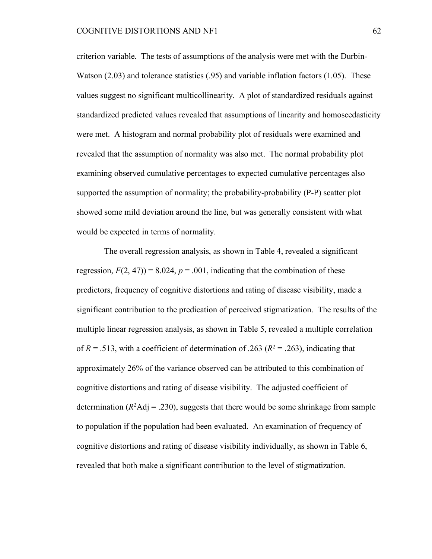criterion variable. The tests of assumptions of the analysis were met with the Durbin-Watson (2.03) and tolerance statistics (.95) and variable inflation factors (1.05). These values suggest no significant multicollinearity. A plot of standardized residuals against standardized predicted values revealed that assumptions of linearity and homoscedasticity were met. A histogram and normal probability plot of residuals were examined and revealed that the assumption of normality was also met. The normal probability plot examining observed cumulative percentages to expected cumulative percentages also supported the assumption of normality; the probability-probability (P-P) scatter plot showed some mild deviation around the line, but was generally consistent with what would be expected in terms of normality.

The overall regression analysis, as shown in Table 4, revealed a significant regression,  $F(2, 47)$ ) = 8.024,  $p = .001$ , indicating that the combination of these predictors, frequency of cognitive distortions and rating of disease visibility, made a significant contribution to the predication of perceived stigmatization. The results of the multiple linear regression analysis, as shown in Table 5, revealed a multiple correlation of  $R = .513$ , with a coefficient of determination of .263 ( $R^2 = .263$ ), indicating that approximately 26% of the variance observed can be attributed to this combination of cognitive distortions and rating of disease visibility. The adjusted coefficient of determination ( $R^2$ Adj = .230), suggests that there would be some shrinkage from sample to population if the population had been evaluated. An examination of frequency of cognitive distortions and rating of disease visibility individually, as shown in Table 6, revealed that both make a significant contribution to the level of stigmatization.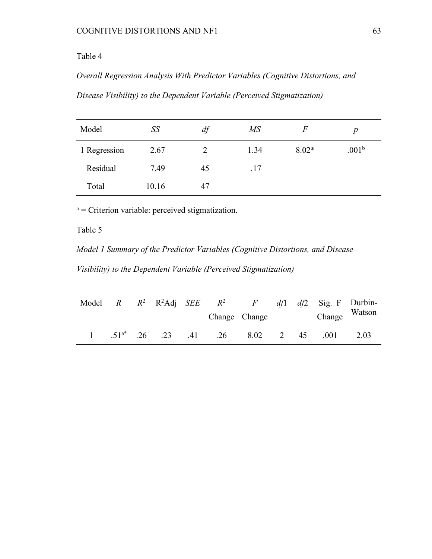# Table 4

*Overall Regression Analysis With Predictor Variables (Cognitive Distortions, and* 

*Disease Visibility) to the Dependent Variable (Perceived Stigmatization)*

| Model        | SS    | df | $\overline{MS}$ | F       | p                 |
|--------------|-------|----|-----------------|---------|-------------------|
| 1 Regression | 2.67  |    | 1.34            | $8.02*$ | .001 <sup>b</sup> |
| Residual     | 7.49  | 45 | .17             |         |                   |
| Total        | 10.16 | 47 |                 |         |                   |

<sup>a</sup> = Criterion variable: perceived stigmatization.

# Table 5

*Model 1 Summary of the Predictor Variables (Cognitive Distortions, and Disease* 

*Visibility) to the Dependent Variable (Perceived Stigmatization)*

|  |  |  | Model $R$ $R^2$ $R^2$ Adj $SEE$ $R^2$ $F$  |      | $df1$ $df2$ Sig. F Durbin- |      |
|--|--|--|--------------------------------------------|------|----------------------------|------|
|  |  |  | Change Change                              |      | Change Watson              |      |
|  |  |  | $.51^{a*}$ $.26$ $.23$ $.41$ $.26$ $.8.02$ | 2 45 | .001                       | 2.03 |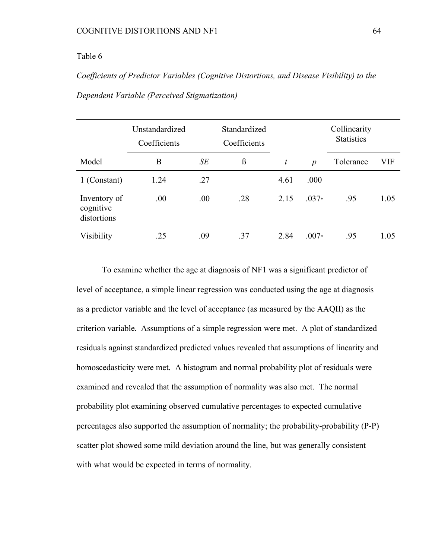# Table 6

*Coefficients of Predictor Variables (Cognitive Distortions, and Disease Visibility) to the Dependent Variable (Perceived Stigmatization)*

|                                          | Unstandardized<br>Coefficients |     | Standardized<br>Coefficients |      |                  | Collinearity<br><b>Statistics</b> |      |
|------------------------------------------|--------------------------------|-----|------------------------------|------|------------------|-----------------------------------|------|
| Model                                    | B                              | SE  | $\beta$                      | t    | $\boldsymbol{p}$ | Tolerance                         | VIF  |
| 1 (Constant)                             | 1.24                           | .27 |                              | 4.61 | .000             |                                   |      |
| Inventory of<br>cognitive<br>distortions | .00                            | .00 | .28                          | 2.15 | $.037*$          | .95                               | 1.05 |
| Visibility                               | .25                            | .09 | .37                          | 2.84 | $.007*$          | .95                               | 1.05 |

To examine whether the age at diagnosis of NF1 was a significant predictor of level of acceptance, a simple linear regression was conducted using the age at diagnosis as a predictor variable and the level of acceptance (as measured by the AAQII) as the criterion variable. Assumptions of a simple regression were met. A plot of standardized residuals against standardized predicted values revealed that assumptions of linearity and homoscedasticity were met. A histogram and normal probability plot of residuals were examined and revealed that the assumption of normality was also met. The normal probability plot examining observed cumulative percentages to expected cumulative percentages also supported the assumption of normality; the probability-probability (P-P) scatter plot showed some mild deviation around the line, but was generally consistent with what would be expected in terms of normality.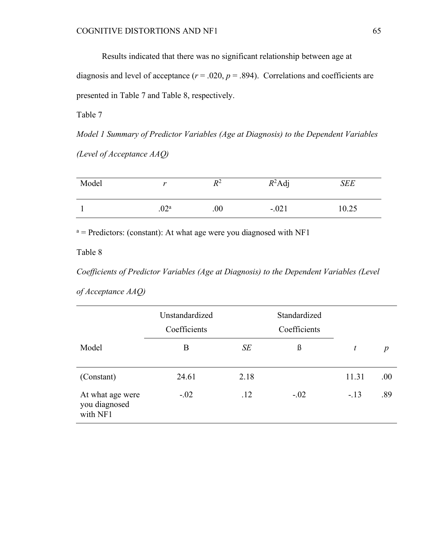Results indicated that there was no significant relationship between age at diagnosis and level of acceptance  $(r = .020, p = .894)$ . Correlations and coefficients are presented in Table 7 and Table 8, respectively.

Table 7

*Model 1 Summary of Predictor Variables (Age at Diagnosis) to the Dependent Variables (Level of Acceptance AAQ)*

| Model |                  | $R^2$ | $R^2$ Adj | <b>SEE</b> |
|-------|------------------|-------|-----------|------------|
|       | .02 <sup>a</sup> | .00   | $-.021$   | 10.25      |

 $a =$  Predictors: (constant): At what age were you diagnosed with NF1

Table 8

*Coefficients of Predictor Variables (Age at Diagnosis) to the Dependent Variables (Level* 

| of Acceptance AAQ) |  |
|--------------------|--|
|--------------------|--|

|                                               | Unstandardized<br>Coefficients |      | Standardized<br>Coefficients |       |                  |
|-----------------------------------------------|--------------------------------|------|------------------------------|-------|------------------|
| Model                                         | B                              | SE   | ß                            | t     | $\boldsymbol{p}$ |
| (Constant)                                    | 24.61                          | 2.18 |                              | 11.31 | .00.             |
| At what age were<br>you diagnosed<br>with NF1 | $-.02$                         | .12  | $-.02$                       | $-13$ | .89              |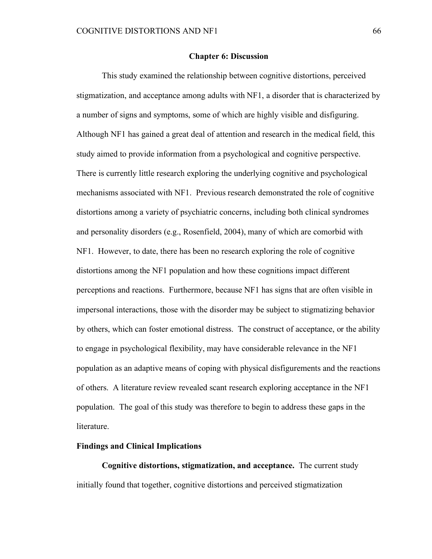#### **Chapter 6: Discussion**

This study examined the relationship between cognitive distortions, perceived stigmatization, and acceptance among adults with NF1, a disorder that is characterized by a number of signs and symptoms, some of which are highly visible and disfiguring. Although NF1 has gained a great deal of attention and research in the medical field, this study aimed to provide information from a psychological and cognitive perspective. There is currently little research exploring the underlying cognitive and psychological mechanisms associated with NF1. Previous research demonstrated the role of cognitive distortions among a variety of psychiatric concerns, including both clinical syndromes and personality disorders (e.g., Rosenfield, 2004), many of which are comorbid with NF1. However, to date, there has been no research exploring the role of cognitive distortions among the NF1 population and how these cognitions impact different perceptions and reactions. Furthermore, because NF1 has signs that are often visible in impersonal interactions, those with the disorder may be subject to stigmatizing behavior by others, which can foster emotional distress. The construct of acceptance, or the ability to engage in psychological flexibility, may have considerable relevance in the NF1 population as an adaptive means of coping with physical disfigurements and the reactions of others. A literature review revealed scant research exploring acceptance in the NF1 population. The goal of this study was therefore to begin to address these gaps in the literature.

### **Findings and Clinical Implications**

**Cognitive distortions, stigmatization, and acceptance.** The current study initially found that together, cognitive distortions and perceived stigmatization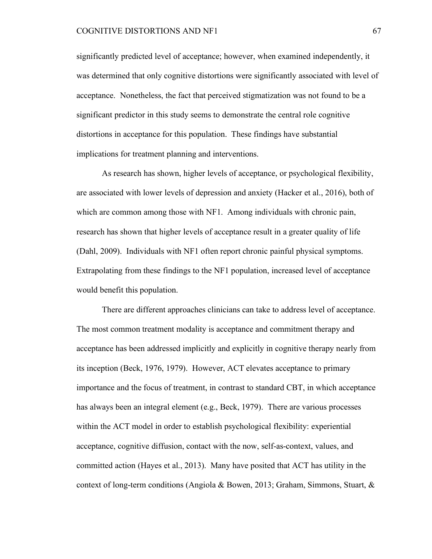significantly predicted level of acceptance; however, when examined independently, it was determined that only cognitive distortions were significantly associated with level of acceptance. Nonetheless, the fact that perceived stigmatization was not found to be a significant predictor in this study seems to demonstrate the central role cognitive distortions in acceptance for this population. These findings have substantial implications for treatment planning and interventions.

As research has shown, higher levels of acceptance, or psychological flexibility, are associated with lower levels of depression and anxiety (Hacker et al., 2016), both of which are common among those with NF1. Among individuals with chronic pain, research has shown that higher levels of acceptance result in a greater quality of life (Dahl, 2009). Individuals with NF1 often report chronic painful physical symptoms. Extrapolating from these findings to the NF1 population, increased level of acceptance would benefit this population.

There are different approaches clinicians can take to address level of acceptance. The most common treatment modality is acceptance and commitment therapy and acceptance has been addressed implicitly and explicitly in cognitive therapy nearly from its inception (Beck, 1976, 1979). However, ACT elevates acceptance to primary importance and the focus of treatment, in contrast to standard CBT, in which acceptance has always been an integral element (e.g., Beck, 1979). There are various processes within the ACT model in order to establish psychological flexibility: experiential acceptance, cognitive diffusion, contact with the now, self-as-context, values, and committed action (Hayes et al., 2013). Many have posited that ACT has utility in the context of long-term conditions (Angiola & Bowen, 2013; Graham, Simmons, Stuart, &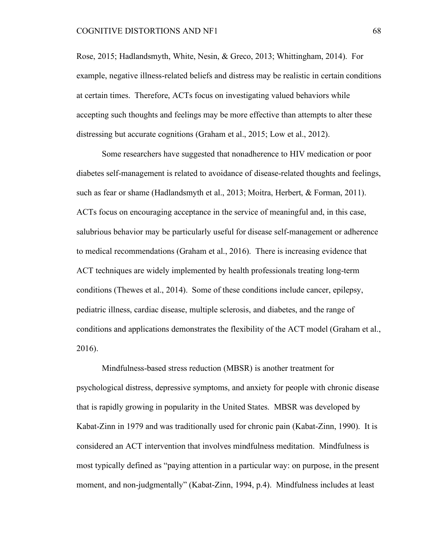Rose, 2015; Hadlandsmyth, White, Nesin, & Greco, 2013; Whittingham, 2014). For example, negative illness-related beliefs and distress may be realistic in certain conditions at certain times. Therefore, ACTs focus on investigating valued behaviors while accepting such thoughts and feelings may be more effective than attempts to alter these distressing but accurate cognitions (Graham et al., 2015; Low et al., 2012).

Some researchers have suggested that nonadherence to HIV medication or poor diabetes self-management is related to avoidance of disease-related thoughts and feelings, such as fear or shame (Hadlandsmyth et al., 2013; Moitra, Herbert, & Forman, 2011). ACTs focus on encouraging acceptance in the service of meaningful and, in this case, salubrious behavior may be particularly useful for disease self-management or adherence to medical recommendations (Graham et al., 2016). There is increasing evidence that ACT techniques are widely implemented by health professionals treating long-term conditions (Thewes et al., 2014). Some of these conditions include cancer, epilepsy, pediatric illness, cardiac disease, multiple sclerosis, and diabetes, and the range of conditions and applications demonstrates the flexibility of the ACT model (Graham et al., 2016).

Mindfulness-based stress reduction (MBSR) is another treatment for psychological distress, depressive symptoms, and anxiety for people with chronic disease that is rapidly growing in popularity in the United States. MBSR was developed by Kabat-Zinn in 1979 and was traditionally used for chronic pain (Kabat-Zinn, 1990). It is considered an ACT intervention that involves mindfulness meditation. Mindfulness is most typically defined as "paying attention in a particular way: on purpose, in the present moment, and non-judgmentally" (Kabat-Zinn, 1994, p.4). Mindfulness includes at least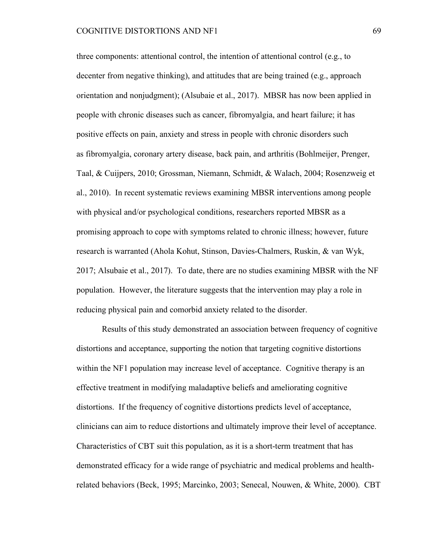three components: attentional control, the intention of attentional control (e.g., to decenter from negative thinking), and attitudes that are being trained (e.g., approach orientation and nonjudgment); (Alsubaie et al., 2017). MBSR has now been applied in people with chronic diseases such as cancer, fibromyalgia, and heart failure; it has positive effects on pain, anxiety and stress in people with chronic disorders such as fibromyalgia, coronary artery disease, back pain, and arthritis (Bohlmeijer, Prenger, Taal, & Cuijpers, 2010; Grossman, Niemann, Schmidt, & Walach, 2004; Rosenzweig et al., 2010). In recent systematic reviews examining MBSR interventions among people with physical and/or psychological conditions, researchers reported MBSR as a promising approach to cope with symptoms related to chronic illness; however, future research is warranted (Ahola Kohut, Stinson, Davies-Chalmers, Ruskin, & van Wyk, 2017; Alsubaie et al., 2017). To date, there are no studies examining MBSR with the NF population. However, the literature suggests that the intervention may play a role in reducing physical pain and comorbid anxiety related to the disorder.

Results of this study demonstrated an association between frequency of cognitive distortions and acceptance, supporting the notion that targeting cognitive distortions within the NF1 population may increase level of acceptance. Cognitive therapy is an effective treatment in modifying maladaptive beliefs and ameliorating cognitive distortions. If the frequency of cognitive distortions predicts level of acceptance, clinicians can aim to reduce distortions and ultimately improve their level of acceptance. Characteristics of CBT suit this population, as it is a short-term treatment that has demonstrated efficacy for a wide range of psychiatric and medical problems and healthrelated behaviors (Beck, 1995; Marcinko, 2003; Senecal, Nouwen, & White, 2000). CBT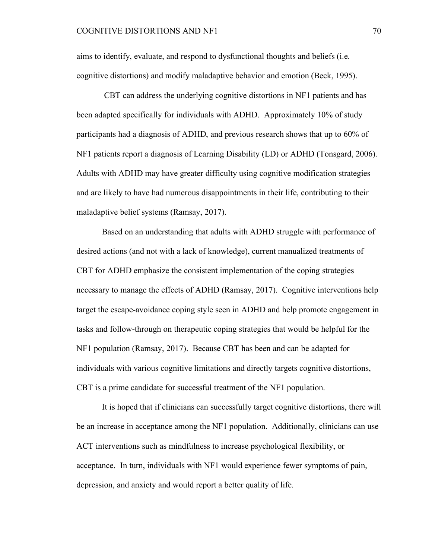aims to identify, evaluate, and respond to dysfunctional thoughts and beliefs (i.e. cognitive distortions) and modify maladaptive behavior and emotion (Beck, 1995).

CBT can address the underlying cognitive distortions in NF1 patients and has been adapted specifically for individuals with ADHD. Approximately 10% of study participants had a diagnosis of ADHD, and previous research shows that up to 60% of NF1 patients report a diagnosis of Learning Disability (LD) or ADHD (Tonsgard, 2006). Adults with ADHD may have greater difficulty using cognitive modification strategies and are likely to have had numerous disappointments in their life, contributing to their maladaptive belief systems (Ramsay, 2017).

Based on an understanding that adults with ADHD struggle with performance of desired actions (and not with a lack of knowledge), current manualized treatments of CBT for ADHD emphasize the consistent implementation of the coping strategies necessary to manage the effects of ADHD (Ramsay, 2017). Cognitive interventions help target the escape-avoidance coping style seen in ADHD and help promote engagement in tasks and follow-through on therapeutic coping strategies that would be helpful for the NF1 population (Ramsay, 2017). Because CBT has been and can be adapted for individuals with various cognitive limitations and directly targets cognitive distortions, CBT is a prime candidate for successful treatment of the NF1 population.

It is hoped that if clinicians can successfully target cognitive distortions, there will be an increase in acceptance among the NF1 population. Additionally, clinicians can use ACT interventions such as mindfulness to increase psychological flexibility, or acceptance. In turn, individuals with NF1 would experience fewer symptoms of pain, depression, and anxiety and would report a better quality of life.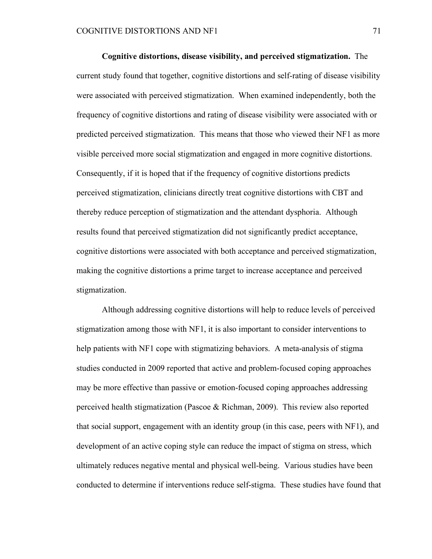**Cognitive distortions, disease visibility, and perceived stigmatization.** The current study found that together, cognitive distortions and self-rating of disease visibility were associated with perceived stigmatization. When examined independently, both the frequency of cognitive distortions and rating of disease visibility were associated with or predicted perceived stigmatization. This means that those who viewed their NF1 as more visible perceived more social stigmatization and engaged in more cognitive distortions. Consequently, if it is hoped that if the frequency of cognitive distortions predicts perceived stigmatization, clinicians directly treat cognitive distortions with CBT and thereby reduce perception of stigmatization and the attendant dysphoria. Although results found that perceived stigmatization did not significantly predict acceptance, cognitive distortions were associated with both acceptance and perceived stigmatization, making the cognitive distortions a prime target to increase acceptance and perceived stigmatization.

Although addressing cognitive distortions will help to reduce levels of perceived stigmatization among those with NF1, it is also important to consider interventions to help patients with NF1 cope with stigmatizing behaviors. A meta-analysis of stigma studies conducted in 2009 reported that active and problem-focused coping approaches may be more effective than passive or emotion-focused coping approaches addressing perceived health stigmatization (Pascoe & Richman, 2009). This review also reported that social support, engagement with an identity group (in this case, peers with NF1), and development of an active coping style can reduce the impact of stigma on stress, which ultimately reduces negative mental and physical well-being. Various studies have been conducted to determine if interventions reduce self-stigma. These studies have found that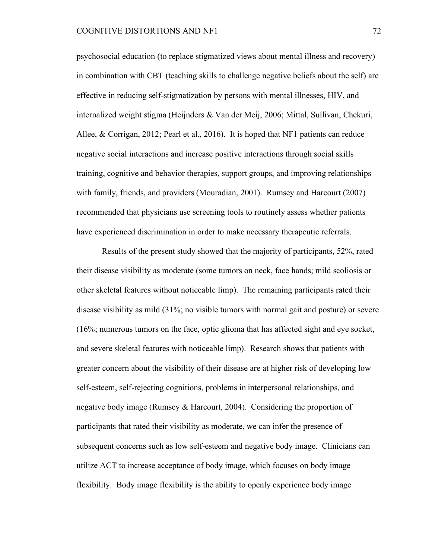psychosocial education (to replace stigmatized views about mental illness and recovery) in combination with CBT (teaching skills to challenge negative beliefs about the self) are effective in reducing self-stigmatization by persons with mental illnesses, HIV, and internalized weight stigma (Heijnders & Van der Meij, 2006; Mittal, Sullivan, Chekuri, Allee, & Corrigan, 2012; Pearl et al., 2016). It is hoped that NF1 patients can reduce negative social interactions and increase positive interactions through social skills training, cognitive and behavior therapies, support groups, and improving relationships with family, friends, and providers (Mouradian, 2001). Rumsey and Harcourt (2007) recommended that physicians use screening tools to routinely assess whether patients have experienced discrimination in order to make necessary therapeutic referrals.

Results of the present study showed that the majority of participants, 52%, rated their disease visibility as moderate (some tumors on neck, face hands; mild scoliosis or other skeletal features without noticeable limp). The remaining participants rated their disease visibility as mild (31%; no visible tumors with normal gait and posture) or severe (16%; numerous tumors on the face, optic glioma that has affected sight and eye socket, and severe skeletal features with noticeable limp). Research shows that patients with greater concern about the visibility of their disease are at higher risk of developing low self-esteem, self-rejecting cognitions, problems in interpersonal relationships, and negative body image (Rumsey & Harcourt, 2004). Considering the proportion of participants that rated their visibility as moderate, we can infer the presence of subsequent concerns such as low self-esteem and negative body image. Clinicians can utilize ACT to increase acceptance of body image, which focuses on body image flexibility. Body image flexibility is the ability to openly experience body image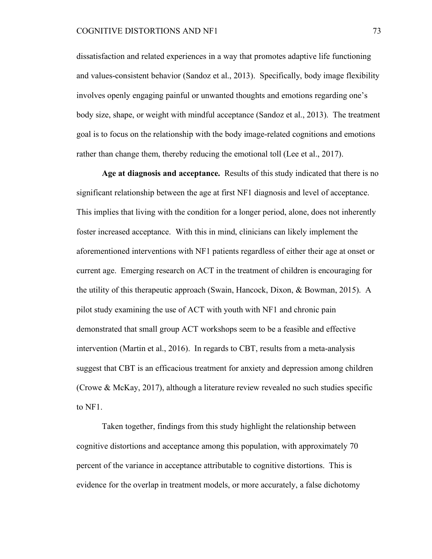dissatisfaction and related experiences in a way that promotes adaptive life functioning and values-consistent behavior (Sandoz et al., 2013). Specifically, body image flexibility involves openly engaging painful or unwanted thoughts and emotions regarding one's body size, shape, or weight with mindful acceptance (Sandoz et al., 2013). The treatment goal is to focus on the relationship with the body image-related cognitions and emotions rather than change them, thereby reducing the emotional toll (Lee et al., 2017).

**Age at diagnosis and acceptance.** Results of this study indicated that there is no significant relationship between the age at first NF1 diagnosis and level of acceptance. This implies that living with the condition for a longer period, alone, does not inherently foster increased acceptance. With this in mind, clinicians can likely implement the aforementioned interventions with NF1 patients regardless of either their age at onset or current age. Emerging research on ACT in the treatment of children is encouraging for the utility of this therapeutic approach (Swain, Hancock, Dixon, & Bowman, 2015). A pilot study examining the use of ACT with youth with NF1 and chronic pain demonstrated that small group ACT workshops seem to be a feasible and effective intervention (Martin et al., 2016). In regards to CBT, results from a meta-analysis suggest that CBT is an efficacious treatment for anxiety and depression among children (Crowe & McKay, 2017), although a literature review revealed no such studies specific to NF1.

Taken together, findings from this study highlight the relationship between cognitive distortions and acceptance among this population, with approximately 70 percent of the variance in acceptance attributable to cognitive distortions. This is evidence for the overlap in treatment models, or more accurately, a false dichotomy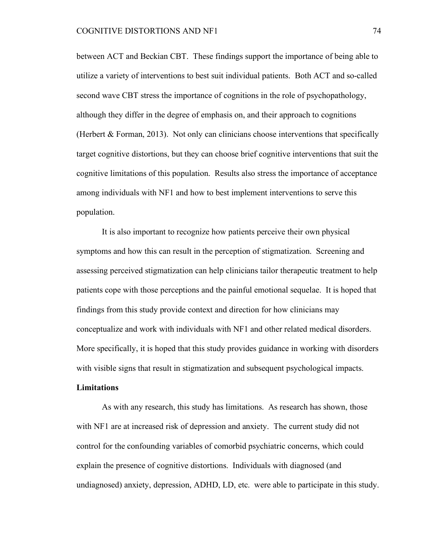between ACT and Beckian CBT. These findings support the importance of being able to utilize a variety of interventions to best suit individual patients. Both ACT and so-called second wave CBT stress the importance of cognitions in the role of psychopathology, although they differ in the degree of emphasis on, and their approach to cognitions (Herbert  $\&$  Forman, 2013). Not only can clinicians choose interventions that specifically target cognitive distortions, but they can choose brief cognitive interventions that suit the cognitive limitations of this population. Results also stress the importance of acceptance among individuals with NF1 and how to best implement interventions to serve this population.

It is also important to recognize how patients perceive their own physical symptoms and how this can result in the perception of stigmatization. Screening and assessing perceived stigmatization can help clinicians tailor therapeutic treatment to help patients cope with those perceptions and the painful emotional sequelae. It is hoped that findings from this study provide context and direction for how clinicians may conceptualize and work with individuals with NF1 and other related medical disorders. More specifically, it is hoped that this study provides guidance in working with disorders with visible signs that result in stigmatization and subsequent psychological impacts.

### **Limitations**

As with any research, this study has limitations. As research has shown, those with NF1 are at increased risk of depression and anxiety. The current study did not control for the confounding variables of comorbid psychiatric concerns, which could explain the presence of cognitive distortions. Individuals with diagnosed (and undiagnosed) anxiety, depression, ADHD, LD, etc. were able to participate in this study.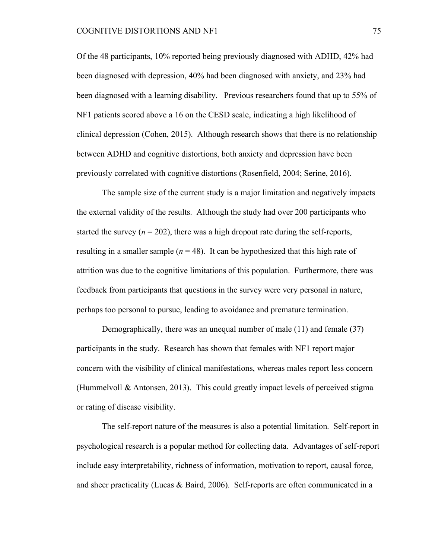Of the 48 participants, 10% reported being previously diagnosed with ADHD, 42% had been diagnosed with depression, 40% had been diagnosed with anxiety, and 23% had been diagnosed with a learning disability. Previous researchers found that up to 55% of NF1 patients scored above a 16 on the CESD scale, indicating a high likelihood of clinical depression (Cohen, 2015). Although research shows that there is no relationship between ADHD and cognitive distortions, both anxiety and depression have been previously correlated with cognitive distortions (Rosenfield, 2004; Serine, 2016).

The sample size of the current study is a major limitation and negatively impacts the external validity of the results. Although the study had over 200 participants who started the survey  $(n = 202)$ , there was a high dropout rate during the self-reports, resulting in a smaller sample ( $n = 48$ ). It can be hypothesized that this high rate of attrition was due to the cognitive limitations of this population. Furthermore, there was feedback from participants that questions in the survey were very personal in nature, perhaps too personal to pursue, leading to avoidance and premature termination.

Demographically, there was an unequal number of male (11) and female (37) participants in the study. Research has shown that females with NF1 report major concern with the visibility of clinical manifestations, whereas males report less concern (Hummelvoll & Antonsen, 2013). This could greatly impact levels of perceived stigma or rating of disease visibility.

The self-report nature of the measures is also a potential limitation. Self-report in psychological research is a popular method for collecting data. Advantages of self-report include easy interpretability, richness of information, motivation to report, causal force, and sheer practicality (Lucas & Baird, 2006). Self-reports are often communicated in a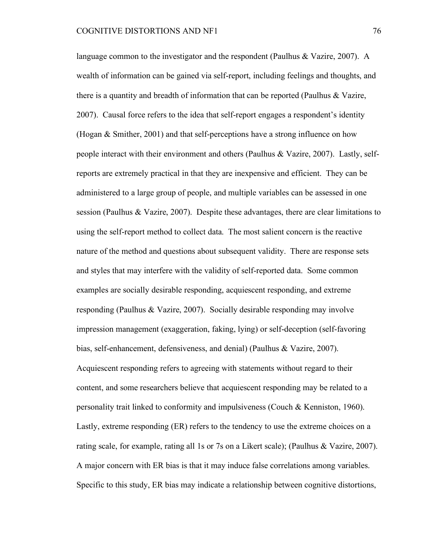language common to the investigator and the respondent (Paulhus & Vazire, 2007). A wealth of information can be gained via self-report, including feelings and thoughts, and there is a quantity and breadth of information that can be reported (Paulhus & Vazire, 2007). Causal force refers to the idea that self-report engages a respondent's identity (Hogan & Smither, 2001) and that self-perceptions have a strong influence on how people interact with their environment and others (Paulhus & Vazire, 2007). Lastly, selfreports are extremely practical in that they are inexpensive and efficient. They can be administered to a large group of people, and multiple variables can be assessed in one session (Paulhus & Vazire, 2007). Despite these advantages, there are clear limitations to using the self-report method to collect data. The most salient concern is the reactive nature of the method and questions about subsequent validity. There are response sets and styles that may interfere with the validity of self-reported data. Some common examples are socially desirable responding, acquiescent responding, and extreme responding (Paulhus & Vazire, 2007). Socially desirable responding may involve impression management (exaggeration, faking, lying) or self-deception (self-favoring bias, self-enhancement, defensiveness, and denial) (Paulhus & Vazire, 2007). Acquiescent responding refers to agreeing with statements without regard to their content, and some researchers believe that acquiescent responding may be related to a personality trait linked to conformity and impulsiveness (Couch & Kenniston, 1960). Lastly, extreme responding (ER) refers to the tendency to use the extreme choices on a rating scale, for example, rating all 1s or 7s on a Likert scale); (Paulhus & Vazire, 2007). A major concern with ER bias is that it may induce false correlations among variables. Specific to this study, ER bias may indicate a relationship between cognitive distortions,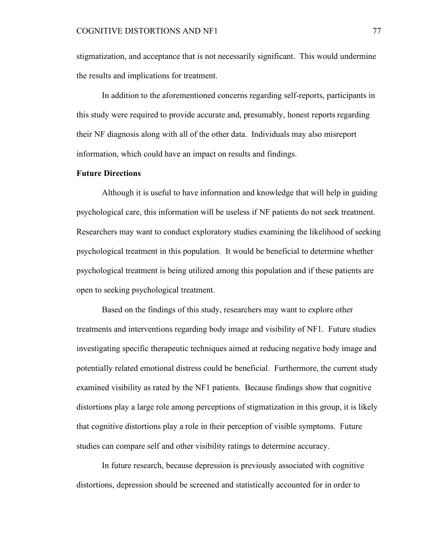stigmatization, and acceptance that is not necessarily significant. This would undermine the results and implications for treatment.

In addition to the aforementioned concerns regarding self-reports, participants in this study were required to provide accurate and, presumably, honest reports regarding their NF diagnosis along with all of the other data. Individuals may also misreport information, which could have an impact on results and findings.

# **Future Directions**

Although it is useful to have information and knowledge that will help in guiding psychological care, this information will be useless if NF patients do not seek treatment. Researchers may want to conduct exploratory studies examining the likelihood of seeking psychological treatment in this population. It would be beneficial to determine whether psychological treatment is being utilized among this population and if these patients are open to seeking psychological treatment.

Based on the findings of this study, researchers may want to explore other treatments and interventions regarding body image and visibility of NF1. Future studies investigating specific therapeutic techniques aimed at reducing negative body image and potentially related emotional distress could be beneficial. Furthermore, the current study examined visibility as rated by the NF1 patients. Because findings show that cognitive distortions play a large role among perceptions of stigmatization in this group, it is likely that cognitive distortions play a role in their perception of visible symptoms. Future studies can compare self and other visibility ratings to determine accuracy.

In future research, because depression is previously associated with cognitive distortions, depression should be screened and statistically accounted for in order to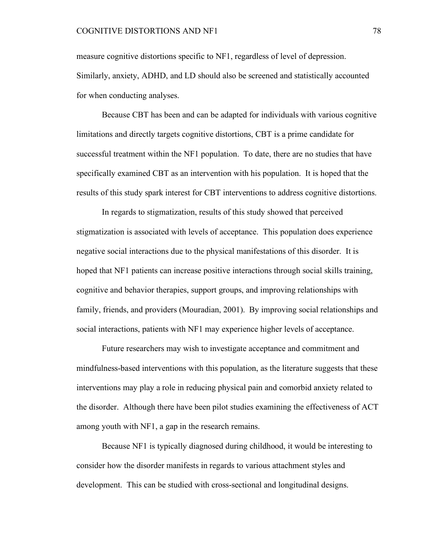measure cognitive distortions specific to NF1, regardless of level of depression. Similarly, anxiety, ADHD, and LD should also be screened and statistically accounted for when conducting analyses.

Because CBT has been and can be adapted for individuals with various cognitive limitations and directly targets cognitive distortions, CBT is a prime candidate for successful treatment within the NF1 population. To date, there are no studies that have specifically examined CBT as an intervention with his population. It is hoped that the results of this study spark interest for CBT interventions to address cognitive distortions.

In regards to stigmatization, results of this study showed that perceived stigmatization is associated with levels of acceptance. This population does experience negative social interactions due to the physical manifestations of this disorder. It is hoped that NF1 patients can increase positive interactions through social skills training, cognitive and behavior therapies, support groups, and improving relationships with family, friends, and providers (Mouradian, 2001). By improving social relationships and social interactions, patients with NF1 may experience higher levels of acceptance.

Future researchers may wish to investigate acceptance and commitment and mindfulness-based interventions with this population, as the literature suggests that these interventions may play a role in reducing physical pain and comorbid anxiety related to the disorder. Although there have been pilot studies examining the effectiveness of ACT among youth with NF1, a gap in the research remains.

Because NF1 is typically diagnosed during childhood, it would be interesting to consider how the disorder manifests in regards to various attachment styles and development. This can be studied with cross-sectional and longitudinal designs.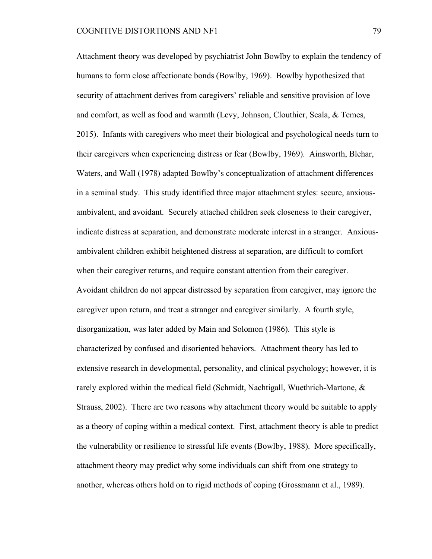Attachment theory was developed by psychiatrist John Bowlby to explain the tendency of humans to form close affectionate bonds (Bowlby, 1969). Bowlby hypothesized that security of attachment derives from caregivers' reliable and sensitive provision of love and comfort, as well as food and warmth (Levy, Johnson, Clouthier, Scala, & Temes, 2015). Infants with caregivers who meet their biological and psychological needs turn to their caregivers when experiencing distress or fear (Bowlby, 1969). Ainsworth, Blehar, Waters, and Wall (1978) adapted Bowlby's conceptualization of attachment differences in a seminal study. This study identified three major attachment styles: secure, anxiousambivalent, and avoidant. Securely attached children seek closeness to their caregiver, indicate distress at separation, and demonstrate moderate interest in a stranger. Anxiousambivalent children exhibit heightened distress at separation, are difficult to comfort when their caregiver returns, and require constant attention from their caregiver. Avoidant children do not appear distressed by separation from caregiver, may ignore the caregiver upon return, and treat a stranger and caregiver similarly. A fourth style, disorganization, was later added by Main and Solomon (1986). This style is characterized by confused and disoriented behaviors. Attachment theory has led to extensive research in developmental, personality, and clinical psychology; however, it is rarely explored within the medical field (Schmidt, Nachtigall, Wuethrich-Martone, & Strauss, 2002). There are two reasons why attachment theory would be suitable to apply as a theory of coping within a medical context. First, attachment theory is able to predict the vulnerability or resilience to stressful life events (Bowlby, 1988). More specifically, attachment theory may predict why some individuals can shift from one strategy to another, whereas others hold on to rigid methods of coping (Grossmann et al., 1989).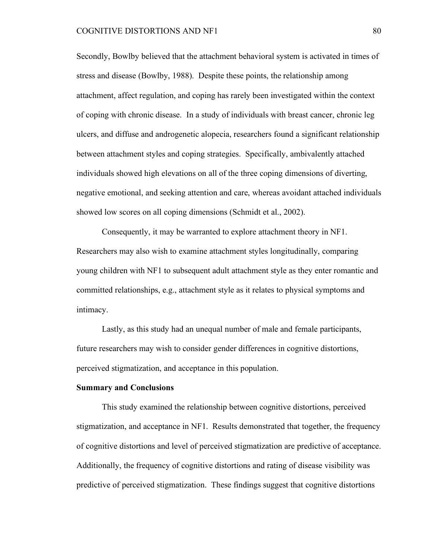Secondly, Bowlby believed that the attachment behavioral system is activated in times of stress and disease (Bowlby, 1988). Despite these points, the relationship among attachment, affect regulation, and coping has rarely been investigated within the context of coping with chronic disease. In a study of individuals with breast cancer, chronic leg ulcers, and diffuse and androgenetic alopecia, researchers found a significant relationship between attachment styles and coping strategies. Specifically, ambivalently attached individuals showed high elevations on all of the three coping dimensions of diverting, negative emotional, and seeking attention and care, whereas avoidant attached individuals showed low scores on all coping dimensions (Schmidt et al., 2002).

Consequently, it may be warranted to explore attachment theory in NF1. Researchers may also wish to examine attachment styles longitudinally, comparing young children with NF1 to subsequent adult attachment style as they enter romantic and committed relationships, e.g., attachment style as it relates to physical symptoms and intimacy.

Lastly, as this study had an unequal number of male and female participants, future researchers may wish to consider gender differences in cognitive distortions, perceived stigmatization, and acceptance in this population.

#### **Summary and Conclusions**

This study examined the relationship between cognitive distortions, perceived stigmatization, and acceptance in NF1. Results demonstrated that together, the frequency of cognitive distortions and level of perceived stigmatization are predictive of acceptance. Additionally, the frequency of cognitive distortions and rating of disease visibility was predictive of perceived stigmatization. These findings suggest that cognitive distortions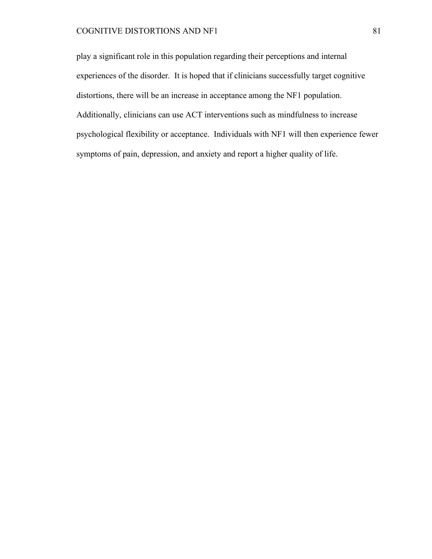# COGNITIVE DISTORTIONS AND NF1 81

play a significant role in this population regarding their perceptions and internal experiences of the disorder. It is hoped that if clinicians successfully target cognitive distortions, there will be an increase in acceptance among the NF1 population. Additionally, clinicians can use ACT interventions such as mindfulness to increase psychological flexibility or acceptance. Individuals with NF1 will then experience fewer symptoms of pain, depression, and anxiety and report a higher quality of life.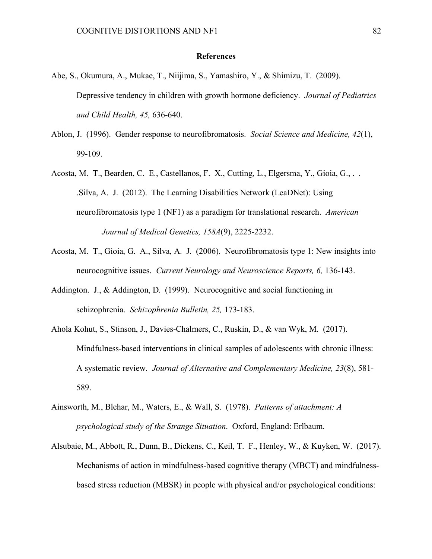#### **References**

- Abe, S., Okumura, A., Mukae, T., Niijima, S., Yamashiro, Y., & Shimizu, T. (2009). Depressive tendency in children with growth hormone deficiency. *Journal of Pediatrics and Child Health, 45,* 636-640.
- Ablon, J. (1996). Gender response to neurofibromatosis. *Social Science and Medicine, 42*(1), 99-109.
- Acosta, M. T., Bearden, C. E., Castellanos, F. X., Cutting, L., Elgersma, Y., Gioia, G., . . .Silva, A. J. (2012). The Learning Disabilities Network (LeaDNet): Using neurofibromatosis type 1 (NF1) as a paradigm for translational research. *American Journal of Medical Genetics, 158A*(9), 2225-2232.
- Acosta, M. T., Gioia, G. A., Silva, A. J. (2006). Neurofibromatosis type 1: New insights into neurocognitive issues. *Current Neurology and Neuroscience Reports, 6,* 136-143.
- Addington. J., & Addington, D. (1999). Neurocognitive and social functioning in schizophrenia. *Schizophrenia Bulletin, 25,* 173-183.
- Ahola Kohut, S., Stinson, J., Davies-Chalmers, C., Ruskin, D., & van Wyk, M. (2017). Mindfulness-based interventions in clinical samples of adolescents with chronic illness: A systematic review. *Journal of Alternative and Complementary Medicine, 23*(8), 581- 589.
- Ainsworth, M., Blehar, M., Waters, E., & Wall, S. (1978). *Patterns of attachment: A psychological study of the Strange Situation*. Oxford, England: Erlbaum.
- Alsubaie, M., Abbott, R., Dunn, B., Dickens, C., Keil, T. F., Henley, W., & Kuyken, W. (2017). Mechanisms of action in mindfulness-based cognitive therapy (MBCT) and mindfulnessbased stress reduction (MBSR) in people with physical and/or psychological conditions: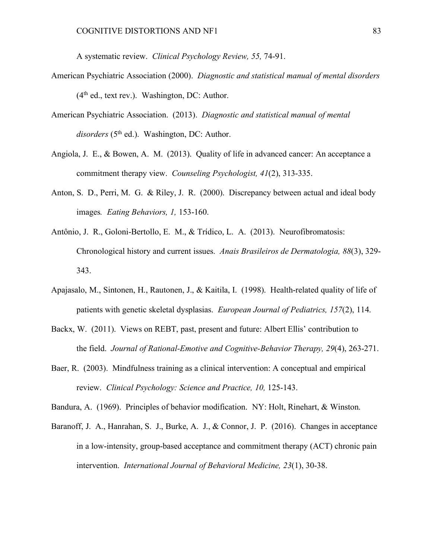A systematic review. *Clinical Psychology Review, 55,* 74-91.

- American Psychiatric Association (2000). *Diagnostic and statistical manual of mental disorders*  $(4<sup>th</sup>$  ed., text rev.). Washington, DC: Author.
- American Psychiatric Association. (2013). *Diagnostic and statistical manual of mental*  disorders (5<sup>th</sup> ed.). Washington, DC: Author.
- Angiola, J. E., & Bowen, A. M. (2013). Quality of life in advanced cancer: An acceptance a commitment therapy view. *Counseling Psychologist, 41*(2), 313-335.
- Anton, S. D., Perri, M. G. & Riley, J. R. (2000). Discrepancy between actual and ideal body images*. Eating Behaviors, 1,* 153-160.
- Antônio, J. R., Goloni-Bertollo, E. M., & Trídico, L. A. (2013). Neurofibromatosis: Chronological history and current issues. *Anais Brasileiros de Dermatologia, 88*(3), 329- 343.
- Apajasalo, M., Sintonen, H., Rautonen, J., & Kaitila, I. (1998). Health-related quality of life of patients with genetic skeletal dysplasias. *European Journal of Pediatrics, 157*(2), 114.
- Backx, W. (2011). Views on REBT, past, present and future: Albert Ellis' contribution to the field. *Journal of Rational-Emotive and Cognitive-Behavior Therapy, 29*(4), 263-271.
- Baer, R. (2003). Mindfulness training as a clinical intervention: A conceptual and empirical review. *Clinical Psychology: Science and Practice, 10,* 125-143.
- Bandura, A. (1969). Principles of behavior modification. NY: Holt, Rinehart, & Winston.
- Baranoff, J. A., Hanrahan, S. J., Burke, A. J., & Connor, J. P. (2016). Changes in acceptance in a low-intensity, group-based acceptance and commitment therapy (ACT) chronic pain intervention. *International Journal of Behavioral Medicine, 23*(1), 30-38.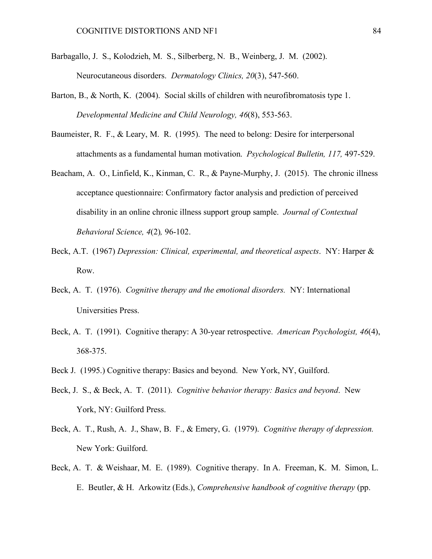- Barbagallo, J. S., Kolodzieh, M. S., Silberberg, N. B., Weinberg, J. M. (2002). Neurocutaneous disorders. *Dermatology Clinics, 20*(3), 547-560.
- Barton, B., & North, K. (2004). Social skills of children with neurofibromatosis type 1. *Developmental Medicine and Child Neurology, 46*(8), 553-563.
- Baumeister, R. F., & Leary, M. R. (1995). The need to belong: Desire for interpersonal attachments as a fundamental human motivation. *Psychological Bulletin, 117,* 497-529.
- Beacham, A. O., Linfield, K., Kinman, C. R., & Payne-Murphy, J. (2015). The chronic illness acceptance questionnaire: Confirmatory factor analysis and prediction of perceived disability in an online chronic illness support group sample. *Journal of Contextual Behavioral Science, 4*(2)*,* 96-102.
- Beck, A.T. (1967) *Depression: Clinical, experimental, and theoretical aspects*. NY: Harper & Row.
- Beck, A. T. (1976). *Cognitive therapy and the emotional disorders.* NY: International Universities Press.
- Beck, A. T. (1991). Cognitive therapy: A 30-year retrospective. *American Psychologist, 46*(4), 368-375.
- Beck J. (1995.) Cognitive therapy: Basics and beyond. New York, NY, Guilford.
- Beck, J. S., & Beck, A. T. (2011). *Cognitive behavior therapy: Basics and beyond*. New York, NY: Guilford Press.
- Beck, A. T., Rush, A. J., Shaw, B. F., & Emery, G. (1979). *Cognitive therapy of depression.*  New York: Guilford.
- Beck, A. T. & Weishaar, M. E. (1989). Cognitive therapy. In A. Freeman, K. M. Simon, L. E. Beutler, & H. Arkowitz (Eds.), *Comprehensive handbook of cognitive therapy* (pp.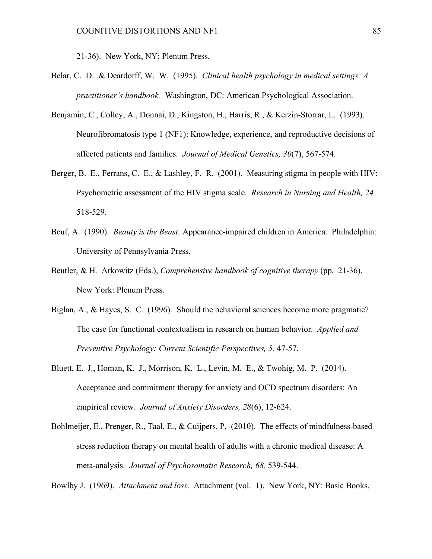21-36). New York, NY: Plenum Press.

- Belar, C. D. & Deardorff, W. W. (1995). *Clinical health psychology in medical settings: A practitioner's handbook.* Washington, DC: American Psychological Association.
- Benjamin, C., Colley, A., Donnai, D., Kingston, H., Harris, R., & Kerzin-Storrar, L. (1993). Neurofibromatosis type 1 (NF1): Knowledge, experience, and reproductive decisions of affected patients and families. *Journal of Medical Genetics, 30*(7), 567-574.
- Berger, B. E., Ferrans, C. E., & Lashley, F. R. (2001). Measuring stigma in people with HIV: Psychometric assessment of the HIV stigma scale. *Research in Nursing and Health, 24,*  518-529.
- Beuf, A. (1990). *Beauty is the Beast*: Appearance-impaired children in America. Philadelphia: University of Pennsylvania Press.
- Beutler, & H. Arkowitz (Eds.), *Comprehensive handbook of cognitive therapy* (pp. 21-36). New York: Plenum Press.
- Biglan, A., & Hayes, S. C. (1996). Should the behavioral sciences become more pragmatic? The case for functional contextualism in research on human behavior. *Applied and Preventive Psychology: Current Scientific Perspectives, 5,* 47-57.
- Bluett, E. J., Homan, K. J., Morrison, K. L., Levin, M. E., & Twohig, M. P. (2014). Acceptance and commitment therapy for anxiety and OCD spectrum disorders: An empirical review. *Journal of Anxiety Disorders, 28*(6), 12-624.
- Bohlmeijer, E., Prenger, R., Taal, E., & Cuijpers, P. (2010). The effects of mindfulness-based stress reduction therapy on mental health of adults with a chronic medical disease: A meta-analysis. *Journal of Psychosomatic Research, 68,* 539-544.

Bowlby J. (1969). *Attachment and loss*. Attachment (vol. 1). New York, NY: Basic Books.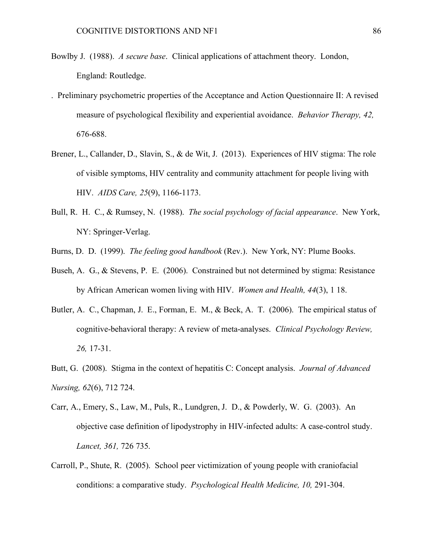- Bowlby J. (1988). *A secure base*. Clinical applications of attachment theory. London, England: Routledge.
- . Preliminary psychometric properties of the Acceptance and Action Questionnaire II: A revised measure of psychological flexibility and experiential avoidance. *Behavior Therapy, 42,* 676-688.
- Brener, L., Callander, D., Slavin, S., & de Wit, J. (2013). Experiences of HIV stigma: The role of visible symptoms, HIV centrality and community attachment for people living with HIV. *AIDS Care, 25*(9), 1166-1173.
- Bull, R. H. C., & Rumsey, N. (1988). *The social psychology of facial appearance*. New York, NY: Springer-Verlag.
- Burns, D. D. (1999). *The feeling good handbook* (Rev.). New York, NY: Plume Books.
- Buseh, A. G., & Stevens, P. E. (2006). Constrained but not determined by stigma: Resistance by African American women living with HIV. *Women and Health, 44*(3), 1 18.
- Butler, A. C., Chapman, J. E., Forman, E. M., & Beck, A. T. (2006). The empirical status of cognitive-behavioral therapy: A review of meta-analyses. *Clinical Psychology Review, 26,* 17-31.
- Butt, G. (2008). Stigma in the context of hepatitis C: Concept analysis. *Journal of Advanced Nursing, 62*(6), 712 724.
- Carr, A., Emery, S., Law, M., Puls, R., Lundgren, J. D., & Powderly, W. G. (2003). An objective case definition of lipodystrophy in HIV-infected adults: A case-control study. *Lancet, 361,* 726 735.
- Carroll, P., Shute, R. (2005). School peer victimization of young people with craniofacial conditions: a comparative study. *Psychological Health Medicine, 10,* 291-304.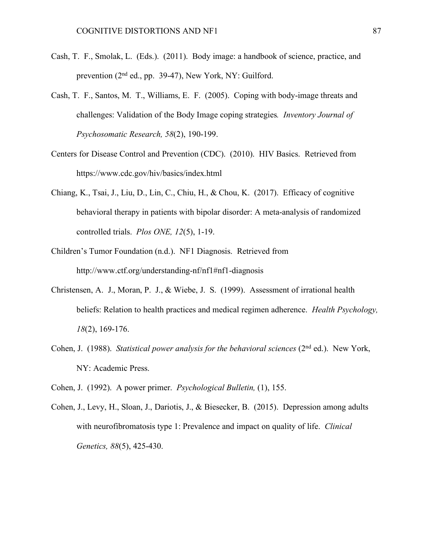- Cash, T. F., Smolak, L. (Eds.). (2011). Body image: a handbook of science, practice, and prevention (2nd ed., pp. 39-47), New York, NY: Guilford.
- Cash, T. F., Santos, M. T., Williams, E. F. (2005). Coping with body-image threats and challenges: Validation of the Body Image coping strategies*. Inventory Journal of Psychosomatic Research, 58*(2), 190-199.
- Centers for Disease Control and Prevention (CDC). (2010). HIV Basics. Retrieved from https://www.cdc.gov/hiv/basics/index.html
- Chiang, K., Tsai, J., Liu, D., Lin, C., Chiu, H., & Chou, K. (2017). Efficacy of cognitive behavioral therapy in patients with bipolar disorder: A meta-analysis of randomized controlled trials. *Plos ONE, 12*(5), 1-19.
- Children's Tumor Foundation (n.d.). NF1 Diagnosis. Retrieved from http://www.ctf.org/understanding-nf/nf1#nf1-diagnosis
- Christensen, A. J., Moran, P. J., & Wiebe, J. S. (1999). Assessment of irrational health beliefs: Relation to health practices and medical regimen adherence. *Health Psychology, 18*(2), 169-176.
- Cohen, J. (1988). *Statistical power analysis for the behavioral sciences* (2<sup>nd</sup> ed.). New York, NY: Academic Press.
- Cohen, J. (1992). A power primer. *Psychological Bulletin,* (1), 155.
- Cohen, J., Levy, H., Sloan, J., Dariotis, J., & Biesecker, B. (2015). Depression among adults with neurofibromatosis type 1: Prevalence and impact on quality of life. *Clinical Genetics, 88*(5), 425-430.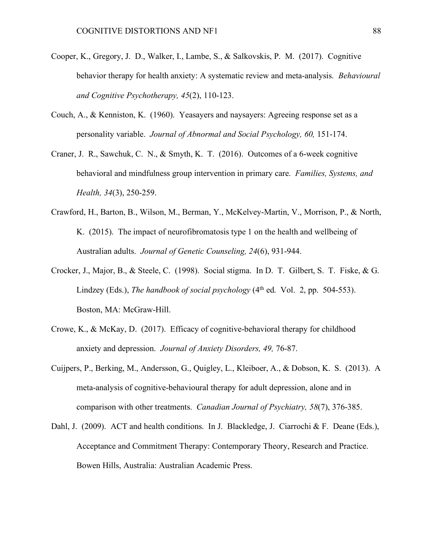- Cooper, K., Gregory, J. D., Walker, I., Lambe, S., & Salkovskis, P. M. (2017). Cognitive behavior therapy for health anxiety: A systematic review and meta-analysis. *Behavioural and Cognitive Psychotherapy, 45*(2), 110-123.
- Couch, A., & Kenniston, K. (1960). Yeasayers and naysayers: Agreeing response set as a personality variable. *Journal of Abnormal and Social Psychology, 60,* 151-174.
- Craner, J. R., Sawchuk, C. N., & Smyth, K. T. (2016). Outcomes of a 6-week cognitive behavioral and mindfulness group intervention in primary care. *Families, Systems, and Health, 34*(3), 250-259.
- Crawford, H., Barton, B., Wilson, M., Berman, Y., McKelvey-Martin, V., Morrison, P., & North, K. (2015). The impact of neurofibromatosis type 1 on the health and wellbeing of Australian adults. *Journal of Genetic Counseling, 24*(6), 931-944.
- Crocker, J., Major, B., & Steele, C. (1998). Social stigma. In D. T. Gilbert, S. T. Fiske, & G. Lindzey (Eds.), *The handbook of social psychology* (4<sup>th</sup> ed. Vol. 2, pp. 504-553). Boston, MA: McGraw-Hill.
- Crowe, K., & McKay, D. (2017). Efficacy of cognitive-behavioral therapy for childhood anxiety and depression. *Journal of Anxiety Disorders, 49,* 76-87.
- Cuijpers, P., Berking, M., Andersson, G., Quigley, L., Kleiboer, A., & Dobson, K. S. (2013). A meta-analysis of cognitive-behavioural therapy for adult depression, alone and in comparison with other treatments. *Canadian Journal of Psychiatry, 58*(7), 376-385.
- Dahl, J. (2009). ACT and health conditions. In J. Blackledge, J. Ciarrochi & F. Deane (Eds.), Acceptance and Commitment Therapy: Contemporary Theory, Research and Practice. Bowen Hills, Australia: Australian Academic Press.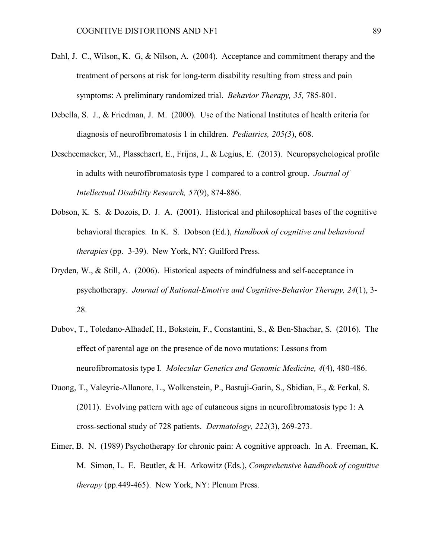- Dahl, J. C., Wilson, K. G, & Nilson, A. (2004). Acceptance and commitment therapy and the treatment of persons at risk for long-term disability resulting from stress and pain symptoms: A preliminary randomized trial. *Behavior Therapy, 35,* 785-801.
- Debella, S. J., & Friedman, J. M. (2000). Use of the National Institutes of health criteria for diagnosis of neurofibromatosis 1 in children. *Pediatrics, 205(3*), 608.
- Descheemaeker, M., Plasschaert, E., Frijns, J., & Legius, E. (2013). Neuropsychological profile in adults with neurofibromatosis type 1 compared to a control group. *Journal of Intellectual Disability Research, 57*(9), 874-886.
- Dobson, K. S. & Dozois, D. J. A. (2001). Historical and philosophical bases of the cognitive behavioral therapies. In K. S. Dobson (Ed.), *Handbook of cognitive and behavioral therapies* (pp. 3-39). New York, NY: Guilford Press.
- Dryden, W., & Still, A. (2006). Historical aspects of mindfulness and self-acceptance in psychotherapy. *Journal of Rational-Emotive and Cognitive-Behavior Therapy, 24*(1), 3- 28.
- Dubov, T., Toledano-Alhadef, H., Bokstein, F., Constantini, S., & Ben-Shachar, S. (2016). The effect of parental age on the presence of de novo mutations: Lessons from neurofibromatosis type I. *Molecular Genetics and Genomic Medicine, 4*(4), 480-486.
- Duong, T., Valeyrie-Allanore, L., Wolkenstein, P., Bastuji-Garin, S., Sbidian, E., & Ferkal, S. (2011). Evolving pattern with age of cutaneous signs in neurofibromatosis type 1: A cross-sectional study of 728 patients. *Dermatology, 222*(3), 269-273.
- Eimer, B. N. (1989) Psychotherapy for chronic pain: A cognitive approach. In A. Freeman, K. M. Simon, L. E. Beutler, & H. Arkowitz (Eds.), *Comprehensive handbook of cognitive therapy* (pp.449-465). New York, NY: Plenum Press.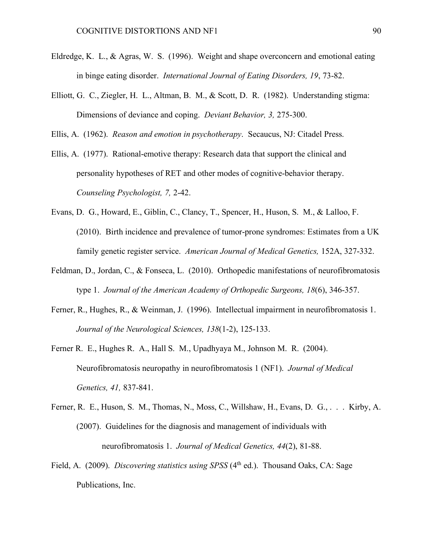- Eldredge, K. L., & Agras, W. S. (1996). Weight and shape overconcern and emotional eating in binge eating disorder. *International Journal of Eating Disorders, 19*, 73-82.
- Elliott, G. C., Ziegler, H. L., Altman, B. M., & Scott, D. R. (1982). Understanding stigma: Dimensions of deviance and coping. *Deviant Behavior, 3,* 275-300.

Ellis, A. (1962). *Reason and emotion in psychotherapy*. Secaucus, NJ: Citadel Press.

- Ellis, A. (1977). Rational-emotive therapy: Research data that support the clinical and personality hypotheses of RET and other modes of cognitive-behavior therapy. *Counseling Psychologist, 7,* 2-42.
- Evans, D. G., Howard, E., Giblin, C., Clancy, T., Spencer, H., Huson, S. M., & Lalloo, F. (2010). Birth incidence and prevalence of tumor-prone syndromes: Estimates from a UK family genetic register service. *American Journal of Medical Genetics,* 152A, 327-332.
- Feldman, D., Jordan, C., & Fonseca, L. (2010). Orthopedic manifestations of neurofibromatosis type 1. *Journal of the American Academy of Orthopedic Surgeons, 18*(6), 346-357.
- Ferner, R., Hughes, R., & Weinman, J. (1996). Intellectual impairment in neurofibromatosis 1. *Journal of the Neurological Sciences, 138*(1-2), 125-133.
- Ferner R. E., Hughes R. A., Hall S. M., Upadhyaya M., Johnson M. R. (2004). Neurofibromatosis neuropathy in neurofibromatosis 1 (NF1). *Journal of Medical Genetics, 41,* 837-841.
- Ferner, R. E., Huson, S. M., Thomas, N., Moss, C., Willshaw, H., Evans, D. G., . . . Kirby, A. (2007). Guidelines for the diagnosis and management of individuals with neurofibromatosis 1. *Journal of Medical Genetics, 44*(2), 81-88.
- Field, A. (2009). *Discovering statistics using SPSS* (4<sup>th</sup> ed.). Thousand Oaks, CA: Sage Publications, Inc.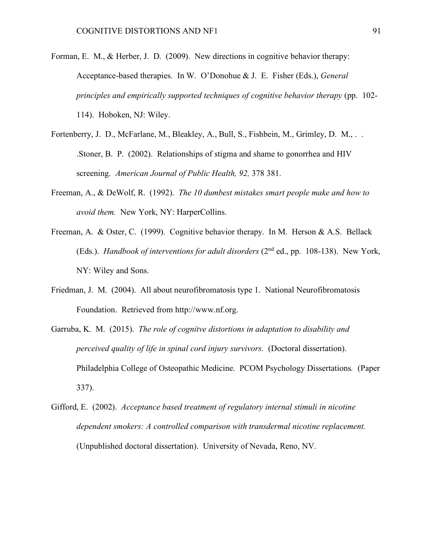- Forman, E. M., & Herber, J. D. (2009). New directions in cognitive behavior therapy: Acceptance-based therapies. In W. O'Donohue & J. E. Fisher (Eds.), *General principles and empirically supported techniques of cognitive behavior therapy* (pp. 102- 114). Hoboken, NJ: Wiley.
- Fortenberry, J. D., McFarlane, M., Bleakley, A., Bull, S., Fishbein, M., Grimley, D. M., . . .Stoner, B. P. (2002). Relationships of stigma and shame to gonorrhea and HIV screening. *American Journal of Public Health, 92,* 378 381.
- Freeman, A., & DeWolf, R. (1992). *The 10 dumbest mistakes smart people make and how to avoid them.* New York, NY: HarperCollins.
- Freeman, A. & Oster, C. (1999). Cognitive behavior therapy. In M. Herson & A.S. Bellack (Eds.). *Handbook of interventions for adult disorders* (2nd ed., pp. 108-138). New York, NY: Wiley and Sons.
- Friedman, J. M. (2004). All about neurofibromatosis type 1. National Neurofibromatosis Foundation. Retrieved from http://www.nf.org.
- Garruba, K. M. (2015). *The role of cognitve distortions in adaptation to disability and perceived quality of life in spinal cord injury survivors.* (Doctoral dissertation). Philadelphia College of Osteopathic Medicine. PCOM Psychology Dissertations*.* (Paper 337).
- Gifford, E. (2002). *Acceptance based treatment of regulatory internal stimuli in nicotine dependent smokers: A controlled comparison with transdermal nicotine replacement.*  (Unpublished doctoral dissertation). University of Nevada, Reno, NV.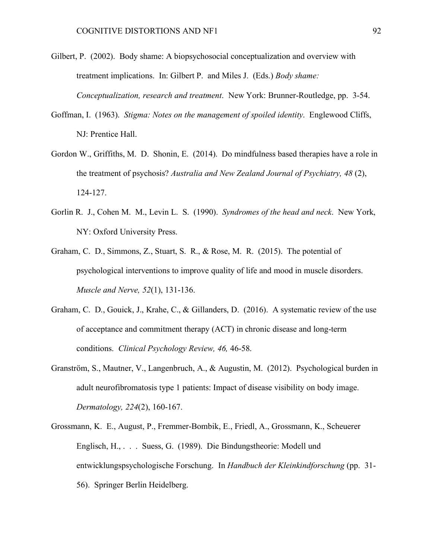- Gilbert, P. (2002). Body shame: A biopsychosocial conceptualization and overview with treatment implications. In: Gilbert P. and Miles J. (Eds.) *Body shame: Conceptualization, research and treatment*. New York: Brunner-Routledge, pp. 3-54.
- Goffman, I. (1963). *Stigma: Notes on the management of spoiled identity*. Englewood Cliffs, NJ: Prentice Hall.
- Gordon W., Griffiths, M. D. Shonin, E. (2014). Do mindfulness based therapies have a role in the treatment of psychosis? *Australia and New Zealand Journal of Psychiatry, 48* (2), 124-127.
- Gorlin R. J., Cohen M. M., Levin L. S. (1990). *Syndromes of the head and neck*. New York, NY: Oxford University Press.
- Graham, C. D., Simmons, Z., Stuart, S. R., & Rose, M. R. (2015). The potential of psychological interventions to improve quality of life and mood in muscle disorders. *Muscle and Nerve, 52*(1), 131-136.
- Graham, C. D., Gouick, J., Krahe, C., & Gillanders, D. (2016). A systematic review of the use of acceptance and commitment therapy (ACT) in chronic disease and long-term conditions. *Clinical Psychology Review, 46,* 46-58.
- Granström, S., Mautner, V., Langenbruch, A., & Augustin, M. (2012). Psychological burden in adult neurofibromatosis type 1 patients: Impact of disease visibility on body image. *Dermatology, 224*(2), 160-167.
- Grossmann, K. E., August, P., Fremmer-Bombik, E., Friedl, A., Grossmann, K., Scheuerer Englisch, H., . . . Suess, G. (1989). Die Bindungstheorie: Modell und entwicklungspsychologische Forschung. In *Handbuch der Kleinkindforschung* (pp. 31- 56). Springer Berlin Heidelberg.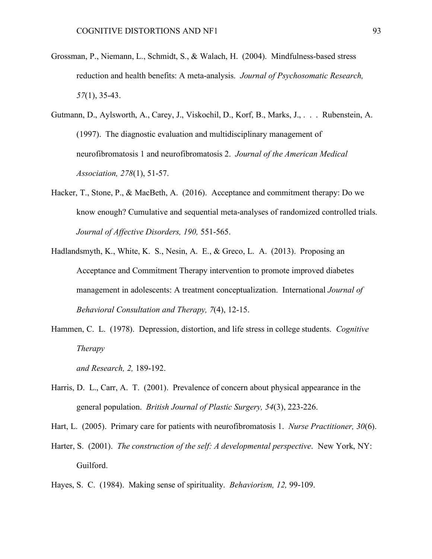- Grossman, P., Niemann, L., Schmidt, S., & Walach, H. (2004). Mindfulness-based stress reduction and health benefits: A meta-analysis. *Journal of Psychosomatic Research, 57*(1), 35-43.
- Gutmann, D., Aylsworth, A., Carey, J., Viskochil, D., Korf, B., Marks, J., . . . Rubenstein, A. (1997). The diagnostic evaluation and multidisciplinary management of neurofibromatosis 1 and neurofibromatosis 2. *Journal of the American Medical Association, 278*(1), 51-57.
- Hacker, T., Stone, P., & MacBeth, A. (2016). Acceptance and commitment therapy: Do we know enough? Cumulative and sequential meta-analyses of randomized controlled trials. *Journal of Affective Disorders, 190,* 551-565.
- Hadlandsmyth, K., White, K. S., Nesin, A. E., & Greco, L. A. (2013). Proposing an Acceptance and Commitment Therapy intervention to promote improved diabetes management in adolescents: A treatment conceptualization. International *Journal of Behavioral Consultation and Therapy, 7*(4), 12-15.
- Hammen, C. L. (1978). Depression, distortion, and life stress in college students. *Cognitive Therapy*

*and Research, 2,* 189-192.

- Harris, D. L., Carr, A. T. (2001). Prevalence of concern about physical appearance in the general population. *British Journal of Plastic Surgery, 54*(3), 223-226.
- Hart, L. (2005). Primary care for patients with neurofibromatosis 1. *Nurse Practitioner, 30*(6).
- Harter, S. (2001). *The construction of the self: A developmental perspective*. New York, NY: Guilford.
- Hayes, S. C. (1984). Making sense of spirituality. *Behaviorism, 12,* 99-109.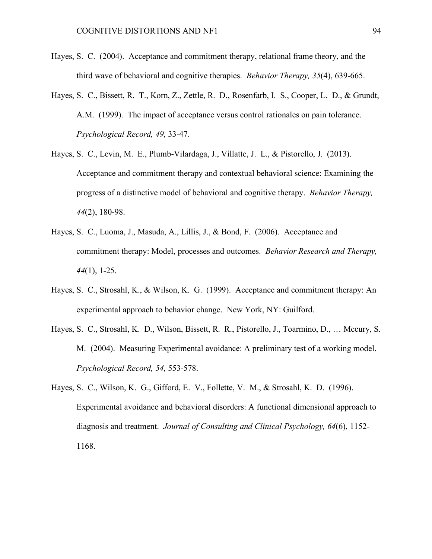- Hayes, S. C. (2004). Acceptance and commitment therapy, relational frame theory, and the third wave of behavioral and cognitive therapies. *Behavior Therapy, 35*(4), 639-665.
- Hayes, S. C., Bissett, R. T., Korn, Z., Zettle, R. D., Rosenfarb, I. S., Cooper, L. D., & Grundt, A.M. (1999). The impact of acceptance versus control rationales on pain tolerance. *Psychological Record, 49,* 33-47.
- Hayes, S. C., Levin, M. E., Plumb-Vilardaga, J., Villatte, J. L., & Pistorello, J. (2013). Acceptance and commitment therapy and contextual behavioral science: Examining the progress of a distinctive model of behavioral and cognitive therapy. *Behavior Therapy, 44*(2), 180-98.
- Hayes, S. C., Luoma, J., Masuda, A., Lillis, J., & Bond, F. (2006). Acceptance and commitment therapy: Model, processes and outcomes. *Behavior Research and Therapy, 44*(1), 1-25.
- Hayes, S. C., Strosahl, K., & Wilson, K. G. (1999). Acceptance and commitment therapy: An experimental approach to behavior change. New York, NY: Guilford.
- Hayes, S. C., Strosahl, K. D., Wilson, Bissett, R. R., Pistorello, J., Toarmino, D., … Mccury, S. M. (2004). Measuring Experimental avoidance: A preliminary test of a working model. *Psychological Record, 54,* 553-578.
- Hayes, S. C., Wilson, K. G., Gifford, E. V., Follette, V. M., & Strosahl, K. D. (1996). Experimental avoidance and behavioral disorders: A functional dimensional approach to diagnosis and treatment. *Journal of Consulting and Clinical Psychology, 64*(6), 1152- 1168.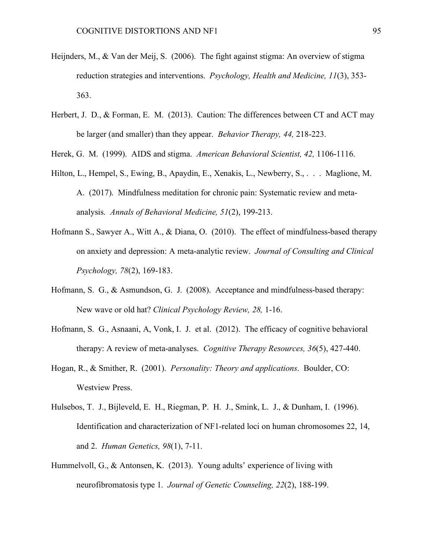- Heijnders, M., & Van der Meij, S. (2006). The fight against stigma: An overview of stigma reduction strategies and interventions. *Psychology, Health and Medicine, 11*(3), 353- 363.
- Herbert, J. D., & Forman, E. M. (2013). Caution: The differences between CT and ACT may be larger (and smaller) than they appear. *Behavior Therapy, 44,* 218-223.

Herek, G. M. (1999). AIDS and stigma. *American Behavioral Scientist, 42,* 1106-1116.

- Hilton, L., Hempel, S., Ewing, B., Apaydin, E., Xenakis, L., Newberry, S., . . . Maglione, M. A. (2017). Mindfulness meditation for chronic pain: Systematic review and metaanalysis. *Annals of Behavioral Medicine, 51*(2), 199-213.
- Hofmann S., Sawyer A., Witt A., & Diana, O. (2010). The effect of mindfulness-based therapy on anxiety and depression: A meta-analytic review. *Journal of Consulting and Clinical Psychology, 78*(2), 169-183.
- Hofmann, S. G., & Asmundson, G. J. (2008). Acceptance and mindfulness-based therapy: New wave or old hat? *Clinical Psychology Review, 28,* 1-16.
- Hofmann, S. G., Asnaani, A, Vonk, I. J. et al. (2012). The efficacy of cognitive behavioral therapy: A review of meta-analyses. *Cognitive Therapy Resources, 36*(5), 427-440.
- Hogan, R., & Smither, R. (2001). *Personality: Theory and applications*. Boulder, CO: Westview Press.
- Hulsebos, T. J., Bijleveld, E. H., Riegman, P. H. J., Smink, L. J., & Dunham, I. (1996). Identification and characterization of NF1-related loci on human chromosomes 22, 14, and 2. *Human Genetics, 98*(1), 7-11.
- Hummelvoll, G., & Antonsen, K. (2013). Young adults' experience of living with neurofibromatosis type 1. *Journal of Genetic Counseling, 22*(2), 188-199.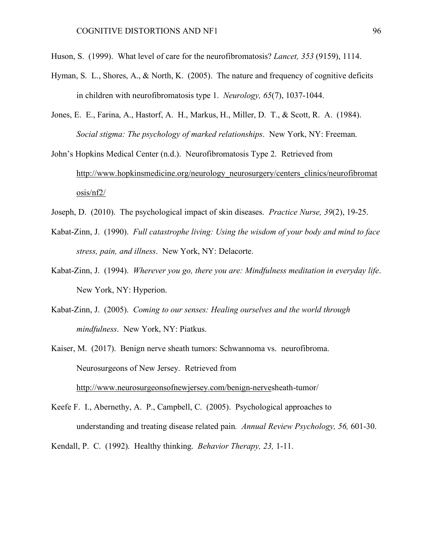- Huson, S. (1999). What level of care for the neurofibromatosis? *Lancet, 353* (9159), 1114.
- Hyman, S. L., Shores, A., & North, K. (2005). The nature and frequency of cognitive deficits in children with neurofibromatosis type 1. *Neurology, 65*(7), 1037-1044.
- Jones, E. E., Farina, A., Hastorf, A. H., Markus, H., Miller, D. T., & Scott, R. A. (1984). *Social stigma: The psychology of marked relationships*. New York, NY: Freeman.
- John's Hopkins Medical Center (n.d.). Neurofibromatosis Type 2. Retrieved from http://www.hopkinsmedicine.org/neurology\_neurosurgery/centers\_clinics/neurofibromat osis/nf2/
- Joseph, D. (2010). The psychological impact of skin diseases. *Practice Nurse, 39*(2), 19-25.
- Kabat-Zinn, J. (1990). *Full catastrophe living: Using the wisdom of your body and mind to face stress, pain, and illness*. New York, NY: Delacorte.
- Kabat-Zinn, J. (1994). *Wherever you go, there you are: Mindfulness meditation in everyday life*. New York, NY: Hyperion.
- Kabat-Zinn, J. (2005). *Coming to our senses: Healing ourselves and the world through mindfulness*. New York, NY: Piatkus.
- Kaiser, M. (2017). Benign nerve sheath tumors: Schwannoma vs. neurofibroma. Neurosurgeons of New Jersey. Retrieved from http://www.neurosurgeonsofnewjersey.com/benign-nervesheath-tumor/
- Keefe F. I., Abernethy, A. P., Campbell, C. (2005). Psychological approaches to understanding and treating disease related pain*. Annual Review Psychology, 56,* 601-30.

Kendall, P. C. (1992). Healthy thinking. *Behavior Therapy, 23,* 1-11.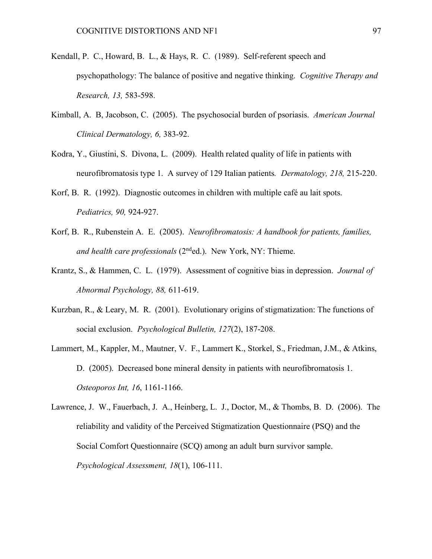- Kendall, P. C., Howard, B. L., & Hays, R. C. (1989). Self-referent speech and psychopathology: The balance of positive and negative thinking. *Cognitive Therapy and Research, 13,* 583-598.
- Kimball, A. B, Jacobson, C. (2005). The psychosocial burden of psoriasis. *American Journal Clinical Dermatology, 6,* 383-92.
- Kodra, Y., Giustini, S. Divona, L. (2009). Health related quality of life in patients with neurofibromatosis type 1. A survey of 129 Italian patients*. Dermatology, 218,* 215-220.
- Korf, B. R. (1992). Diagnostic outcomes in children with multiple café au lait spots. *Pediatrics, 90,* 924-927.
- Korf, B. R., Rubenstein A. E. (2005). *Neurofibromatosis: A handbook for patients, families, and health care professionals* (2nded.). New York, NY: Thieme.
- Krantz, S., & Hammen, C. L. (1979). Assessment of cognitive bias in depression. *Journal of Abnormal Psychology, 88,* 611-619.
- Kurzban, R., & Leary, M. R. (2001). Evolutionary origins of stigmatization: The functions of social exclusion. *Psychological Bulletin, 127*(2), 187-208.
- Lammert, M., Kappler, M., Mautner, V. F., Lammert K., Storkel, S., Friedman, J.M., & Atkins, D. (2005). Decreased bone mineral density in patients with neurofibromatosis 1. *Osteoporos Int, 16*, 1161-1166.
- Lawrence, J. W., Fauerbach, J. A., Heinberg, L. J., Doctor, M., & Thombs, B. D. (2006). The reliability and validity of the Perceived Stigmatization Questionnaire (PSQ) and the Social Comfort Questionnaire (SCQ) among an adult burn survivor sample. *Psychological Assessment, 18*(1), 106-111.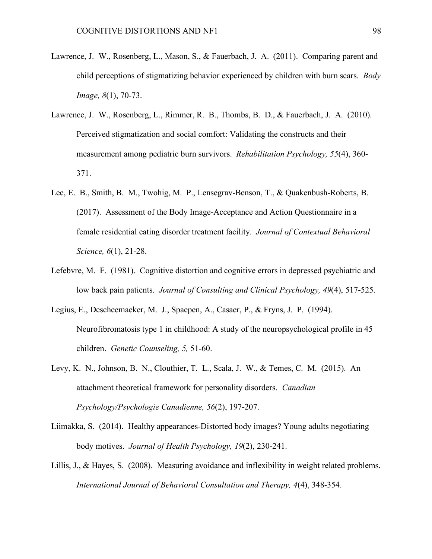- Lawrence, J. W., Rosenberg, L., Mason, S., & Fauerbach, J. A. (2011). Comparing parent and child perceptions of stigmatizing behavior experienced by children with burn scars. *Body Image, 8*(1), 70-73.
- Lawrence, J. W., Rosenberg, L., Rimmer, R. B., Thombs, B. D., & Fauerbach, J. A. (2010). Perceived stigmatization and social comfort: Validating the constructs and their measurement among pediatric burn survivors. *Rehabilitation Psychology, 55*(4), 360- 371.
- Lee, E. B., Smith, B. M., Twohig, M. P., Lensegrav-Benson, T., & Quakenbush-Roberts, B. (2017). Assessment of the Body Image-Acceptance and Action Questionnaire in a female residential eating disorder treatment facility. *Journal of Contextual Behavioral Science, 6*(1), 21-28.
- Lefebvre, M. F. (1981). Cognitive distortion and cognitive errors in depressed psychiatric and low back pain patients. *Journal of Consulting and Clinical Psychology, 49*(4), 517-525.
- Legius, E., Descheemaeker, M. J., Spaepen, A., Casaer, P., & Fryns, J. P. (1994). Neurofibromatosis type 1 in childhood: A study of the neuropsychological profile in 45 children. *Genetic Counseling, 5,* 51-60.
- Levy, K. N., Johnson, B. N., Clouthier, T. L., Scala, J. W., & Temes, C. M. (2015). An attachment theoretical framework for personality disorders. *Canadian Psychology/Psychologie Canadienne, 56*(2), 197-207.
- Liimakka, S. (2014). Healthy appearances-Distorted body images? Young adults negotiating body motives. *Journal of Health Psychology, 19*(2), 230-241.
- Lillis, J., & Hayes, S. (2008). Measuring avoidance and inflexibility in weight related problems. *International Journal of Behavioral Consultation and Therapy, 4*(4), 348-354.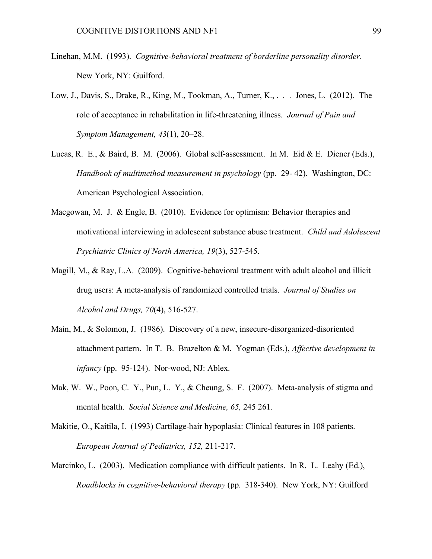- Linehan, M.M. (1993). *Cognitive-behavioral treatment of borderline personality disorder*. New York, NY: Guilford.
- Low, J., Davis, S., Drake, R., King, M., Tookman, A., Turner, K., . . . Jones, L. (2012). The role of acceptance in rehabilitation in life-threatening illness. *Journal of Pain and Symptom Management, 43*(1), 20–28.
- Lucas, R. E., & Baird, B. M. (2006). Global self-assessment. In M. Eid & E. Diener (Eds.), *Handbook of multimethod measurement in psychology* (pp. 29- 42). Washington, DC: American Psychological Association.
- Macgowan, M. J. & Engle, B. (2010). Evidence for optimism: Behavior therapies and motivational interviewing in adolescent substance abuse treatment. *Child and Adolescent Psychiatric Clinics of North America, 19*(3), 527-545.
- Magill, M., & Ray, L.A. (2009). Cognitive-behavioral treatment with adult alcohol and illicit drug users: A meta-analysis of randomized controlled trials. *Journal of Studies on Alcohol and Drugs, 70*(4), 516-527.
- Main, M., & Solomon, J. (1986). Discovery of a new, insecure-disorganized-disoriented attachment pattern. In T. B. Brazelton & M. Yogman (Eds.), *Affective development in infancy* (pp. 95-124). Nor-wood, NJ: Ablex.
- Mak, W. W., Poon, C. Y., Pun, L. Y., & Cheung, S. F. (2007). Meta-analysis of stigma and mental health. *Social Science and Medicine, 65,* 245 261.
- Makitie, O., Kaitila, I. (1993) Cartilage-hair hypoplasia: Clinical features in 108 patients. *European Journal of Pediatrics, 152,* 211-217.
- Marcinko, L. (2003). Medication compliance with difficult patients. In R. L. Leahy (Ed.), *Roadblocks in cognitive-behavioral therapy* (pp. 318-340). New York, NY: Guilford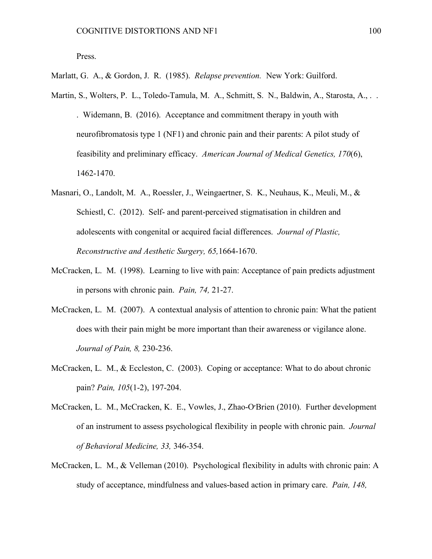Marlatt, G. A., & Gordon, J. R. (1985). *Relapse prevention.* New York: Guilford.

- Martin, S., Wolters, P. L., Toledo-Tamula, M. A., Schmitt, S. N., Baldwin, A., Starosta, A., . . Widemann, B. (2016). Acceptance and commitment therapy in youth with neurofibromatosis type 1 (NF1) and chronic pain and their parents: A pilot study of feasibility and preliminary efficacy. *American Journal of Medical Genetics, 170*(6), 1462-1470.
- Masnari, O., Landolt, M. A., Roessler, J., Weingaertner, S. K., Neuhaus, K., Meuli, M., & Schiestl, C. (2012). Self- and parent-perceived stigmatisation in children and adolescents with congenital or acquired facial differences. *Journal of Plastic, Reconstructive and Aesthetic Surgery, 65,*1664-1670.
- McCracken, L. M. (1998). Learning to live with pain: Acceptance of pain predicts adjustment in persons with chronic pain. *Pain, 74,* 21-27.
- McCracken, L. M. (2007). A contextual analysis of attention to chronic pain: What the patient does with their pain might be more important than their awareness or vigilance alone. *Journal of Pain, 8,* 230-236.
- McCracken, L. M., & Eccleston, C. (2003). Coping or acceptance: What to do about chronic pain? *Pain, 105*(1-2), 197-204.
- McCracken, L. M., McCracken, K. E., Vowles, J., Zhao-O׳Brien (2010). Further development of an instrument to assess psychological flexibility in people with chronic pain. *Journal of Behavioral Medicine, 33,* 346-354.
- McCracken, L. M., & Velleman (2010). Psychological flexibility in adults with chronic pain: A study of acceptance, mindfulness and values-based action in primary care. *Pain, 148,*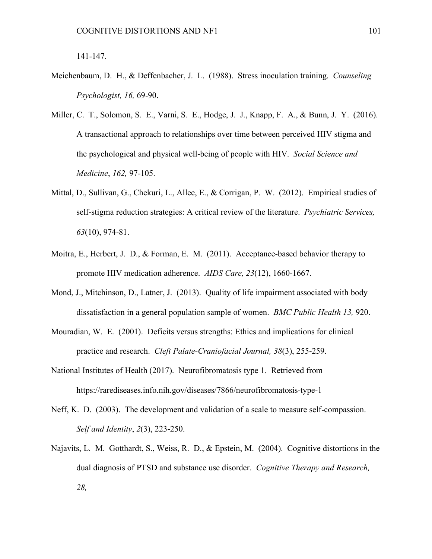141-147.

- Meichenbaum, D. H., & Deffenbacher, J. L. (1988). Stress inoculation training. *Counseling Psychologist, 16,* 69-90.
- Miller, C. T., Solomon, S. E., Varni, S. E., Hodge, J. J., Knapp, F. A., & Bunn, J. Y. (2016). A transactional approach to relationships over time between perceived HIV stigma and the psychological and physical well-being of people with HIV. *Social Science and Medicine*, *162,* 97-105.
- Mittal, D., Sullivan, G., Chekuri, L., Allee, E., & Corrigan, P. W. (2012). Empirical studies of self-stigma reduction strategies: A critical review of the literature. *Psychiatric Services, 63*(10), 974-81.
- Moitra, E., Herbert, J. D., & Forman, E. M. (2011). Acceptance-based behavior therapy to promote HIV medication adherence. *AIDS Care, 23*(12), 1660-1667.
- Mond, J., Mitchinson, D., Latner, J. (2013). Quality of life impairment associated with body dissatisfaction in a general population sample of women. *BMC Public Health 13,* 920.
- Mouradian, W. E. (2001). Deficits versus strengths: Ethics and implications for clinical practice and research. *Cleft Palate-Craniofacial Journal, 38*(3), 255-259.
- National Institutes of Health (2017). Neurofibromatosis type 1. Retrieved from https://rarediseases.info.nih.gov/diseases/7866/neurofibromatosis-type-1
- Neff, K. D. (2003). The development and validation of a scale to measure self-compassion. *Self and Identity*, *2*(3), 223-250.
- Najavits, L. M. Gotthardt, S., Weiss, R. D., & Epstein, M. (2004). Cognitive distortions in the dual diagnosis of PTSD and substance use disorder. *Cognitive Therapy and Research, 28,*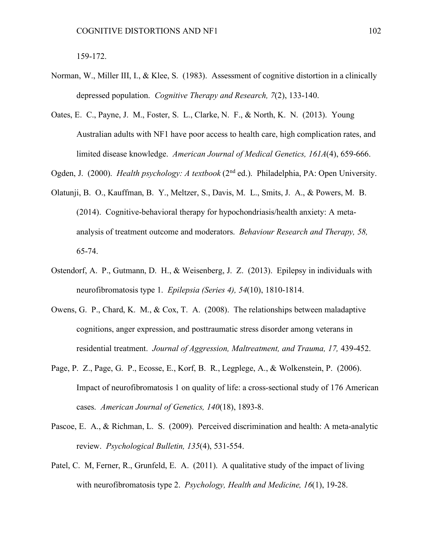159-172.

- Norman, W., Miller III, I., & Klee, S. (1983). Assessment of cognitive distortion in a clinically depressed population. *Cognitive Therapy and Research, 7*(2), 133-140.
- Oates, E. C., Payne, J. M., Foster, S. L., Clarke, N. F., & North, K. N. (2013). Young Australian adults with NF1 have poor access to health care, high complication rates, and limited disease knowledge. *American Journal of Medical Genetics, 161A*(4), 659-666.

Ogden, J. (2000). *Health psychology: A textbook* (2<sup>nd</sup> ed.). Philadelphia, PA: Open University.

- Olatunji, B. O., Kauffman, B. Y., Meltzer, S., Davis, M. L., Smits, J. A., & Powers, M. B. (2014). Cognitive-behavioral therapy for hypochondriasis/health anxiety: A metaanalysis of treatment outcome and moderators. *Behaviour Research and Therapy, 58,* 65-74.
- Ostendorf, A. P., Gutmann, D. H., & Weisenberg, J. Z. (2013). Epilepsy in individuals with neurofibromatosis type 1. *Epilepsia (Series 4), 54*(10), 1810-1814.
- Owens, G. P., Chard, K. M., & Cox, T. A. (2008). The relationships between maladaptive cognitions, anger expression, and posttraumatic stress disorder among veterans in residential treatment. *Journal of Aggression, Maltreatment, and Trauma, 17,* 439-452.
- Page, P. Z., Page, G. P., Ecosse, E., Korf, B. R., Legplege, A., & Wolkenstein, P. (2006). Impact of neurofibromatosis 1 on quality of life: a cross-sectional study of 176 American cases. *American Journal of Genetics, 140*(18), 1893-8.
- Pascoe, E. A., & Richman, L. S. (2009). Perceived discrimination and health: A meta-analytic review. *Psychological Bulletin, 135*(4), 531-554.
- Patel, C. M, Ferner, R., Grunfeld, E. A. (2011). A qualitative study of the impact of living with neurofibromatosis type 2. *Psychology, Health and Medicine, 16*(1), 19-28.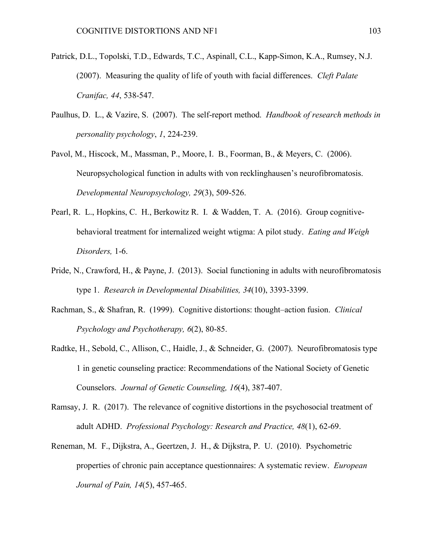- Patrick, D.L., Topolski, T.D., Edwards, T.C., Aspinall, C.L., Kapp-Simon, K.A., Rumsey, N.J. (2007). Measuring the quality of life of youth with facial differences. *Cleft Palate Cranifac, 44*, 538-547.
- Paulhus, D. L., & Vazire, S. (2007). The self-report method. *Handbook of research methods in personality psychology*, *1*, 224-239.
- Pavol, M., Hiscock, M., Massman, P., Moore, I. B., Foorman, B., & Meyers, C. (2006). Neuropsychological function in adults with von recklinghausen's neurofibromatosis. *Developmental Neuropsychology, 29*(3), 509-526.
- Pearl, R. L., Hopkins, C. H., Berkowitz R. I. & Wadden, T. A. (2016). Group cognitivebehavioral treatment for internalized weight wtigma: A pilot study. *Eating and Weigh Disorders,* 1-6.
- Pride, N., Crawford, H., & Payne, J. (2013). Social functioning in adults with neurofibromatosis type 1. *Research in Developmental Disabilities, 34*(10), 3393-3399.
- Rachman, S., & Shafran, R. (1999). Cognitive distortions: thought–action fusion. *Clinical Psychology and Psychotherapy, 6*(2), 80-85.
- Radtke, H., Sebold, C., Allison, C., Haidle, J., & Schneider, G. (2007). Neurofibromatosis type 1 in genetic counseling practice: Recommendations of the National Society of Genetic Counselors. *Journal of Genetic Counseling, 16*(4), 387-407.
- Ramsay, J. R. (2017). The relevance of cognitive distortions in the psychosocial treatment of adult ADHD. *Professional Psychology: Research and Practice, 48*(1), 62-69.
- Reneman, M. F., Dijkstra, A., Geertzen, J. H., & Dijkstra, P. U. (2010). Psychometric properties of chronic pain acceptance questionnaires: A systematic review. *European Journal of Pain, 14*(5), 457-465.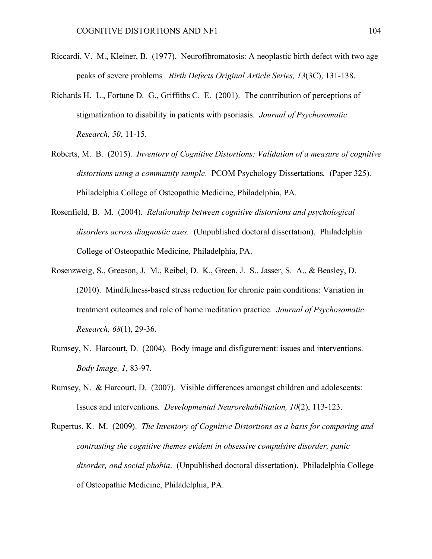- Riccardi, V. M., Kleiner, B. (1977). Neurofibromatosis: A neoplastic birth defect with two age peaks of severe problems*. Birth Defects Original Article Series, 13*(3C), 131-138.
- Richards H. L., Fortune D. G., Griffiths C. E. (2001). The contribution of perceptions of stigmatization to disability in patients with psoriasis. *Journal of Psychosomatic Research, 50*, 11-15.
- Roberts, M. B. (2015). *Inventory of Cognitive Distortions: Validation of a measure of cognitive distortions using a community sample*. PCOM Psychology Dissertations*.* (Paper 325). Philadelphia College of Osteopathic Medicine, Philadelphia, PA.
- Rosenfield, B. M. (2004). *Relationship between cognitive distortions and psychological disorders across diagnostic axes.* (Unpublished doctoral dissertation). Philadelphia College of Osteopathic Medicine, Philadelphia, PA.
- Rosenzweig, S., Greeson, J. M., Reibel, D. K., Green, J. S., Jasser, S. A., & Beasley, D. (2010). Mindfulness-based stress reduction for chronic pain conditions: Variation in treatment outcomes and role of home meditation practice. *Journal of Psychosomatic Research, 68*(1), 29-36.
- Rumsey, N. Harcourt, D. (2004). Body image and disfigurement: issues and interventions. *Body Image, 1,* 83-97.
- Rumsey, N. & Harcourt, D. (2007). Visible differences amongst children and adolescents: Issues and interventions. *Developmental Neurorehabilitation, 10*(2), 113-123.
- Rupertus, K. M. (2009). *The Inventory of Cognitive Distortions as a basis for comparing and contrasting the cognitive themes evident in obsessive compulsive disorder, panic disorder, and social phobia*. (Unpublished doctoral dissertation). Philadelphia College of Osteopathic Medicine, Philadelphia, PA.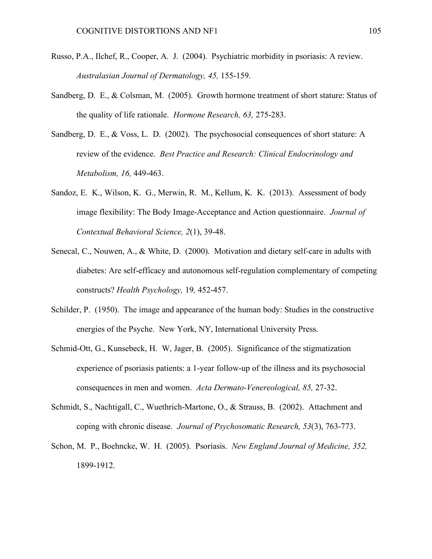- Russo, P.A., Ilchef, R., Cooper, A. J. (2004). Psychiatric morbidity in psoriasis: A review. *Australasian Journal of Dermatology, 45,* 155-159.
- Sandberg, D. E., & Colsman, M. (2005). Growth hormone treatment of short stature: Status of the quality of life rationale. *Hormone Research, 63,* 275-283.
- Sandberg, D. E., & Voss, L. D. (2002). The psychosocial consequences of short stature: A review of the evidence. *Best Practice and Research: Clinical Endocrinology and Metabolism, 16,* 449-463.
- Sandoz, E. K., Wilson, K. G., Merwin, R. M., Kellum, K. K. (2013). Assessment of body image flexibility: The Body Image-Acceptance and Action questionnaire. *Journal of Contextual Behavioral Science, 2*(1), 39-48.
- Senecal, C., Nouwen, A., & White, D. (2000). Motivation and dietary self-care in adults with diabetes: Are self-efficacy and autonomous self-regulation complementary of competing constructs? *Health Psychology,* 19*,* 452-457.
- Schilder, P. (1950). The image and appearance of the human body: Studies in the constructive energies of the Psyche. New York, NY, International University Press.
- Schmid-Ott, G., Kunsebeck, H. W, Jager, B. (2005). Significance of the stigmatization experience of psoriasis patients: a 1-year follow-up of the illness and its psychosocial consequences in men and women. *Acta Dermato-Venereological, 85,* 27-32.
- Schmidt, S., Nachtigall, C., Wuethrich-Martone, O., & Strauss, B. (2002). Attachment and coping with chronic disease. *Journal of Psychosomatic Research, 53*(3), 763-773.
- Schon, M. P., Boehncke, W. H. (2005). Psoriasis. *New England Journal of Medicine, 352,* 1899-1912.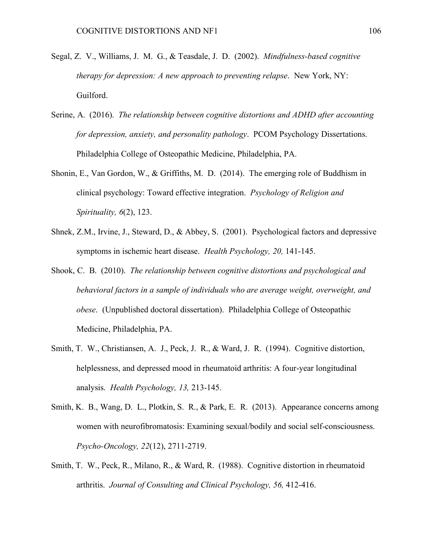- Segal, Z. V., Williams, J. M. G., & Teasdale, J. D. (2002). *Mindfulness-based cognitive therapy for depression: A new approach to preventing relapse*. New York, NY: Guilford.
- Serine, A. (2016). *The relationship between cognitive distortions and ADHD after accounting for depression, anxiety, and personality pathology*. PCOM Psychology Dissertations. Philadelphia College of Osteopathic Medicine, Philadelphia, PA.
- Shonin, E., Van Gordon, W., & Griffiths, M. D. (2014). The emerging role of Buddhism in clinical psychology: Toward effective integration. *Psychology of Religion and Spirituality, 6*(2), 123.
- Shnek, Z.M., Irvine, J., Steward, D., & Abbey, S. (2001). Psychological factors and depressive symptoms in ischemic heart disease. *Health Psychology, 20,* 141-145.
- Shook, C. B. (2010). *The relationship between cognitive distortions and psychological and behavioral factors in a sample of individuals who are average weight, overweight, and obese*. (Unpublished doctoral dissertation). Philadelphia College of Osteopathic Medicine, Philadelphia, PA.
- Smith, T. W., Christiansen, A. J., Peck, J. R., & Ward, J. R. (1994). Cognitive distortion, helplessness, and depressed mood in rheumatoid arthritis: A four-year longitudinal analysis. *Health Psychology, 13,* 213-145.
- Smith, K. B., Wang, D. L., Plotkin, S. R., & Park, E. R. (2013). Appearance concerns among women with neurofibromatosis: Examining sexual/bodily and social self-consciousness. *Psycho-Oncology, 22*(12), 2711-2719.
- Smith, T. W., Peck, R., Milano, R., & Ward, R. (1988). Cognitive distortion in rheumatoid arthritis. *Journal of Consulting and Clinical Psychology, 56,* 412-416.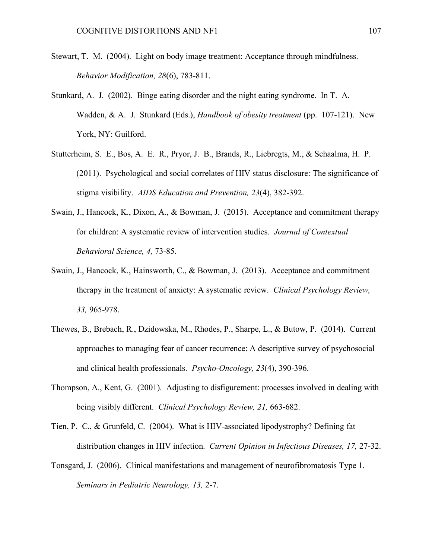- Stewart, T. M. (2004). Light on body image treatment: Acceptance through mindfulness. *Behavior Modification, 28*(6), 783-811.
- Stunkard, A. J. (2002). Binge eating disorder and the night eating syndrome. In T. A. Wadden, & A. J. Stunkard (Eds.), *Handbook of obesity treatment* (pp. 107-121). New York, NY: Guilford.
- Stutterheim, S. E., Bos, A. E. R., Pryor, J. B., Brands, R., Liebregts, M., & Schaalma, H. P. (2011). Psychological and social correlates of HIV status disclosure: The significance of stigma visibility. *AIDS Education and Prevention, 23*(4), 382-392.
- Swain, J., Hancock, K., Dixon, A., & Bowman, J. (2015). Acceptance and commitment therapy for children: A systematic review of intervention studies. *Journal of Contextual Behavioral Science, 4,* 73-85.
- Swain, J., Hancock, K., Hainsworth, C., & Bowman, J. (2013). Acceptance and commitment therapy in the treatment of anxiety: A systematic review. *Clinical Psychology Review, 33,* 965-978.
- Thewes, B., Brebach, R., Dzidowska, M., Rhodes, P., Sharpe, L., & Butow, P. (2014). Current approaches to managing fear of cancer recurrence: A descriptive survey of psychosocial and clinical health professionals. *Psycho-Oncology, 23*(4), 390-396.
- Thompson, A., Kent, G. (2001). Adjusting to disfigurement: processes involved in dealing with being visibly different. *Clinical Psychology Review, 21,* 663-682.
- Tien, P. C., & Grunfeld, C. (2004). What is HIV-associated lipodystrophy? Defining fat distribution changes in HIV infection. *Current Opinion in Infectious Diseases, 17,* 27-32.
- Tonsgard, J. (2006). Clinical manifestations and management of neurofibromatosis Type 1. *Seminars in Pediatric Neurology, 13,* 2-7.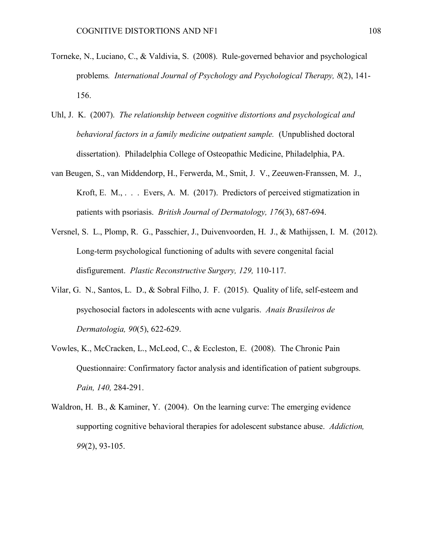- Torneke, N., Luciano, C., & Valdivia, S. (2008). Rule-governed behavior and psychological problems*. International Journal of Psychology and Psychological Therapy, 8*(2), 141- 156.
- Uhl, J. K. (2007). *The relationship between cognitive distortions and psychological and behavioral factors in a family medicine outpatient sample.* (Unpublished doctoral dissertation). Philadelphia College of Osteopathic Medicine, Philadelphia, PA.
- van Beugen, S., van Middendorp, H., Ferwerda, M., Smit, J. V., Zeeuwen-Franssen, M. J., Kroft, E. M., . . . Evers, A. M. (2017). Predictors of perceived stigmatization in patients with psoriasis. *British Journal of Dermatology, 176*(3), 687-694.
- Versnel, S. L., Plomp, R. G., Passchier, J., Duivenvoorden, H. J., & Mathijssen, I. M. (2012). Long-term psychological functioning of adults with severe congenital facial disfigurement. *Plastic Reconstructive Surgery, 129,* 110-117.
- Vilar, G. N., Santos, L. D., & Sobral Filho, J. F. (2015). Quality of life, self-esteem and psychosocial factors in adolescents with acne vulgaris. *Anais Brasileiros de Dermatologia, 90*(5), 622-629.
- Vowles, K., McCracken, L., McLeod, C., & Eccleston, E. (2008). The Chronic Pain Questionnaire: Confirmatory factor analysis and identification of patient subgroups. *Pain, 140,* 284-291.
- Waldron, H. B., & Kaminer, Y. (2004). On the learning curve: The emerging evidence supporting cognitive behavioral therapies for adolescent substance abuse. *Addiction, 99*(2), 93-105.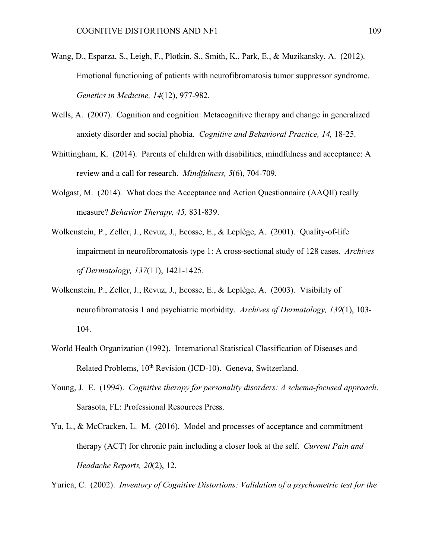- Wang, D., Esparza, S., Leigh, F., Plotkin, S., Smith, K., Park, E., & Muzikansky, A. (2012). Emotional functioning of patients with neurofibromatosis tumor suppressor syndrome. *Genetics in Medicine, 14*(12), 977-982.
- Wells, A. (2007). Cognition and cognition: Metacognitive therapy and change in generalized anxiety disorder and social phobia. *Cognitive and Behavioral Practice, 14,* 18-25.
- Whittingham, K. (2014). Parents of children with disabilities, mindfulness and acceptance: A review and a call for research. *Mindfulness, 5*(6), 704-709.
- Wolgast, M. (2014). What does the Acceptance and Action Questionnaire (AAQII) really measure? *Behavior Therapy, 45,* 831-839.
- Wolkenstein, P., Zeller, J., Revuz, J., Ecosse, E., & Leplège, A. (2001). Quality-of-life impairment in neurofibromatosis type 1: A cross-sectional study of 128 cases. *Archives of Dermatology, 137*(11), 1421-1425.
- Wolkenstein, P., Zeller, J., Revuz, J., Ecosse, E., & Leplège, A. (2003). Visibility of neurofibromatosis 1 and psychiatric morbidity. *Archives of Dermatology, 139*(1), 103- 104.
- World Health Organization (1992). International Statistical Classification of Diseases and Related Problems, 10<sup>th</sup> Revision (ICD-10). Geneva, Switzerland.
- Young, J. E. (1994). *Cognitive therapy for personality disorders: A schema-focused approach*. Sarasota, FL: Professional Resources Press.
- Yu, L., & McCracken, L. M. (2016). Model and processes of acceptance and commitment therapy (ACT) for chronic pain including a closer look at the self. *Current Pain and Headache Reports, 20*(2), 12.

Yurica, C. (2002). *Inventory of Cognitive Distortions: Validation of a psychometric test for the*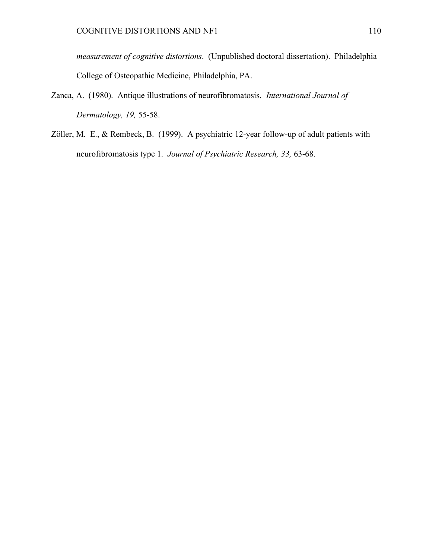*measurement of cognitive distortions*. (Unpublished doctoral dissertation). Philadelphia College of Osteopathic Medicine, Philadelphia, PA.

- Zanca, A. (1980). Antique illustrations of neurofibromatosis. *International Journal of Dermatology, 19,* 55-58.
- Zöller, M. E., & Rembeck, B. (1999). A psychiatric 12-year follow-up of adult patients with neurofibromatosis type 1. *Journal of Psychiatric Research, 33,* 63-68.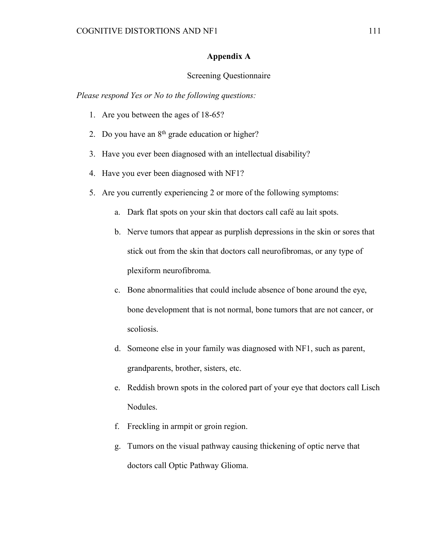## **Appendix A**

## Screening Questionnaire

*Please respond Yes or No to the following questions:*

- 1. Are you between the ages of 18-65?
- 2. Do you have an  $8<sup>th</sup>$  grade education or higher?
- 3. Have you ever been diagnosed with an intellectual disability?
- 4. Have you ever been diagnosed with NF1?
- 5. Are you currently experiencing 2 or more of the following symptoms:
	- a. Dark flat spots on your skin that doctors call café au lait spots.
	- b. Nerve tumors that appear as purplish depressions in the skin or sores that stick out from the skin that doctors call neurofibromas, or any type of plexiform neurofibroma.
	- c. Bone abnormalities that could include absence of bone around the eye, bone development that is not normal, bone tumors that are not cancer, or scoliosis.
	- d. Someone else in your family was diagnosed with NF1, such as parent, grandparents, brother, sisters, etc.
	- e. Reddish brown spots in the colored part of your eye that doctors call Lisch Nodules.
	- f. Freckling in armpit or groin region.
	- g. Tumors on the visual pathway causing thickening of optic nerve that doctors call Optic Pathway Glioma.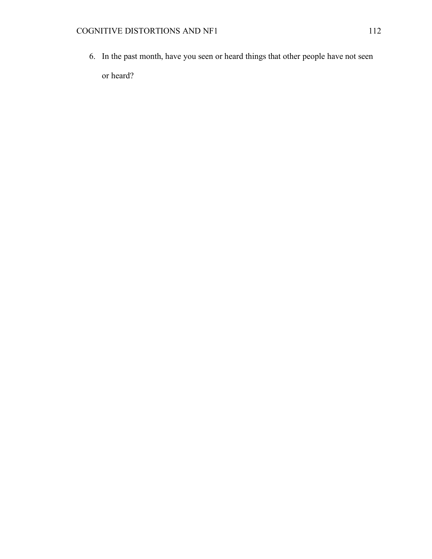6. In the past month, have you seen or heard things that other people have not seen or heard?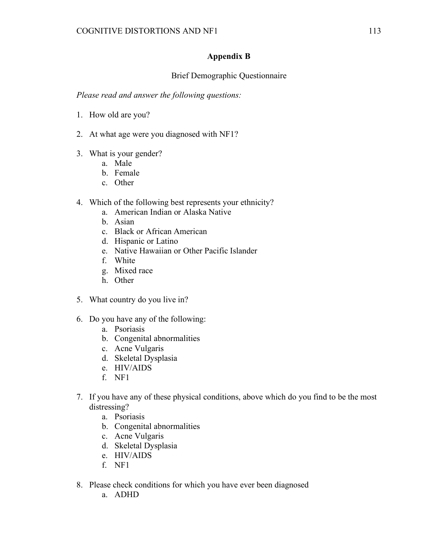## **Appendix B**

## Brief Demographic Questionnaire

*Please read and answer the following questions:*

- 1. How old are you?
- 2. At what age were you diagnosed with NF1?
- 3. What is your gender?
	- a. Male
	- b. Female
	- c. Other
- 4. Which of the following best represents your ethnicity?
	- a. American Indian or Alaska Native
	- b. Asian
	- c. Black or African American
	- d. Hispanic or Latino
	- e. Native Hawaiian or Other Pacific Islander
	- f. White
	- g. Mixed race
	- h. Other
- 5. What country do you live in?
- 6. Do you have any of the following:
	- a. Psoriasis
	- b. Congenital abnormalities
	- c. Acne Vulgaris
	- d. Skeletal Dysplasia
	- e. HIV/AIDS
	- f. NF1
- 7. If you have any of these physical conditions, above which do you find to be the most distressing?
	- a. Psoriasis
	- b. Congenital abnormalities
	- c. Acne Vulgaris
	- d. Skeletal Dysplasia
	- e. HIV/AIDS
	- f. NF1
- 8. Please check conditions for which you have ever been diagnosed
	- a. ADHD